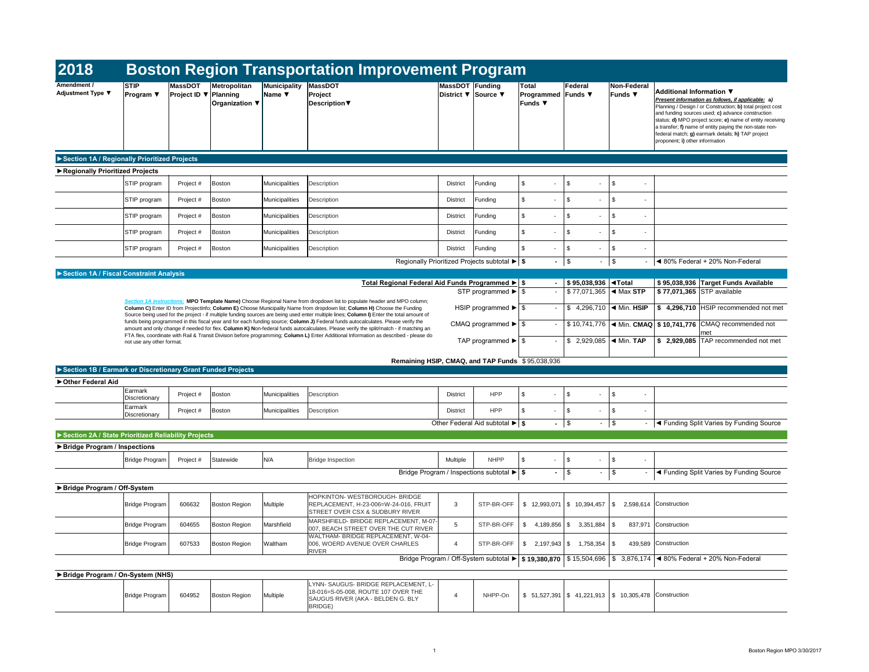| 2018                                                        |                               |                                                |                                       |                                           | <b>Boston Region Transportation Improvement Program</b>                                                                                                                                                                                                                        |                        |                                                                   |                                               |                                             |                                                        |                                                                                                                                                                                                                                                                                                                                                                                                                         |
|-------------------------------------------------------------|-------------------------------|------------------------------------------------|---------------------------------------|-------------------------------------------|--------------------------------------------------------------------------------------------------------------------------------------------------------------------------------------------------------------------------------------------------------------------------------|------------------------|-------------------------------------------------------------------|-----------------------------------------------|---------------------------------------------|--------------------------------------------------------|-------------------------------------------------------------------------------------------------------------------------------------------------------------------------------------------------------------------------------------------------------------------------------------------------------------------------------------------------------------------------------------------------------------------------|
| <b>Amendment /</b><br>Adjustment Type ▼                     | <b>STIP</b><br>Program $\Psi$ | <b>MassDOT</b><br><b>Project ID ▼ Planning</b> | Metropolitan<br><b>Organization</b> ▼ | Municipality<br>Name $\blacktriangledown$ | <b>MassDOT</b><br>Project<br>Description                                                                                                                                                                                                                                       | <b>MassDOT Funding</b> | District ▼ Source ▼                                               | Total<br>Programmed Funds ▼<br><b>Funds ▼</b> | Federal                                     | <b>Non-Federal</b><br>Funds $\blacktriangledown$       | <b>Additional Information ▼</b><br>Present information as follows, if applicable: a)<br>Planning / Design / or Construction; b) total project cost<br>and funding sources used; c) advance construction<br>status; d) MPO project score; e) name of entity receiving<br>a transfer; f) name of entity paying the non-state non-<br>federal match; g) earmark details; h) TAP project<br>proponent; i) other information |
| Section 1A / Regionally Prioritized Projects                |                               |                                                |                                       |                                           |                                                                                                                                                                                                                                                                                |                        |                                                                   |                                               |                                             |                                                        |                                                                                                                                                                                                                                                                                                                                                                                                                         |
| Regionally Prioritized Projects                             |                               |                                                |                                       |                                           |                                                                                                                                                                                                                                                                                |                        |                                                                   |                                               |                                             |                                                        |                                                                                                                                                                                                                                                                                                                                                                                                                         |
|                                                             | STIP program                  | Project #                                      | Boston                                | Municipalities                            | Description                                                                                                                                                                                                                                                                    | District               | Funding                                                           | $\$\$<br>$\sim$                               | \$<br>$\overline{\phantom{a}}$              | $\sqrt[6]{2}$<br>$\sim$                                |                                                                                                                                                                                                                                                                                                                                                                                                                         |
|                                                             | STIP program                  | Project #                                      | Boston                                | Municipalities                            | Description                                                                                                                                                                                                                                                                    | District               | Funding                                                           | \$<br>$\overline{\phantom{0}}$                | \$<br>$\overline{\phantom{a}}$              | \$<br>$\sim$                                           |                                                                                                                                                                                                                                                                                                                                                                                                                         |
|                                                             | STIP program                  | Project #                                      | Boston                                | Municipalities                            | Description                                                                                                                                                                                                                                                                    | <b>District</b>        | Funding                                                           | \$                                            | \$                                          | \$                                                     |                                                                                                                                                                                                                                                                                                                                                                                                                         |
|                                                             | <b>STIP</b> program           | Project #                                      | Boston                                | Municipalities                            | Description                                                                                                                                                                                                                                                                    | <b>District</b>        | Funding                                                           | \$                                            | \$                                          | \$<br>$\overline{a}$                                   |                                                                                                                                                                                                                                                                                                                                                                                                                         |
|                                                             | STIP program                  | Project #                                      | Boston                                | Municipalities                            | Description                                                                                                                                                                                                                                                                    | <b>District</b>        | Funding                                                           | \$<br>$\overline{\phantom{a}}$                | \$<br>$\overline{\phantom{a}}$              | \$<br>$\sim$                                           |                                                                                                                                                                                                                                                                                                                                                                                                                         |
|                                                             |                               |                                                |                                       |                                           |                                                                                                                                                                                                                                                                                |                        | Regionally Prioritized Projects subtotal $\blacktriangleright$ \$ |                                               | $-1$ \$                                     | $-1$ \$<br>$\sim$                                      | ◀ 80% Federal + 20% Non-Federal                                                                                                                                                                                                                                                                                                                                                                                         |
| Section 1A / Fiscal Constraint Analysis                     |                               |                                                |                                       |                                           |                                                                                                                                                                                                                                                                                |                        |                                                                   |                                               |                                             |                                                        |                                                                                                                                                                                                                                                                                                                                                                                                                         |
|                                                             |                               |                                                |                                       |                                           | Total Regional Federal Aid Funds Programmed $\blacktriangleright$ \$                                                                                                                                                                                                           |                        | STP programmed $\blacktriangleright$ \ \$                         |                                               | $$95,038,936$ $\blacktriangleleft$ Total    | $$77,071,365$ < Max STP                                | \$95,038,936 Target Funds Available<br>\$77,071,365 STP available                                                                                                                                                                                                                                                                                                                                                       |
|                                                             |                               |                                                |                                       |                                           | Section 1A instructions: MPO Template Name) Choose Regional Name from dropdown list to populate header and MPO column;<br>Column C) Enter ID from ProjectInfo; Column E) Choose Municipality Name from dropdown list; Column H) Choose the Funding                             |                        |                                                                   |                                               |                                             | \$ 4,296,710 $\blacktriangleleft$ Min. HSIP            | $$4,296,710$ HSIP recommended not met                                                                                                                                                                                                                                                                                                                                                                                   |
|                                                             |                               |                                                |                                       |                                           | Source being used for the project - if multiple funding sources are being used enter multiple lines; Column I) Enter the total amount of<br>funds being programmed in this fiscal year and for each funding source; Column J) Federal funds autocalculates. Please verify the  |                        |                                                                   |                                               |                                             |                                                        | \$10,741,776   IMin. CMAQ   \$10,741,776 CMAQ recommended not                                                                                                                                                                                                                                                                                                                                                           |
|                                                             | not use any other format.     |                                                |                                       |                                           | amount and only change if needed for flex. Column K) Non-federal funds autocalculates. Please verify the split/match - if matching an<br>FTA flex, coordinate with Rail & Transit Division before programming; Column L) Enter Additional Information as described - please do |                        | TAP programmed $\blacktriangleright$ \ \$                         |                                               |                                             | \$ 2,929,085 $\blacktriangleleft$ Min. TAP             | met<br>$\frac{1}{2}$ 2,929,085 TAP recommended not met                                                                                                                                                                                                                                                                                                                                                                  |
|                                                             |                               |                                                |                                       |                                           |                                                                                                                                                                                                                                                                                |                        | Remaining HSIP, CMAQ, and TAP Funds \$95,038,936                  |                                               |                                             |                                                        |                                                                                                                                                                                                                                                                                                                                                                                                                         |
| Section 1B / Earmark or Discretionary Grant Funded Projects |                               |                                                |                                       |                                           |                                                                                                                                                                                                                                                                                |                        |                                                                   |                                               |                                             |                                                        |                                                                                                                                                                                                                                                                                                                                                                                                                         |
| ▶ Other Federal Aid                                         |                               |                                                |                                       |                                           |                                                                                                                                                                                                                                                                                |                        |                                                                   |                                               |                                             |                                                        |                                                                                                                                                                                                                                                                                                                                                                                                                         |
|                                                             | Earmark<br>Discretionary      | Project #                                      | Boston                                | Municipalities                            | Description                                                                                                                                                                                                                                                                    | <b>District</b>        | <b>HPP</b>                                                        | $\mathfrak{S}$<br>$\sim$                      | \$<br>$\overline{\phantom{a}}$              | \$<br>$\sim$                                           |                                                                                                                                                                                                                                                                                                                                                                                                                         |
|                                                             | Earmark<br>Discretionary      | Project #                                      | Boston                                | Municipalities                            | Description                                                                                                                                                                                                                                                                    | <b>District</b>        | <b>HPP</b>                                                        | \$<br>$\sim$                                  | \$                                          | \$<br>$\sim$                                           |                                                                                                                                                                                                                                                                                                                                                                                                                         |
|                                                             |                               |                                                |                                       |                                           |                                                                                                                                                                                                                                                                                |                        | Other Federal Aid subtotal $\blacktriangleright$ \$               |                                               | $-1$ \$                                     | $-1$ \$<br>$\sim$ $-$                                  | I < Funding Split Varies by Funding Source                                                                                                                                                                                                                                                                                                                                                                              |
| Section 2A / State Prioritized Reliability Projects         |                               |                                                |                                       |                                           |                                                                                                                                                                                                                                                                                |                        |                                                                   |                                               |                                             |                                                        |                                                                                                                                                                                                                                                                                                                                                                                                                         |
| ▶ Bridge Program / Inspections                              |                               |                                                |                                       |                                           |                                                                                                                                                                                                                                                                                |                        |                                                                   |                                               |                                             |                                                        |                                                                                                                                                                                                                                                                                                                                                                                                                         |
|                                                             | Bridge Program                | Project #                                      | Statewide                             | N/A                                       | <b>Bridge Inspection</b>                                                                                                                                                                                                                                                       | Multiple               | <b>NHPP</b>                                                       | $\mathfrak{S}$<br>$\sim$                      | $\sqrt[6]{3}$<br>$\overline{\phantom{a}}$   | $\frac{1}{2}$<br>$\sim$                                |                                                                                                                                                                                                                                                                                                                                                                                                                         |
|                                                             |                               |                                                |                                       |                                           |                                                                                                                                                                                                                                                                                |                        | Bridge Program / Inspections subtotal $\blacktriangleright$   \$  | $\sim$ 10 $\pm$                               | $\frac{1}{2}$                               | $\sqrt[6]{\frac{1}{2}}$<br>$\blacksquare$              | ◀ Funding Split Varies by Funding Source                                                                                                                                                                                                                                                                                                                                                                                |
| ▶ Bridge Program / Off-System                               |                               |                                                |                                       |                                           |                                                                                                                                                                                                                                                                                |                        |                                                                   |                                               |                                             |                                                        |                                                                                                                                                                                                                                                                                                                                                                                                                         |
|                                                             | <b>Bridge Program</b>         | 606632                                         | Boston Region                         | Multiple                                  | HOPKINTON- WESTBOROUGH- BRIDGE<br>REPLACEMENT, H-23-006=W-24-016, FRUIT<br>STREET OVER CSX & SUDBURY RIVER                                                                                                                                                                     | 3                      | STP-BR-OFF                                                        |                                               | $$12,993,071 \;   \; $10,394,457 \;   \; $$ |                                                        | 2,598,614 Construction                                                                                                                                                                                                                                                                                                                                                                                                  |
|                                                             | <b>Bridge Program</b>         | 604655                                         | Boston Region                         | Marshfield                                | MARSHFIELD- BRIDGE REPLACEMENT, M-07-<br>007, BEACH STREET OVER THE CUT RIVER                                                                                                                                                                                                  | 5                      | STP-BR-OFF                                                        |                                               | $$4,189,856 \;   \; $3,351,884 \;   \; $$$  |                                                        | 837,971 Construction                                                                                                                                                                                                                                                                                                                                                                                                    |
|                                                             | <b>Bridge Program</b>         | 607533                                         | Boston Region                         | Waltham                                   | WALTHAM- BRIDGE REPLACEMENT, W-04-<br>006, WOERD AVENUE OVER CHARLES<br><b>RIVER</b>                                                                                                                                                                                           | $\overline{4}$         | STP-BR-OFF                                                        |                                               | $$2,197,943 \;   \; $3,758,354 \;   \; $$   |                                                        | 439,589 Construction                                                                                                                                                                                                                                                                                                                                                                                                    |
|                                                             |                               |                                                |                                       |                                           |                                                                                                                                                                                                                                                                                |                        |                                                                   |                                               |                                             |                                                        | Bridge Program / Off-System subtotal ► \$19,380,870 \$15,504,696 \$3,876,174 < 80% Federal + 20% Non-Federal                                                                                                                                                                                                                                                                                                            |
| Bridge Program / On-System (NHS)                            |                               |                                                |                                       |                                           |                                                                                                                                                                                                                                                                                |                        |                                                                   |                                               |                                             |                                                        |                                                                                                                                                                                                                                                                                                                                                                                                                         |
|                                                             | <b>Bridge Program</b>         | 604952                                         | Boston Region                         | Multiple                                  | LYNN- SAUGUS- BRIDGE REPLACEMENT, L-<br>18-016=S-05-008, ROUTE 107 OVER THE<br>SAUGUS RIVER (AKA - BELDEN G. BLY<br>BRIDGE)                                                                                                                                                    | $\overline{4}$         | NHPP-On                                                           |                                               |                                             | $$51,527,391$ $$41,221,913$ $$10,305,478$ Construction |                                                                                                                                                                                                                                                                                                                                                                                                                         |
|                                                             |                               |                                                |                                       |                                           |                                                                                                                                                                                                                                                                                |                        |                                                                   |                                               |                                             |                                                        |                                                                                                                                                                                                                                                                                                                                                                                                                         |

| Non-Federal<br>Funds $\blacktriangledown$ | Additional Information ▼<br>Present information as follows, if applicable: a)<br>Planning / Design / or Construction; b) total project cost<br>and funding sources used; c) advance construction<br>status; d) MPO project score; e) name of entity receiving<br>a transfer; f) name of entity paying the non-state non-<br>federal match; g) earmark details; h) TAP project<br>proponent; i) other information |
|-------------------------------------------|------------------------------------------------------------------------------------------------------------------------------------------------------------------------------------------------------------------------------------------------------------------------------------------------------------------------------------------------------------------------------------------------------------------|
|-------------------------------------------|------------------------------------------------------------------------------------------------------------------------------------------------------------------------------------------------------------------------------------------------------------------------------------------------------------------------------------------------------------------------------------------------------------------|

|       | \$              |                                             |
|-------|-----------------|---------------------------------------------|
|       | \$              | ◀ Funding Split Varies by Funding Source    |
|       |                 |                                             |
| 1,457 | \$<br>2,598,614 | Construction                                |
| 1,884 | \$<br>837,971   | Construction                                |
| 3,354 | \$<br>439,589   | Construction                                |
| 696,ا | \$              | 3,876,174   ◀ 80% Federal + 20% Non-Federal |
|       |                 |                                             |
|       |                 |                                             |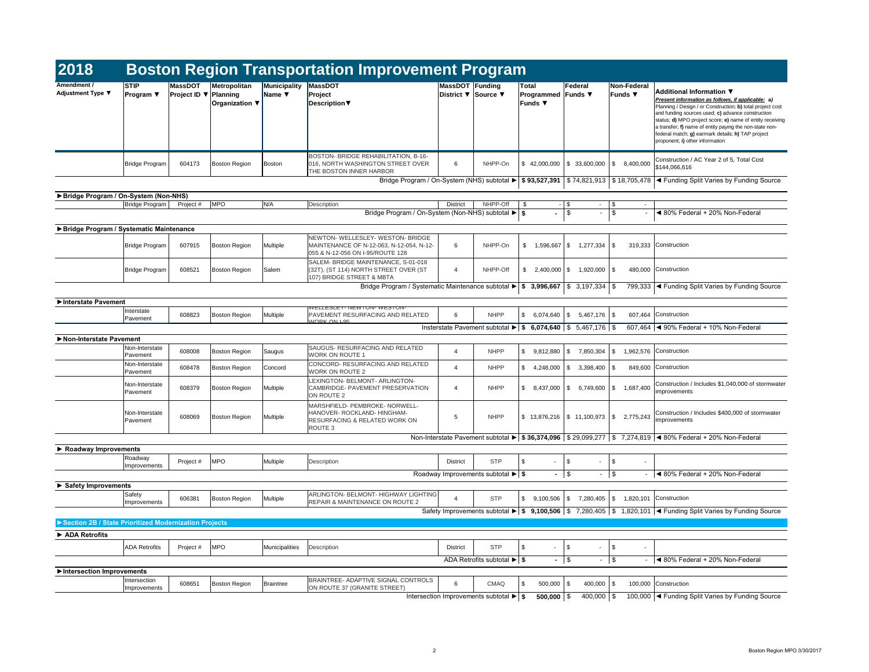| 2018                                                  |                                                    |                                                |                                |                               | <b>Boston Region Transportation Improvement Program</b>                                                                 |                                        |                                                                                        |                                               |                                                       |                                                                                          |                                                                                                                                                                                                                                                                                                                                                                                                                         |
|-------------------------------------------------------|----------------------------------------------------|------------------------------------------------|--------------------------------|-------------------------------|-------------------------------------------------------------------------------------------------------------------------|----------------------------------------|----------------------------------------------------------------------------------------|-----------------------------------------------|-------------------------------------------------------|------------------------------------------------------------------------------------------|-------------------------------------------------------------------------------------------------------------------------------------------------------------------------------------------------------------------------------------------------------------------------------------------------------------------------------------------------------------------------------------------------------------------------|
| Amendment /<br><b>Adjustment Type ▼</b>               | <b>STIP</b><br><b>Program</b> $\blacktriangledown$ | <b>MassDOT</b><br>Project ID $\nabla$ Planning | Metropolitan<br>Organization ▼ | <b>Municipality</b><br>Name ▼ | <b>MassDOT</b><br>Project<br><b>Description</b> ▼                                                                       | MassDOT Funding<br>District ▼ Source ▼ |                                                                                        | Total<br>Programmed Funds ▼<br><b>Funds ▼</b> | Federal                                               | Non-Federal<br>Funds $\blacktriangledown$                                                | <b>Additional Information ▼</b><br>Present information as follows, if applicable: a)<br>Planning / Design / or Construction; b) total project cost<br>and funding sources used; c) advance construction<br>status; d) MPO project score; e) name of entity receiving<br>a transfer; f) name of entity paying the non-state non-<br>federal match; g) earmark details; h) TAP project<br>proponent; i) other information |
|                                                       | Bridge Program                                     | 604173                                         | <b>Boston Region</b>           | Boston                        | BOSTON- BRIDGE REHABILITATION, B-16-<br>016, NORTH WASHINGTON STREET OVER<br>THE BOSTON INNER HARBOR                    | 6                                      | NHPP-On                                                                                |                                               | $$42,000,000$ $$33,600,000$                           | 8,400,000<br>\$                                                                          | Construction / AC Year 2 of 5, Total Cost<br>\$144,066,616                                                                                                                                                                                                                                                                                                                                                              |
|                                                       |                                                    |                                                |                                |                               | Bridge Program / On-System (NHS) subtotal $\blacktriangleright$ \$ 93,527,391 $\mid$ \$ 74,821,913 $\mid$ \$ 18,705,478 |                                        |                                                                                        |                                               |                                                       |                                                                                          | ◀ Funding Split Varies by Funding Source                                                                                                                                                                                                                                                                                                                                                                                |
| Bridge Program / On-System (Non-NHS)                  |                                                    |                                                |                                |                               |                                                                                                                         |                                        |                                                                                        |                                               |                                                       |                                                                                          |                                                                                                                                                                                                                                                                                                                                                                                                                         |
|                                                       | Bridge Program                                     | Project #                                      | <b>MPO</b>                     | N/A                           | Description                                                                                                             | <b>District</b>                        | NHPP-Off                                                                               | -\$                                           | $-1$ \$<br>$\sim$                                     | \$                                                                                       |                                                                                                                                                                                                                                                                                                                                                                                                                         |
|                                                       |                                                    |                                                |                                |                               | Bridge Program / On-System (Non-NHS) subtotal ▶ \$                                                                      |                                        |                                                                                        | $\blacksquare$                                | $\boldsymbol{\mathsf{S}}$<br>$\blacksquare$           | $\sqrt[6]{3}$                                                                            | ◀ 80% Federal + 20% Non-Federal                                                                                                                                                                                                                                                                                                                                                                                         |
| ▶ Bridge Program / Systematic Maintenance             |                                                    |                                                |                                |                               |                                                                                                                         |                                        |                                                                                        |                                               |                                                       |                                                                                          |                                                                                                                                                                                                                                                                                                                                                                                                                         |
|                                                       | Bridge Program                                     | 607915                                         | <b>Boston Region</b>           | Multiple                      | NEWTON- WELLESLEY- WESTON- BRIDGE<br>MAINTENANCE OF N-12-063, N-12-054, N-12-<br>055 & N-12-056 ON I-95/ROUTE 128       | 6                                      | NHPP-On                                                                                | $1,596,667$ \$<br>\$                          | 1,277,334                                             | 319,333<br>l Si                                                                          | Construction                                                                                                                                                                                                                                                                                                                                                                                                            |
|                                                       | Bridge Program                                     | 608521                                         | <b>Boston Region</b>           | Salem                         | SALEM- BRIDGE MAINTENANCE, S-01-018<br>(32T), (ST 114) NORTH STREET OVER (ST<br>107) BRIDGE STREET & MBTA               | $\boldsymbol{\Lambda}$                 | NHPP-Off                                                                               | \$<br>2,400,000                               | 1,920,000<br>- \$                                     | l \$<br>480,000                                                                          | Construction                                                                                                                                                                                                                                                                                                                                                                                                            |
|                                                       |                                                    |                                                |                                |                               | Bridge Program / Systematic Maintenance subtotal $\blacktriangleright$   \$ 3,996,667   \$ 3,197,334   \$               |                                        |                                                                                        |                                               |                                                       |                                                                                          | 799,333   < Funding Split Varies by Funding Source                                                                                                                                                                                                                                                                                                                                                                      |
| Interstate Pavement                                   |                                                    |                                                |                                |                               |                                                                                                                         |                                        |                                                                                        |                                               |                                                       |                                                                                          |                                                                                                                                                                                                                                                                                                                                                                                                                         |
|                                                       | Interstate<br>Pavement                             | 608823                                         | <b>Boston Region</b>           | Multiple                      | <b>WELLESLEY-INEWIUN-WESIUN-</b><br>PAVEMENT RESURFACING AND RELATED<br><b>WORK ON LOS</b>                              | 6                                      | <b>NHPP</b>                                                                            | $\mathbb{S}$<br>$6,074,640$ \$                | $5,467,176$ \\$                                       |                                                                                          | 607,464 Construction                                                                                                                                                                                                                                                                                                                                                                                                    |
|                                                       |                                                    |                                                |                                |                               |                                                                                                                         |                                        | Insterstate Pavement subtotal $\blacktriangleright$   \$ 6,074,640   \$ 5,467,176   \$ |                                               |                                                       |                                                                                          | 607,464 $\blacktriangleleft$ 90% Federal + 10% Non-Federal                                                                                                                                                                                                                                                                                                                                                              |
| Non-Interstate Pavement                               | Non-Interstate                                     |                                                |                                |                               | <b>SAUGUS- RESURFACING AND RELATED</b>                                                                                  |                                        |                                                                                        |                                               |                                                       |                                                                                          |                                                                                                                                                                                                                                                                                                                                                                                                                         |
|                                                       | Pavement                                           | 608008                                         | Boston Region                  | Saugus                        | <b>WORK ON ROUTE 1</b>                                                                                                  |                                        | <b>NHPP</b>                                                                            |                                               |                                                       | $\frac{1}{2}$ 9,812,880 \ $\frac{1}{2}$ 7,850,304 \ $\frac{1}{2}$ 1,962,576 Construction |                                                                                                                                                                                                                                                                                                                                                                                                                         |
|                                                       | Non-Interstate<br>Pavement                         | 608478                                         | <b>Boston Region</b>           | Concord                       | CONCORD- RESURFACING AND RELATED<br><b>WORK ON ROUTE 2</b>                                                              | $\overline{4}$                         | <b>NHPP</b>                                                                            | $4,248,000$ \\$<br>\$                         | $3,398,400$ \\$                                       |                                                                                          | 849,600 Construction                                                                                                                                                                                                                                                                                                                                                                                                    |
|                                                       | Non-Interstate<br>Pavement                         | 608379                                         | <b>Boston Region</b>           | Multiple                      | LEXINGTON- BELMONT- ARLINGTON-<br>CAMBRIDGE- PAVEMENT PRESERVATION<br>ON ROUTE 2                                        | $\boldsymbol{\Lambda}$                 | <b>NHPP</b>                                                                            | \$<br>8,437,000 \$                            | $6,749,600$ \ \$                                      | 1,687,400                                                                                | Construction / Includes \$1,040,000 of stormwater<br>improvements                                                                                                                                                                                                                                                                                                                                                       |
|                                                       | Non-Interstate<br>Pavement                         | 608069                                         | Boston Region                  | Multiple                      | MARSHFIELD- PEMBROKE- NORWELL-<br>HANOVER- ROCKLAND- HINGHAM-<br>RESURFACING & RELATED WORK ON<br>ROUTE 3               | 5                                      | <b>NHPP</b>                                                                            |                                               | $$13,876,216 \mid $11,100,973 \mid $$                 | 2,775,243                                                                                | Construction / Includes \$400,000 of stormwater<br>improvements                                                                                                                                                                                                                                                                                                                                                         |
|                                                       |                                                    |                                                |                                |                               |                                                                                                                         |                                        |                                                                                        |                                               |                                                       |                                                                                          | Non-Interstate Pavement subtotal $\triangleright$ \$ 36,374,096 \ \$ 29,099,277 \ \$ 7,274,819 \ \ 80% Federal + 20% Non-Federal                                                                                                                                                                                                                                                                                        |
| $\blacktriangleright$ Roadway Improvements            |                                                    |                                                |                                |                               |                                                                                                                         |                                        |                                                                                        |                                               |                                                       |                                                                                          |                                                                                                                                                                                                                                                                                                                                                                                                                         |
|                                                       | Roadway<br>Improvements                            | Project #                                      | <b>MPO</b>                     | Multiple                      | Description                                                                                                             | <b>District</b>                        | <b>STP</b>                                                                             | \$<br>$\sim$                                  | $\sqrt{3}$<br>$\sim$                                  | \$<br>$\sim$                                                                             |                                                                                                                                                                                                                                                                                                                                                                                                                         |
|                                                       |                                                    |                                                |                                |                               |                                                                                                                         |                                        | Roadway Improvements subtotal $\blacktriangleright$   \$                               |                                               | $-1$ \$<br>$\sim$                                     | $\sqrt{3}$                                                                               | $\blacktriangleleft$ 80% Federal + 20% Non-Federal                                                                                                                                                                                                                                                                                                                                                                      |
| Safety Improvements                                   |                                                    |                                                |                                |                               |                                                                                                                         |                                        |                                                                                        |                                               |                                                       |                                                                                          |                                                                                                                                                                                                                                                                                                                                                                                                                         |
|                                                       | Safety<br>Improvements                             | 606381                                         | <b>Boston Region</b>           | Multiple                      | ARLINGTON- BELMONT- HIGHWAY LIGHTING<br>REPAIR & MAINTENANCE ON ROUTE 2                                                 | $\overline{4}$                         | <b>STP</b>                                                                             | \$<br>$9,100,506$ \$                          | 7,280,405 \$                                          |                                                                                          | 1,820,101 Construction                                                                                                                                                                                                                                                                                                                                                                                                  |
|                                                       |                                                    |                                                |                                |                               |                                                                                                                         |                                        |                                                                                        |                                               |                                                       |                                                                                          | Safety Improvements subtotal ► $\$$ 9,100,506 $\$$ 7,280,405 $\$$ 1,820,101 $\blacktriangleleft$ Funding Split Varies by Funding Source                                                                                                                                                                                                                                                                                 |
| Section 2B / State Prioritized Modernization Projects |                                                    |                                                |                                |                               |                                                                                                                         |                                        |                                                                                        |                                               |                                                       |                                                                                          |                                                                                                                                                                                                                                                                                                                                                                                                                         |
| ADA Retrofits                                         |                                                    |                                                |                                |                               |                                                                                                                         |                                        |                                                                                        |                                               |                                                       |                                                                                          |                                                                                                                                                                                                                                                                                                                                                                                                                         |
|                                                       | <b>ADA Retrofits</b>                               | Project #                                      | <b>MPO</b>                     | <b>Municipalities</b>         | Description                                                                                                             | <b>District</b>                        | <b>STP</b>                                                                             | \$<br>$\sim$                                  | $\boldsymbol{\mathsf{S}}$<br>$\overline{\phantom{a}}$ | \$                                                                                       |                                                                                                                                                                                                                                                                                                                                                                                                                         |
|                                                       |                                                    |                                                |                                |                               |                                                                                                                         |                                        | ADA Retrofits subtotal $\blacktriangleright$ \$                                        |                                               | $-1$ \$<br>$\sim$                                     | $\sqrt{3}$                                                                               | $\blacktriangleleft$ 80% Federal + 20% Non-Federal                                                                                                                                                                                                                                                                                                                                                                      |
| Intersection Improvements                             |                                                    |                                                |                                |                               |                                                                                                                         |                                        |                                                                                        |                                               |                                                       |                                                                                          |                                                                                                                                                                                                                                                                                                                                                                                                                         |
|                                                       | Intersection                                       | 608651                                         | <b>Boston Region</b>           | <b>Braintree</b>              | BRAINTREE- ADAPTIVE SIGNAL CONTROLS                                                                                     | 6                                      | <b>CMAQ</b>                                                                            | \$<br>$500,000$ \\$                           | $400,000$ \$                                          |                                                                                          | 100,000 Construction                                                                                                                                                                                                                                                                                                                                                                                                    |
|                                                       | Improvements                                       |                                                |                                |                               | ON ROUTE 37 (GRANITE STREET)                                                                                            |                                        | Intersection Improvements subtotal $\blacktriangleright$ \$                            | $500,000$ \$                                  | $400,000$ \ \$                                        |                                                                                          | 100,000  ◀ Funding Split Varies by Funding Source                                                                                                                                                                                                                                                                                                                                                                       |

|       | -  |                                                    |
|-------|----|----------------------------------------------------|
|       |    | $\blacktriangleleft$ 80% Federal + 20% Non-Federal |
|       |    |                                                    |
|       |    |                                                    |
| 7,334 | \$ | 319,333 Construction                               |

|   | - |                                                     |
|---|---|-----------------------------------------------------|
| ٠ |   | $ \blacktriangleleft$ 80% Federal + 20% Non-Federal |
|   |   |                                                     |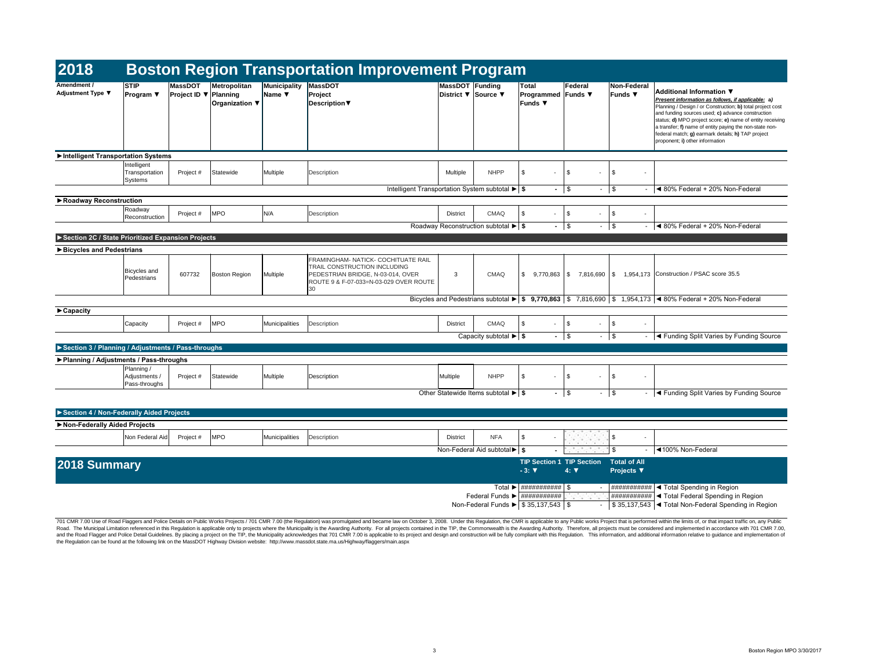| Non-Federal<br>Funds $\blacktriangledown$ | Additional Information ▼<br>Present information as follows, if applicable: a)<br>Planning / Design / or Construction; b) total project cost<br>and funding sources used; c) advance construction<br>status; d) MPO project score; e) name of entity receiving<br>a transfer; f) name of entity paying the non-state non-<br>federal match; g) earmark details; h) TAP project<br>proponent; i) other information |
|-------------------------------------------|------------------------------------------------------------------------------------------------------------------------------------------------------------------------------------------------------------------------------------------------------------------------------------------------------------------------------------------------------------------------------------------------------------------|
|-------------------------------------------|------------------------------------------------------------------------------------------------------------------------------------------------------------------------------------------------------------------------------------------------------------------------------------------------------------------------------------------------------------------------------------------------------------------|

| 2018                                               |                                              |                                |                                                   |                        | <b>Boston Region Transportation Improvement Program</b>                                                                                                  |                               |                                                            |                                                             |                                                      |                                          |                                                                                                                                                                                                                                                                                                                                                                                     |
|----------------------------------------------------|----------------------------------------------|--------------------------------|---------------------------------------------------|------------------------|----------------------------------------------------------------------------------------------------------------------------------------------------------|-------------------------------|------------------------------------------------------------|-------------------------------------------------------------|------------------------------------------------------|------------------------------------------|-------------------------------------------------------------------------------------------------------------------------------------------------------------------------------------------------------------------------------------------------------------------------------------------------------------------------------------------------------------------------------------|
| <b>Amendment /</b><br><b>Adjustment Type ▼</b>     | <b>STIP</b><br><b>Program</b> ▼              | <b>MassDOT</b><br>Project ID ▼ | Metropolitan<br>Planning<br><b>Organization ▼</b> | Municipality<br>Name ▼ | MassDOT<br>Project<br>Description $\blacktriangledown$                                                                                                   | MassDOT Funding<br>District ▼ | Source ▼                                                   | <b>Total</b><br><b>Programmed Funds ▼</b><br><b>Funds ▼</b> | Federal                                              | Non-Federal<br><b>Funds</b> ▼            | <b>Additional Information ▼</b><br><b>Present information as follows, if applicab</b><br>Planning / Design / or Construction; b) total pr<br>and funding sources used; c) advance constru<br>status; d) MPO project score; e) name of entir<br>a transfer; f) name of entity paying the non-sta<br>federal match; g) earmark details; h) TAP pro<br>proponent; i) other information |
| Intelligent Transportation Systems                 |                                              |                                |                                                   |                        |                                                                                                                                                          |                               |                                                            |                                                             |                                                      |                                          |                                                                                                                                                                                                                                                                                                                                                                                     |
|                                                    | Intelligent<br>Transportation<br>Systems     | Project #                      | Statewide                                         | Multiple               | Description                                                                                                                                              | Multiple                      | <b>NHPP</b>                                                | \$                                                          | \$<br>$\sim$                                         | \$                                       |                                                                                                                                                                                                                                                                                                                                                                                     |
|                                                    |                                              |                                |                                                   |                        | Intelligent Transportation System subtotal $\blacktriangleright$ \$                                                                                      |                               |                                                            |                                                             | $-1$ \$<br>$\sim$                                    | $\vert$ \$                               | $-$ 4 80% Federal + 20% Non-Federa                                                                                                                                                                                                                                                                                                                                                  |
| ▶ Roadway Reconstruction                           |                                              |                                |                                                   |                        |                                                                                                                                                          |                               |                                                            |                                                             |                                                      |                                          |                                                                                                                                                                                                                                                                                                                                                                                     |
|                                                    | Roadway<br>Reconstruction                    | Project #                      | <b>MPO</b>                                        | N/A                    | Description                                                                                                                                              | <b>District</b>               | <b>CMAQ</b>                                                | \$                                                          | \$<br>$\sim$                                         | \$                                       |                                                                                                                                                                                                                                                                                                                                                                                     |
|                                                    |                                              |                                |                                                   |                        |                                                                                                                                                          |                               | Roadway Reconstruction subtotal $\blacktriangleright$   \$ |                                                             | $-1$ \$<br>$\sim$                                    | \$                                       | $-$ 4 80% Federal + 20% Non-Federa                                                                                                                                                                                                                                                                                                                                                  |
| Section 2C / State Prioritized Expansion Projects  |                                              |                                |                                                   |                        |                                                                                                                                                          |                               |                                                            |                                                             |                                                      |                                          |                                                                                                                                                                                                                                                                                                                                                                                     |
| ▶ Bicycles and Pedestrians                         |                                              |                                |                                                   |                        |                                                                                                                                                          |                               |                                                            |                                                             |                                                      |                                          |                                                                                                                                                                                                                                                                                                                                                                                     |
|                                                    | <b>Bicycles</b> and<br>Pedestrians           | 607732                         | Boston Region                                     | Multiple               | FRAMINGHAM- NATICK- COCHITUATE RAIL<br>TRAIL CONSTRUCTION INCLUDING<br>PEDESTRIAN BRIDGE, N-03-014, OVER<br>ROUTE 9 & F-07-033=N-03-029 OVER ROUTE<br>30 | 3                             | <b>CMAQ</b>                                                | \$<br>$9,770,863$ \$                                        | 7,816,690 \$                                         |                                          | 1,954,173 Construction / PSAC score 35.5                                                                                                                                                                                                                                                                                                                                            |
|                                                    |                                              |                                |                                                   |                        |                                                                                                                                                          |                               |                                                            |                                                             |                                                      |                                          | Bicycles and Pedestrians subtotal $\blacktriangleright$ 9,770,863 \ \$ 7,816,690 \ \$ 1,954,173 \ 80% Federal + 20% Non-Federa                                                                                                                                                                                                                                                      |
| $\blacktriangleright$ Capacity                     |                                              |                                |                                                   |                        |                                                                                                                                                          |                               |                                                            |                                                             |                                                      |                                          |                                                                                                                                                                                                                                                                                                                                                                                     |
|                                                    | Capacity                                     | Project #                      | <b>MPO</b>                                        | Municipalities         | Description                                                                                                                                              | <b>District</b>               | <b>CMAQ</b>                                                | -\$                                                         | \$<br>$\sim$                                         | \$<br>$\overline{\phantom{a}}$           |                                                                                                                                                                                                                                                                                                                                                                                     |
|                                                    |                                              |                                |                                                   |                        |                                                                                                                                                          |                               | Capacity subtotal $\blacktriangleright$ \$                 |                                                             | $-1$ \$<br>$\sim$                                    | $\vert$ \$                               | $\blacktriangleleft$ Funding Split Varies by Funding                                                                                                                                                                                                                                                                                                                                |
| Section 3 / Planning / Adjustments / Pass-throughs |                                              |                                |                                                   |                        |                                                                                                                                                          |                               |                                                            |                                                             |                                                      |                                          |                                                                                                                                                                                                                                                                                                                                                                                     |
| ▶ Planning / Adjustments / Pass-throughs           |                                              |                                |                                                   |                        |                                                                                                                                                          |                               |                                                            |                                                             |                                                      |                                          |                                                                                                                                                                                                                                                                                                                                                                                     |
|                                                    | Planning /<br>Adjustments /<br>Pass-throughs | Project #                      | Statewide                                         | Multiple               | Description                                                                                                                                              | Multiple                      | <b>NHPP</b>                                                | \$                                                          | \$<br>$\sim$                                         | \$                                       |                                                                                                                                                                                                                                                                                                                                                                                     |
|                                                    |                                              |                                |                                                   |                        |                                                                                                                                                          |                               | Other Statewide Items subtotal $\blacktriangleright$ \$    |                                                             | $-$ \$<br>$\sim$                                     | $\sqrt{3}$                               | - <a>I<br/> <b><a>Funding Split Varies by Funding</a></b></a>                                                                                                                                                                                                                                                                                                                       |
|                                                    |                                              |                                |                                                   |                        |                                                                                                                                                          |                               |                                                            |                                                             |                                                      |                                          |                                                                                                                                                                                                                                                                                                                                                                                     |
| Section 4 / Non-Federally Aided Projects           |                                              |                                |                                                   |                        |                                                                                                                                                          |                               |                                                            |                                                             |                                                      |                                          |                                                                                                                                                                                                                                                                                                                                                                                     |
| Non-Federally Aided Projects                       |                                              |                                |                                                   |                        |                                                                                                                                                          |                               |                                                            |                                                             |                                                      |                                          |                                                                                                                                                                                                                                                                                                                                                                                     |
|                                                    | Non Federal Aid                              | Project #                      | <b>MPO</b>                                        | Municipalities         | Description                                                                                                                                              | <b>District</b>               | <b>NFA</b>                                                 | \$                                                          | 20<br>1999<br><b>CONTRACTOR</b><br><b>CONTRACTOR</b> | \$<br>$\overline{\phantom{a}}$           |                                                                                                                                                                                                                                                                                                                                                                                     |
|                                                    |                                              |                                |                                                   |                        |                                                                                                                                                          |                               | Non-Federal Aid subtotal $\blacktriangleright$   \$        |                                                             | Dent and the state of the                            | \$                                       | <b>Example 1100% Non-Federal</b>                                                                                                                                                                                                                                                                                                                                                    |
| 2018 Summary                                       |                                              |                                |                                                   |                        |                                                                                                                                                          |                               |                                                            | <b>TIP Section 1 TIP Section</b><br>$-3: \nabla$            | $4: \nabla$                                          | <b>Total of All</b><br><b>Projects ▼</b> |                                                                                                                                                                                                                                                                                                                                                                                     |
|                                                    |                                              |                                |                                                   |                        |                                                                                                                                                          |                               |                                                            | Total $\blacktriangleright$ $\mid$ ########### $\mid$ \$    |                                                      |                                          | $\#$ ############ $\blacktriangleleft$ Total Spending in Region                                                                                                                                                                                                                                                                                                                     |
|                                                    |                                              |                                |                                                   |                        |                                                                                                                                                          |                               | Non-Federal Funds $\blacktriangleright$ \$ 35,137,543 \\$  |                                                             |                                                      |                                          | ############ < Total Federal Spending in Regio<br>\$35,137,543   Total Non-Federal Spending in R                                                                                                                                                                                                                                                                                    |

| <b>NFA</b> | \$              |                                             |                                                                                                                  |                                                       |
|------------|-----------------|---------------------------------------------|------------------------------------------------------------------------------------------------------------------|-------------------------------------------------------|
|            |                 |                                             | -S<br>٠                                                                                                          | ◀100% Non-Federal                                     |
|            |                 |                                             | <b>Total of All</b>                                                                                              |                                                       |
|            |                 | $4: \nabla$                                 | <b>Projects ▼</b>                                                                                                |                                                       |
|            |                 |                                             |                                                                                                                  |                                                       |
| Total ▶    |                 | S                                           | ###########                                                                                                      | ◀ Total Spending in Region                            |
|            |                 |                                             | ###########                                                                                                      | ◀ Total Federal Spending in Region                    |
|            |                 |                                             |                                                                                                                  | \$35,137,543   I Total Non-Federal Spending in Region |
|            | Federal Funds ▶ | Federal Aid subtotal ▶   \$<br>$-3: \nabla$ | <b>TIP Section 1 TIP Section</b><br>###########<br>###########<br>\$35,137,543<br>Non-Federal Funds ▶<br>\$<br>۰ |                                                       |

|   | ◀ 80% Federal + 20% Non-Federal |
|---|---------------------------------|
|   |                                 |
|   |                                 |
| S |                                 |

|      | <b>CMAQ</b>                                                   | \$<br>9,770,863 | S. | 7,816,690 | \$<br>1.954.173 | Construction / PSAC score 35.5                                                                      |
|------|---------------------------------------------------------------|-----------------|----|-----------|-----------------|-----------------------------------------------------------------------------------------------------|
|      |                                                               |                 |    |           |                 | destrians subtotal ▶   \$ 9,770,863   \$ 7,816,690   \$ 1,954,173   ◀ 80% Federal + 20% Non-Federal |
|      |                                                               |                 |    |           |                 |                                                                                                     |
| ict. | <b>CMAQ</b>                                                   | \$              | \$ | -         | \$<br>٠         |                                                                                                     |
|      | Capacity subtotal $\blacktriangleright$ $\blacktriangleright$ | $\blacksquare$  | \$ | ٠         | \$<br>۰         | ◀ Funding Split Varies by Funding Source                                                            |

| Multiple | <b>NHPP</b>                                                          |  |   |  |                                              |
|----------|----------------------------------------------------------------------|--|---|--|----------------------------------------------|
|          | Other Statewide Items subtotal $\blacktriangleright$ $\blacklozenge$ |  | S |  | - Get Tunding Split Varies by Funding Source |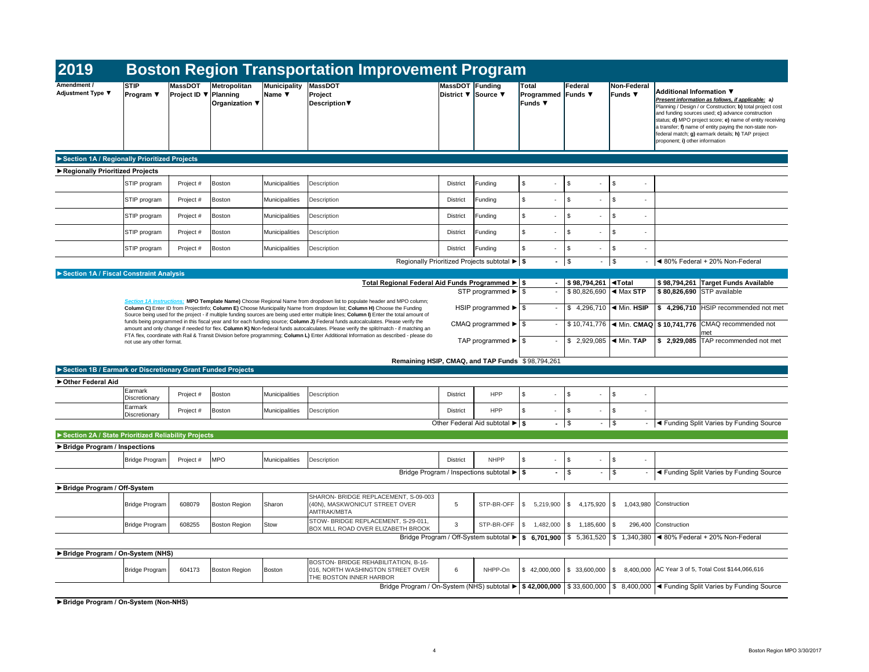| 2019                                                        |                                 |                                                |                                       |                        | <b>Boston Region Transportation Improvement Program</b>                                                                                                                                                                                                                    |                                        |                                                                                      |                                                      |                                                                     |                                                  |                                                                                                                                                                                                                                                                                                                                                                                                                         |
|-------------------------------------------------------------|---------------------------------|------------------------------------------------|---------------------------------------|------------------------|----------------------------------------------------------------------------------------------------------------------------------------------------------------------------------------------------------------------------------------------------------------------------|----------------------------------------|--------------------------------------------------------------------------------------|------------------------------------------------------|---------------------------------------------------------------------|--------------------------------------------------|-------------------------------------------------------------------------------------------------------------------------------------------------------------------------------------------------------------------------------------------------------------------------------------------------------------------------------------------------------------------------------------------------------------------------|
| Amendment /<br><b>Adjustment Type ▼</b>                     | <b>STIP</b><br><b>Program</b> ▼ | <b>MassDOT</b><br>Project ID $\nabla$ Planning | Metropolitan<br><b>Organization ▼</b> | Municipality<br>Name ▼ | MassDOT<br>Project<br>Description ▼                                                                                                                                                                                                                                        | MassDOT Funding<br>District ▼ Source ▼ |                                                                                      | <b>Total</b><br>Programmed Funds ▼<br><b>Funds ▼</b> | Federal                                                             | <b>Non-Federal</b><br>Funds $\blacktriangledown$ | <b>Additional Information ▼</b><br>Present information as follows, if applicable: a)<br>Planning / Design / or Construction; b) total project cost<br>and funding sources used; c) advance construction<br>status; d) MPO project score; e) name of entity receiving<br>a transfer; f) name of entity paying the non-state non-<br>federal match; g) earmark details; h) TAP project<br>proponent; i) other information |
| Section 1A / Regionally Prioritized Projects                |                                 |                                                |                                       |                        |                                                                                                                                                                                                                                                                            |                                        |                                                                                      |                                                      |                                                                     |                                                  |                                                                                                                                                                                                                                                                                                                                                                                                                         |
| Regionally Prioritized Projects                             |                                 |                                                |                                       |                        |                                                                                                                                                                                                                                                                            |                                        |                                                                                      |                                                      |                                                                     |                                                  |                                                                                                                                                                                                                                                                                                                                                                                                                         |
|                                                             | STIP program                    | Project #                                      | Boston                                | Municipalities         | Description                                                                                                                                                                                                                                                                | <b>District</b>                        | Funding                                                                              | \$                                                   | \$                                                                  | S.                                               |                                                                                                                                                                                                                                                                                                                                                                                                                         |
|                                                             | STIP program                    | Project #                                      | Boston                                | Municipalities         | Description                                                                                                                                                                                                                                                                | <b>District</b>                        | Funding                                                                              | \$<br>$\overline{\phantom{a}}$                       | \$                                                                  | \$.                                              |                                                                                                                                                                                                                                                                                                                                                                                                                         |
|                                                             | STIP program                    | Project #                                      | <b>Boston</b>                         | Municipalities         | Description                                                                                                                                                                                                                                                                | <b>District</b>                        | Funding                                                                              | \$<br>$\blacksquare$                                 | \$                                                                  | \$                                               |                                                                                                                                                                                                                                                                                                                                                                                                                         |
|                                                             | STIP program                    | Project #                                      | Boston                                | <b>Municipalities</b>  | Description                                                                                                                                                                                                                                                                | <b>District</b>                        | Funding                                                                              | \$                                                   | \$                                                                  | \$                                               |                                                                                                                                                                                                                                                                                                                                                                                                                         |
|                                                             | STIP program                    | Project #                                      | Boston                                | Municipalities         | Description                                                                                                                                                                                                                                                                | <b>District</b>                        | Funding                                                                              | \$<br>$\sim$                                         | \$<br>$\overline{\phantom{a}}$                                      | \$<br>$\overline{\phantom{a}}$                   |                                                                                                                                                                                                                                                                                                                                                                                                                         |
|                                                             |                                 |                                                |                                       |                        |                                                                                                                                                                                                                                                                            |                                        | Regionally Prioritized Projects subtotal $\blacktriangleright$ $\blacktriangleright$ | $-$ \$                                               | $\sim 100$                                                          | $\sqrt[6]{\frac{1}{2}}$                          | ◀ 80% Federal + 20% Non-Federal                                                                                                                                                                                                                                                                                                                                                                                         |
| Section 1A / Fiscal Constraint Analysis                     |                                 |                                                |                                       |                        |                                                                                                                                                                                                                                                                            |                                        |                                                                                      |                                                      |                                                                     |                                                  |                                                                                                                                                                                                                                                                                                                                                                                                                         |
|                                                             |                                 |                                                |                                       |                        | Total Regional Federal Aid Funds Programmed ▶   \$                                                                                                                                                                                                                         |                                        | STP programmed $\blacktriangleright$   \$                                            |                                                      | $$98,794,261$ $\blacktriangleleft$ Total<br>$$80,826,690$ < Max STP |                                                  | \$98,794,261 Target Funds Available<br>\$80,826,690 STP available                                                                                                                                                                                                                                                                                                                                                       |
|                                                             |                                 |                                                |                                       |                        | Section 1A instructions: MPO Template Name) Choose Regional Name from dropdown list to populate header and MPO column;                                                                                                                                                     |                                        |                                                                                      |                                                      |                                                                     |                                                  |                                                                                                                                                                                                                                                                                                                                                                                                                         |
|                                                             |                                 |                                                |                                       |                        | Column C) Enter ID from ProjectInfo; Column E) Choose Municipality Name from dropdown list; Column H) Choose the Funding<br>Source being used for the project - if multiple funding sources are being used enter multiple lines; Column I) Enter the total amount of       |                                        |                                                                                      |                                                      | \$ 4,296,710   $\blacktriangleleft$ Min. HSIP                       |                                                  | \$4,296,710 HSIP recommended not met                                                                                                                                                                                                                                                                                                                                                                                    |
|                                                             |                                 |                                                |                                       |                        | funds being programmed in this fiscal year and for each funding source; Column J) Federal funds autocalculates. Please verify the<br>amount and only change if needed for flex. Column K) Non-federal funds autocalculates. Please verify the split/match - if matching an |                                        | CMAQ programmed $\blacktriangleright$ \ \$                                           |                                                      |                                                                     |                                                  | \$10,741,776  < Min. CMAQ   \$10,741,776 CMAQ recommended not                                                                                                                                                                                                                                                                                                                                                           |
|                                                             | not use any other format.       |                                                |                                       |                        | FTA flex, coordinate with Rail & Transit Division before programming; Column L) Enter Additional Information as described - please do                                                                                                                                      |                                        | TAP programmed $\blacktriangleright$ \ \$                                            |                                                      | \$ 2,929,085   $\blacktriangleleft$ Min. TAP                        |                                                  | met<br>$$2,929,085$ TAP recommended not met                                                                                                                                                                                                                                                                                                                                                                             |
|                                                             |                                 |                                                |                                       |                        |                                                                                                                                                                                                                                                                            |                                        | Remaining HSIP, CMAQ, and TAP Funds \$98,794,261                                     |                                                      |                                                                     |                                                  |                                                                                                                                                                                                                                                                                                                                                                                                                         |
| Section 1B / Earmark or Discretionary Grant Funded Projects |                                 |                                                |                                       |                        |                                                                                                                                                                                                                                                                            |                                        |                                                                                      |                                                      |                                                                     |                                                  |                                                                                                                                                                                                                                                                                                                                                                                                                         |
| ▶ Other Federal Aid                                         |                                 |                                                |                                       |                        |                                                                                                                                                                                                                                                                            |                                        |                                                                                      |                                                      |                                                                     |                                                  |                                                                                                                                                                                                                                                                                                                                                                                                                         |
|                                                             | Earmark<br>Discretionary        | Project #                                      | Boston                                | Municipalities         | Description                                                                                                                                                                                                                                                                | <b>District</b>                        | <b>HPP</b>                                                                           | \$<br>$\overline{\phantom{0}}$                       | \$<br>$\overline{\phantom{a}}$                                      | \$                                               |                                                                                                                                                                                                                                                                                                                                                                                                                         |
|                                                             | Earmark<br>Discretionary        | Project #                                      | Boston                                | Municipalities         | Description                                                                                                                                                                                                                                                                | <b>District</b>                        | <b>HPP</b>                                                                           | \$<br>$\sim$                                         | \$<br>$\overline{\phantom{a}}$                                      | \$<br>$\overline{\phantom{a}}$                   |                                                                                                                                                                                                                                                                                                                                                                                                                         |
|                                                             |                                 |                                                |                                       |                        |                                                                                                                                                                                                                                                                            |                                        | Other Federal Aid subtotal $\blacktriangleright$ $\blacktriangleright$               | $-1$ \$                                              | $\sim 100$                                                          | $\frac{1}{2}$                                    | I < Funding Split Varies by Funding Source                                                                                                                                                                                                                                                                                                                                                                              |
| Section 2A / State Prioritized Reliability Projects         |                                 |                                                |                                       |                        |                                                                                                                                                                                                                                                                            |                                        |                                                                                      |                                                      |                                                                     |                                                  |                                                                                                                                                                                                                                                                                                                                                                                                                         |
| ▶ Bridge Program / Inspections                              |                                 |                                                |                                       |                        |                                                                                                                                                                                                                                                                            |                                        |                                                                                      |                                                      |                                                                     |                                                  |                                                                                                                                                                                                                                                                                                                                                                                                                         |
|                                                             | Bridge Program                  | Project #                                      | <b>MPO</b>                            | Municipalities         | Description                                                                                                                                                                                                                                                                | <b>District</b>                        | <b>NHPP</b>                                                                          | $\mathfrak{S}$                                       | \$                                                                  | \$<br>$\overline{\phantom{a}}$                   |                                                                                                                                                                                                                                                                                                                                                                                                                         |
|                                                             |                                 |                                                |                                       |                        |                                                                                                                                                                                                                                                                            |                                        | Bridge Program / Inspections subtotal $\blacktriangleright$ $\mid$ \$                | $\blacksquare$                                       | \$<br>$\sim$                                                        | \$<br>$\overline{\phantom{a}}$                   | ◀ Funding Split Varies by Funding Source                                                                                                                                                                                                                                                                                                                                                                                |
| ▶ Bridge Program / Off-System                               |                                 |                                                |                                       |                        |                                                                                                                                                                                                                                                                            |                                        |                                                                                      |                                                      |                                                                     |                                                  |                                                                                                                                                                                                                                                                                                                                                                                                                         |
|                                                             | Bridge Program                  | 608079                                         | <b>Boston Region</b>                  | Sharon                 | SHARON- BRIDGE REPLACEMENT, S-09-003<br>(40N), MASKWONICUT STREET OVER<br><b>AMTRAK/MBTA</b>                                                                                                                                                                               | $5\overline{)}$                        | STP-BR-OFF                                                                           | \$<br>5,219,900                                      | \$<br>$4,175,920$ \\$                                               |                                                  | 1,043,980 Construction                                                                                                                                                                                                                                                                                                                                                                                                  |
|                                                             | Bridge Program                  | 608255                                         | <b>Boston Region</b>                  | Stow                   | STOW- BRIDGE REPLACEMENT, S-29-011,<br>BOX MILL ROAD OVER ELIZABETH BROOK                                                                                                                                                                                                  | 3                                      | STP-BR-OFF                                                                           | \$1,482,000                                          | $$1,185,600$ \ \$                                                   |                                                  | 296,400 Construction                                                                                                                                                                                                                                                                                                                                                                                                    |
|                                                             |                                 |                                                |                                       |                        |                                                                                                                                                                                                                                                                            |                                        |                                                                                      |                                                      |                                                                     |                                                  | Bridge Program / Off-System subtotal $\blacktriangleright$   \$ 6,701,900   \$ 5,361,520   \$ 1,340,380   < 80% Federal + 20% Non-Federal                                                                                                                                                                                                                                                                               |
| Bridge Program / On-System (NHS)                            |                                 |                                                |                                       |                        |                                                                                                                                                                                                                                                                            |                                        |                                                                                      |                                                      |                                                                     |                                                  |                                                                                                                                                                                                                                                                                                                                                                                                                         |
|                                                             | Bridge Program                  | 604173                                         | Boston Region                         | Boston                 | BOSTON- BRIDGE REHABILITATION, B-16-<br>016, NORTH WASHINGTON STREET OVER<br>THE BOSTON INNER HARBOR                                                                                                                                                                       | 6                                      | NHPP-On                                                                              | \$42,000,000                                         | $\frac{1}{2}$ 33,600,000 \$                                         |                                                  | 8,400,000   AC Year 3 of 5, Total Cost \$144,066,616                                                                                                                                                                                                                                                                                                                                                                    |
|                                                             |                                 |                                                |                                       |                        |                                                                                                                                                                                                                                                                            |                                        |                                                                                      |                                                      |                                                                     |                                                  | Bridge Program / On-System (NHS) subtotal $\blacktriangleright$   \$42,000,000   \$33,600,000   \$8,400,000   < Funding Split Varies by Funding Source                                                                                                                                                                                                                                                                  |
| Bridge Program / On-System (Non-NHS)                        |                                 |                                                |                                       |                        |                                                                                                                                                                                                                                                                            |                                        |                                                                                      |                                                      |                                                                     |                                                  |                                                                                                                                                                                                                                                                                                                                                                                                                         |

| Non-Federal<br>Funds $\blacktriangledown$ | Additional Information ▼<br>Present information as follows, if applicable: a)<br>Planning / Design / or Construction; b) total project cost<br>and funding sources used; c) advance construction<br>status; d) MPO project score; e) name of entity receiving<br>a transfer; f) name of entity paying the non-state non-<br>federal match; g) earmark details; h) TAP project<br>proponent; i) other information |
|-------------------------------------------|------------------------------------------------------------------------------------------------------------------------------------------------------------------------------------------------------------------------------------------------------------------------------------------------------------------------------------------------------------------------------------------------------------------|
|-------------------------------------------|------------------------------------------------------------------------------------------------------------------------------------------------------------------------------------------------------------------------------------------------------------------------------------------------------------------------------------------------------------------------------------------------------------------|

|       | \$              |                                          |
|-------|-----------------|------------------------------------------|
|       | \$              | ◀ Funding Split Varies by Funding Source |
|       |                 |                                          |
| 5,920 | \$<br>1,043,980 | Construction                             |
| 5,600 | \$<br>296,400   | Construction                             |
| ,520  | \$<br>1,340,380 | ◀ 80% Federal + 20% Non-Federal          |
|       |                 |                                          |
| 0,000 | \$<br>8,400,000 | AC Year 3 of 5, Total Cost \$144,066,616 |
| 0,000 | \$<br>8,400,000 | ◀ Funding Split Varies by Funding Source |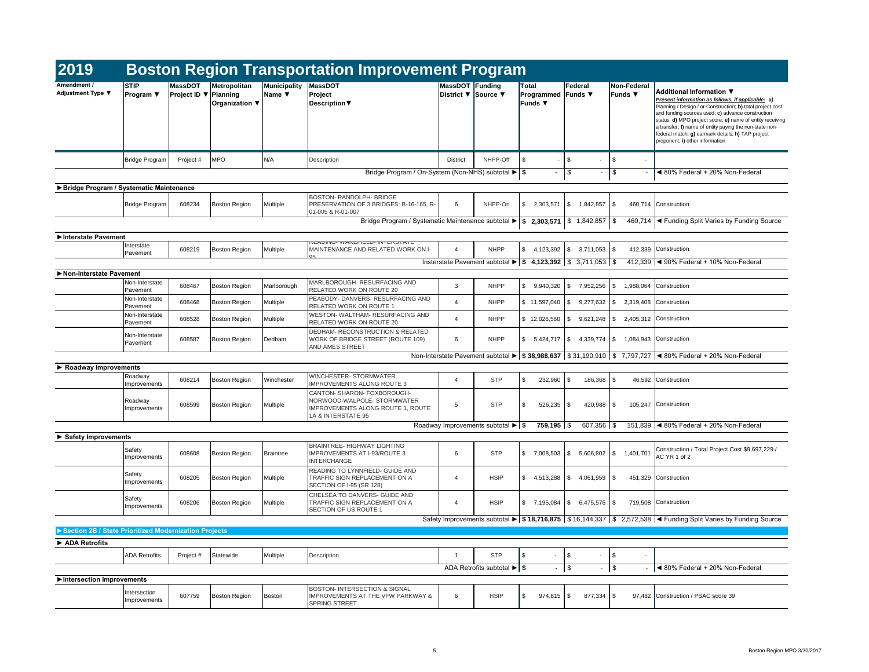| 2019                                                  |                                 |                                                |                                       |                               | <b>Boston Region Transportation Improvement Program</b>                                                                  |                                               |                                                                                        |                                               |                               |                                           |                                                                                                                                                                                                                                                                                                                                                                                                                           |
|-------------------------------------------------------|---------------------------------|------------------------------------------------|---------------------------------------|-------------------------------|--------------------------------------------------------------------------------------------------------------------------|-----------------------------------------------|----------------------------------------------------------------------------------------|-----------------------------------------------|-------------------------------|-------------------------------------------|---------------------------------------------------------------------------------------------------------------------------------------------------------------------------------------------------------------------------------------------------------------------------------------------------------------------------------------------------------------------------------------------------------------------------|
| Amendment /<br><b>Adjustment Type ▼</b>               | <b>STIP</b><br><b>Program</b> ▼ | <b>MassDOT</b><br>Project ID $\nabla$ Planning | Metropolitan<br><b>Organization</b> ▼ | <b>Municipality</b><br>Name ▼ | MassDOT<br>Project<br><b>Description</b> ▼                                                                               | <b>MassDOT Funding</b><br>District ▼ Source ▼ |                                                                                        | Total<br><b>Programmed Funds</b> ▼<br>Funds ▼ | Federal                       | Non-Federal<br>Funds $\blacktriangledown$ | <b>Additional Information ▼</b><br>Present information as follows, if applicable: a)<br>Planning / Design / or Construction; b) total project cost<br>and funding sources used; $c)$ advance construction<br>status; d) MPO project score; e) name of entity receiving<br>a transfer; f) name of entity paying the non-state non-<br>federal match; g) earmark details; h) TAP project<br>proponent; i) other information |
|                                                       | <b>Bridge Program</b>           | Project #                                      | <b>MPO</b>                            | N/A                           | Description                                                                                                              | <b>District</b>                               | NHPP-Off                                                                               | -\$                                           | 1 S<br>$\sim$                 | \$<br>$\overline{\phantom{a}}$            |                                                                                                                                                                                                                                                                                                                                                                                                                           |
|                                                       |                                 |                                                |                                       |                               | Bridge Program / On-System (Non-NHS) subtotal ▶ \$                                                                       |                                               |                                                                                        | $\blacksquare$                                | \$<br>$\sim$                  | $\sqrt[6]{3}$                             | ◀ 80% Federal + 20% Non-Federal                                                                                                                                                                                                                                                                                                                                                                                           |
| ▶ Bridge Program / Systematic Maintenance             |                                 |                                                |                                       |                               |                                                                                                                          |                                               |                                                                                        |                                               |                               |                                           |                                                                                                                                                                                                                                                                                                                                                                                                                           |
|                                                       | <b>Bridge Program</b>           | 608234                                         | Boston Region                         | Multiple                      | <b>BOSTON- RANDOLPH- BRIDGE</b><br>PRESERVATION OF 3 BRIDGES: B-16-165, R-<br>01-005 & R-01-007                          | 6                                             | NHPP-On                                                                                | \$<br>2,303,571                               | $\vert$ \$<br>$1,842,857$ \\$ |                                           | 460,714 Construction                                                                                                                                                                                                                                                                                                                                                                                                      |
|                                                       |                                 |                                                |                                       |                               | Bridge Program / Systematic Maintenance subtotal $\blacktriangleright$ $\mid$ \$ 2,303,571 $\mid$ \$ 1,842,857 $\mid$ \$ |                                               |                                                                                        |                                               |                               |                                           | 460,714  ◀ Funding Split Varies by Funding Source                                                                                                                                                                                                                                                                                                                                                                         |
| Interstate Pavement                                   |                                 |                                                |                                       |                               | READIING-WAREFIELD- INTERSTATE                                                                                           |                                               |                                                                                        |                                               |                               |                                           |                                                                                                                                                                                                                                                                                                                                                                                                                           |
|                                                       | Interstate<br>Pavement          | 608219                                         | <b>Boston Region</b>                  | Multiple                      | MAINTENANCE AND RELATED WORK ON I-<br>Q5                                                                                 | $\Delta$                                      | <b>NHPP</b>                                                                            | \$<br>$4,123,392$ \\$                         | $3,711,053$ \\$               |                                           | 412,339 Construction                                                                                                                                                                                                                                                                                                                                                                                                      |
|                                                       |                                 |                                                |                                       |                               |                                                                                                                          |                                               | Insterstate Pavement subtotal $\blacktriangleright$   \$ 4,123,392   \$ 3,711,053   \$ |                                               |                               |                                           | 412,339 $\blacktriangleleft$ 90% Federal + 10% Non-Federal                                                                                                                                                                                                                                                                                                                                                                |
| Non-Interstate Pavement                               |                                 |                                                |                                       |                               |                                                                                                                          |                                               |                                                                                        |                                               |                               |                                           |                                                                                                                                                                                                                                                                                                                                                                                                                           |
|                                                       | Non-Interstate<br>Pavement      | 608467                                         | <b>Boston Region</b>                  | Marlborough                   | MARLBOROUGH- RESURFACING AND<br><b>RELATED WORK ON ROUTE 20</b>                                                          | 3                                             | <b>NHPP</b>                                                                            | \$<br>9,940,320                               | 7,952,256<br>-\$              | \$<br>1,988,064                           | Construction                                                                                                                                                                                                                                                                                                                                                                                                              |
|                                                       | Non-Interstate<br>Pavement      | 608468                                         | <b>Boston Region</b>                  | Multiple                      | PEABODY- DANVERS- RESURFACING AND<br><b>RELATED WORK ON ROUTE 1</b>                                                      |                                               | <b>NHPP</b>                                                                            | \$11,597,040                                  | \$<br>9,277,632               | - S                                       | 2,319,408 Construction                                                                                                                                                                                                                                                                                                                                                                                                    |
|                                                       | Non-Interstate<br>Pavement      | 608528                                         | <b>Boston Region</b>                  | Multiple                      | WESTON- WALTHAM- RESURFACING AND<br><b>RELATED WORK ON ROUTE 20</b>                                                      | -4                                            | <b>NHPP</b>                                                                            | $$12,026,560$ \ \$                            | 9,621,248                     | - S                                       | 2,405,312 Construction                                                                                                                                                                                                                                                                                                                                                                                                    |
|                                                       | Non-Interstate<br>Pavement      | 608587                                         | <b>Boston Region</b>                  | Dedham                        | <b>DEDHAM- RECONSTRUCTION &amp; RELATED</b><br>WORK OF BRIDGE STREET (ROUTE 109)<br><b>AND AMES STREET</b>               | 6                                             | <b>NHPP</b>                                                                            | \$<br>$5,424,717$ \\$                         | 4,339,774                     | 8 S                                       | 1,084,943 Construction                                                                                                                                                                                                                                                                                                                                                                                                    |
|                                                       |                                 |                                                |                                       |                               |                                                                                                                          |                                               |                                                                                        |                                               |                               |                                           | Non-Interstate Pavement subtotal $\blacktriangleright$   \$ 38,988,637   \$ 31,190,910   \$ 7,797,727   $\blacktriangleleft$ 80% Federal + 20% Non-Federal                                                                                                                                                                                                                                                                |
| $\triangleright$ Roadway Improvements                 |                                 |                                                |                                       |                               |                                                                                                                          |                                               |                                                                                        |                                               |                               |                                           |                                                                                                                                                                                                                                                                                                                                                                                                                           |
|                                                       | Roadway<br>Improvements         | 608214                                         | Boston Region                         | Winchester                    | WINCHESTER-STORMWATER<br><b>IMPROVEMENTS ALONG ROUTE 3</b>                                                               | 4                                             | <b>STP</b>                                                                             | -\$<br>$232,960$ \\$                          | $186,368$ \$                  |                                           | 46,592 Construction                                                                                                                                                                                                                                                                                                                                                                                                       |
|                                                       | Roadway<br>Improvements         | 608599                                         | Boston Region                         | Multiple                      | CANTON- SHARON- FOXBOROUGH-<br>NORWOOD-WALPOLE- STORMWATER<br>IMPROVEMENTS ALONG ROUTE 1, ROUTE<br>1A & INTERSTATE 95    | 5                                             | <b>STP</b>                                                                             | $526,235$ \\$<br>-\$                          | $420,988$ \\$                 |                                           | 105,247 Construction                                                                                                                                                                                                                                                                                                                                                                                                      |
|                                                       |                                 |                                                |                                       |                               |                                                                                                                          |                                               | Roadway Improvements subtotal $\blacktriangleright$   \$                               | $759,195$ \$                                  | $607,356$ \\$                 |                                           | 151,839 < 80% Federal + 20% Non-Federal                                                                                                                                                                                                                                                                                                                                                                                   |
| $\triangleright$ Safety Improvements                  |                                 |                                                |                                       |                               |                                                                                                                          |                                               |                                                                                        |                                               |                               |                                           |                                                                                                                                                                                                                                                                                                                                                                                                                           |
|                                                       | Safety<br>Improvements          | 608608                                         | Boston Region                         | <b>Braintree</b>              | <b>BRAINTREE- HIGHWAY LIGHTING</b><br><b>IMPROVEMENTS AT I-93/ROUTE 3</b><br><b>INTERCHANGE</b>                          | 6                                             | <b>STP</b>                                                                             | \$<br>$7,008,503$ \$                          |                               | $5,606,802$ \\$ 1,401,701                 | Construction / Total Project Cost \$9,697,229 /<br>AC YR 1 of 2                                                                                                                                                                                                                                                                                                                                                           |
|                                                       | Safety<br>Improvements          | 608205                                         | Boston Region                         | Multiple                      | READING TO LYNNFIELD- GUIDE AND<br>TRAFFIC SIGN REPLACEMENT ON A<br>SECTION OF I-95 (SR 128)                             | 4                                             | <b>HSIP</b>                                                                            | \$<br>$4,513,288$ \\$                         | 4,061,959 \$                  |                                           | 451,329 Construction                                                                                                                                                                                                                                                                                                                                                                                                      |
|                                                       | Safety<br>Improvements          | 608206                                         | Boston Region                         | Multiple                      | CHELSEA TO DANVERS- GUIDE AND<br>TRAFFIC SIGN REPLACEMENT ON A<br><b>SECTION OF US ROUTE 1</b>                           | 4                                             | <b>HSIP</b>                                                                            | \$<br>7,195,084 \$                            | $6,475,576$ \$                |                                           | 719,508 Construction                                                                                                                                                                                                                                                                                                                                                                                                      |
|                                                       |                                 |                                                |                                       |                               |                                                                                                                          |                                               |                                                                                        |                                               |                               |                                           | Safety Improvements subtotal ► \$18,716,875   \$16,144,337   \$2,572,538   < Funding Split Varies by Funding Source                                                                                                                                                                                                                                                                                                       |
| Section 2B / State Prioritized Modernization Projects |                                 |                                                |                                       |                               |                                                                                                                          |                                               |                                                                                        |                                               |                               |                                           |                                                                                                                                                                                                                                                                                                                                                                                                                           |
| $\blacktriangleright$ ADA Retrofits                   |                                 |                                                |                                       |                               |                                                                                                                          |                                               |                                                                                        |                                               |                               |                                           |                                                                                                                                                                                                                                                                                                                                                                                                                           |
|                                                       | <b>ADA Retrofits</b>            | Project #                                      | Statewide                             | Multiple                      | Description                                                                                                              |                                               | <b>STP</b>                                                                             | -\$<br>$\overline{\phantom{a}}$               | $\vert$ \$<br>$\sim$          | \$<br>$\sim$                              |                                                                                                                                                                                                                                                                                                                                                                                                                           |
|                                                       |                                 |                                                |                                       |                               |                                                                                                                          |                                               | ADA Retrofits subtotal $\blacktriangleright$   \$                                      | $-1$ \$                                       | $\sim$                        | $\vert$ \$                                | $ \blacktriangleleft$ 80% Federal + 20% Non-Federal                                                                                                                                                                                                                                                                                                                                                                       |
| Intersection Improvements                             |                                 |                                                |                                       |                               |                                                                                                                          |                                               |                                                                                        |                                               |                               |                                           |                                                                                                                                                                                                                                                                                                                                                                                                                           |
|                                                       | Intersection<br>Improvements    | 607759                                         | Boston Region                         | Boston                        | <b>BOSTON- INTERSECTION &amp; SIGNAL</b><br><b>IMPROVEMENTS AT THE VFW PARKWAY &amp;</b><br><b>SPRING STREET</b>         | 6                                             | <b>HSIP</b>                                                                            | -\$<br>$974,815$ \\$                          | $877,334$ \\$                 |                                           | 97,482 Construction / PSAC score 39                                                                                                                                                                                                                                                                                                                                                                                       |

| Non-Federal<br>Funds $\blacktriangledown$ | Additional Information ▼<br>Present information as follows, if applicable: a)<br>Planning / Design / or Construction; b) total project cost<br>and funding sources used; c) advance construction<br>status; d) MPO project score; e) name of entity receiving<br>a transfer; f) name of entity paying the non-state non-<br>federal match; q) earmark details; h) TAP project<br>proponent; i) other information |
|-------------------------------------------|------------------------------------------------------------------------------------------------------------------------------------------------------------------------------------------------------------------------------------------------------------------------------------------------------------------------------------------------------------------------------------------------------------------|
| \$                                        |                                                                                                                                                                                                                                                                                                                                                                                                                  |
|                                           | 80% Federal + 20% Non-Federal                                                                                                                                                                                                                                                                                                                                                                                    |

| 6.802 | \$<br>1,401,701 | Construction / Total Project Cost \$9,697,229 /<br>AC YR 1 of 2 |
|-------|-----------------|-----------------------------------------------------------------|
| 1,959 | \$<br>451,329   | Construction                                                    |
| 5.576 | \$<br>719,508   | Construction                                                    |
|       |                 | 1,337 St 2,572,538 St Funding Split Varies by Funding Source    |

|       | \$ | ◀ 80% Federal + 20% Non-Federal     |
|-------|----|-------------------------------------|
|       |    |                                     |
| 7,334 | \$ | 97,482 Construction / PSAC score 39 |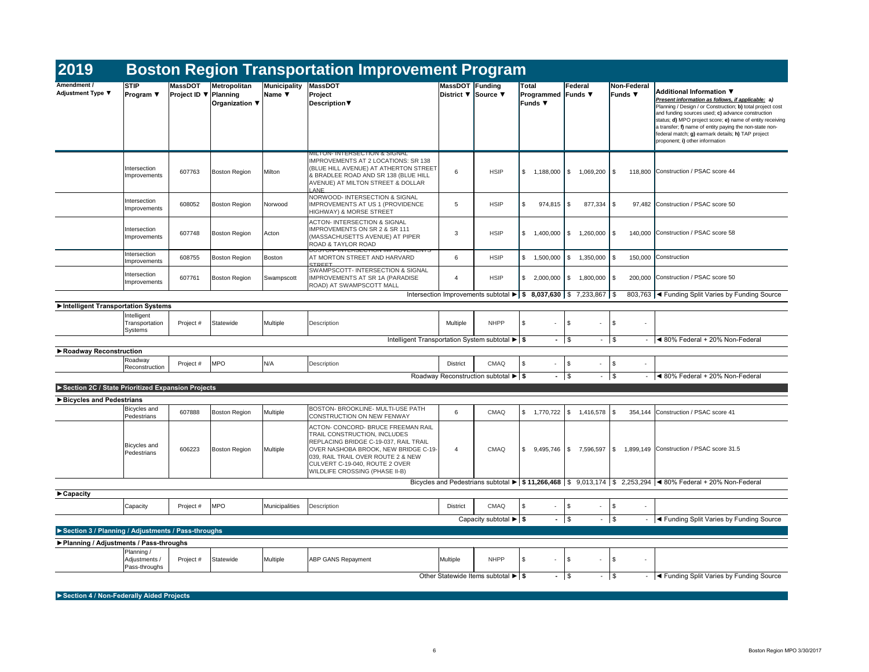| 2019                                               |                                                    |                                                |                                       |                             | <b>Boston Region Transportation Improvement Program</b>                                                                                                                                                                                                       |                        |                                                                                             |                                                      |                               |                                                       |                                                                                                                                                                                                                                                                                                                                                                                                                         |
|----------------------------------------------------|----------------------------------------------------|------------------------------------------------|---------------------------------------|-----------------------------|---------------------------------------------------------------------------------------------------------------------------------------------------------------------------------------------------------------------------------------------------------------|------------------------|---------------------------------------------------------------------------------------------|------------------------------------------------------|-------------------------------|-------------------------------------------------------|-------------------------------------------------------------------------------------------------------------------------------------------------------------------------------------------------------------------------------------------------------------------------------------------------------------------------------------------------------------------------------------------------------------------------|
| <b>Amendment /</b><br><b>Adjustment Type ▼</b>     | <b>STIP</b><br><b>Program</b> $\blacktriangledown$ | <b>MassDOT</b><br>Project ID $\nabla$ Planning | <b>Metropolitan</b><br>Organization ▼ | Municipality<br>Name $\Psi$ | MassDOT<br>Project<br>Description $\blacktriangledown$                                                                                                                                                                                                        | <b>MassDOT Funding</b> | District ▼ Source ▼                                                                         | <b>Total</b><br><b>Programmed Funds</b> ▼<br>Funds ▼ | <b>Federal</b>                | Non-Federal<br>Funds ▼                                | <b>Additional Information ▼</b><br>Present information as follows, if applicable: a)<br>Planning / Design / or Construction; b) total project cost<br>and funding sources used; c) advance construction<br>status; d) MPO project score; e) name of entity receiving<br>a transfer; f) name of entity paying the non-state non-<br>federal match; g) earmark details; h) TAP project<br>proponent; i) other information |
|                                                    | Intersection<br>Improvements                       | 607763                                         | Boston Region                         | Milton                      | MILTON- INTERSECTION & SIGNAL<br>IMPROVEMENTS AT 2 LOCATIONS: SR 138<br>(BLUE HILL AVENUE) AT ATHERTON STREET<br>& BRADLEE ROAD AND SR 138 (BLUE HILL<br>AVENUE) AT MILTON STREET & DOLLAR<br>LANE                                                            | 6                      | <b>HSIP</b>                                                                                 | \$<br>1,188,000                                      | \$<br>1,069,200 \$            |                                                       | 118,800 Construction / PSAC score 44                                                                                                                                                                                                                                                                                                                                                                                    |
|                                                    | Intersection<br>Improvements                       | 608052                                         | <b>Boston Region</b>                  | Norwood                     | NORWOOD- INTERSECTION & SIGNAL<br><b>IMPROVEMENTS AT US 1 (PROVIDENCE</b><br>HIGHWAY) & MORSE STREET                                                                                                                                                          | 5                      | <b>HSIP</b>                                                                                 | -\$<br>$974,815$ \\$                                 | $877,334$ \\$                 |                                                       | 97,482 Construction / PSAC score 50                                                                                                                                                                                                                                                                                                                                                                                     |
|                                                    | Intersection<br>Improvements                       | 607748                                         | <b>Boston Region</b>                  | Acton                       | <b>ACTON- INTERSECTION &amp; SIGNAL</b><br><b>IMPROVEMENTS ON SR 2 &amp; SR 111</b><br>(MASSACHUSETTS AVENUE) AT PIPER<br><b>ROAD &amp; TAYLOR ROAD</b>                                                                                                       | 3                      | <b>HSIP</b>                                                                                 | \$<br>1,400,000                                      | \$<br>$1,260,000$ $\mid$ \$   |                                                       | 140,000 Construction / PSAC score 58                                                                                                                                                                                                                                                                                                                                                                                    |
|                                                    | Intersection<br>Improvements                       | 608755                                         | <b>Boston Region</b>                  | Boston                      | <b>DUJI UIY- IIVI ERJEU HUN IIVIPRUVEIVIEN I J</b><br><b>AT MORTON STREET AND HARVARD</b>                                                                                                                                                                     | 6                      | <b>HSIP</b>                                                                                 | \$<br>1,500,000                                      | $1,350,000$ \\$<br>S.         |                                                       | 150,000 Construction                                                                                                                                                                                                                                                                                                                                                                                                    |
|                                                    | Intersection<br>Improvements                       | 607761                                         | Boston Region                         | Swampscott                  | <b>STREET</b><br><b>SWAMPSCOTT-INTERSECTION &amp; SIGNAL</b><br><b>IMPROVEMENTS AT SR 1A (PARADISE</b><br><b>ROAD) AT SWAMPSCOTT MALL</b>                                                                                                                     |                        | <b>HSIP</b>                                                                                 | \$<br>2,000,000                                      | $1,800,000$ $\mid$ \$<br>- SS |                                                       | 200,000 Construction / PSAC score 50                                                                                                                                                                                                                                                                                                                                                                                    |
|                                                    |                                                    |                                                |                                       |                             |                                                                                                                                                                                                                                                               |                        | Intersection Improvements subtotal $\blacktriangleright$   \$ 8,037,630   \$ 7,233,867   \$ |                                                      |                               |                                                       | 803,763  ◀ Funding Split Varies by Funding Source                                                                                                                                                                                                                                                                                                                                                                       |
| Intelligent Transportation Systems                 | Intelligent<br>Transportation<br>Systems           | Project #                                      | Statewide                             | Multiple                    | Description<br>Intelligent Transportation System subtotal $\blacktriangleright$ $\blacktriangleright$                                                                                                                                                         | Multiple               | <b>NHPP</b>                                                                                 | -\$<br>$-1$ \$                                       | \$.<br>$\sim$<br>٠            | $\mathfrak{S}$<br>$\sqrt{3}$                          | $\blacktriangleleft$ 80% Federal + 20% Non-Federal                                                                                                                                                                                                                                                                                                                                                                      |
| ▶ Roadway Reconstruction                           | Roadway<br>Reconstruction                          | Project #                                      | <b>MPO</b>                            | N/A                         | Description                                                                                                                                                                                                                                                   | <b>District</b>        | <b>CMAQ</b>                                                                                 | \$<br>$\sim$                                         | \$                            | \$<br>۰                                               |                                                                                                                                                                                                                                                                                                                                                                                                                         |
|                                                    |                                                    |                                                |                                       |                             |                                                                                                                                                                                                                                                               |                        | Roadway Reconstruction subtotal $\blacktriangleright$ \$                                    | $-1$ \$                                              | ۰.                            | $\sqrt{S}$<br>$\sim$                                  | $\blacktriangleleft$ 80% Federal + 20% Non-Federal                                                                                                                                                                                                                                                                                                                                                                      |
| Section 2C / State Prioritized Expansion Projects  |                                                    |                                                |                                       |                             |                                                                                                                                                                                                                                                               |                        |                                                                                             |                                                      |                               |                                                       |                                                                                                                                                                                                                                                                                                                                                                                                                         |
| ▶ Bicycles and Pedestrians                         | Bicycles and<br>Pedestrians                        | 607888                                         | <b>Boston Region</b>                  | Multiple                    | BOSTON- BROOKLINE- MULTI-USE PATH<br>CONSTRUCTION ON NEW FENWAY                                                                                                                                                                                               | 6                      | <b>CMAQ</b>                                                                                 | $\frac{1}{2}$<br>1,770,722                           | $1,416,578$ \\$<br>\$         | 354,144                                               | Construction / PSAC score 41                                                                                                                                                                                                                                                                                                                                                                                            |
|                                                    | <b>Bicycles</b> and<br>Pedestrians                 | 606223                                         | <b>Boston Region</b>                  | Multiple                    | ACTON- CONCORD- BRUCE FREEMAN RAIL<br>TRAIL CONSTRUCTION, INCLUDES<br>REPLACING BRIDGE C-19-037, RAIL TRAIL<br>OVER NASHOBA BROOK, NEW BRIDGE C-19-<br>039, RAIL TRAIL OVER ROUTE 2 & NEW<br>CULVERT C-19-040, ROUTE 2 OVER<br>WILDLIFE CROSSING (PHASE II-B) | 4                      | <b>CMAQ</b>                                                                                 | \$<br>9,495,746 \$                                   |                               |                                                       | 7,596,597   \$ 1,899,149   Construction / PSAC score 31.5                                                                                                                                                                                                                                                                                                                                                               |
|                                                    |                                                    |                                                |                                       |                             |                                                                                                                                                                                                                                                               |                        |                                                                                             |                                                      |                               |                                                       | Bicycles and Pedestrians subtotal $\blacktriangleright$   \$ 11,266,468   \$ 9,013,174   \$ 2,253,294   < 80% Federal + 20% Non-Federal                                                                                                                                                                                                                                                                                 |
| $\blacktriangleright$ Capacity                     | Capacity                                           | Project #                                      | <b>MPO</b>                            | Municipalities              | Description                                                                                                                                                                                                                                                   | <b>District</b>        | <b>CMAQ</b>                                                                                 | $\sqrt[6]{3}$<br>$\blacksquare$                      | \$<br>$\sim$                  | \$<br>$\sim$                                          |                                                                                                                                                                                                                                                                                                                                                                                                                         |
|                                                    |                                                    |                                                |                                       |                             |                                                                                                                                                                                                                                                               |                        | Capacity subtotal $\blacktriangleright$ $\blacktriangleright$                               | $-$ \$                                               | ۰                             | $\sqrt{3}$                                            | I < Funding Split Varies by Funding Source                                                                                                                                                                                                                                                                                                                                                                              |
| Section 3 / Planning / Adjustments / Pass-throughs |                                                    |                                                |                                       |                             |                                                                                                                                                                                                                                                               |                        |                                                                                             |                                                      |                               |                                                       |                                                                                                                                                                                                                                                                                                                                                                                                                         |
| ▶ Planning / Adjustments / Pass-throughs           | Planning /<br>Adjustments /<br>Pass-throughs       | Project #                                      | Statewide                             | Multiple                    | <b>ABP GANS Repayment</b>                                                                                                                                                                                                                                     | Multiple               | <b>NHPP</b>                                                                                 | $\sqrt[6]{3}$<br>$\sim$                              | -\$                           | $\boldsymbol{\mathsf{S}}$<br>$\overline{\phantom{a}}$ |                                                                                                                                                                                                                                                                                                                                                                                                                         |
|                                                    |                                                    |                                                |                                       |                             |                                                                                                                                                                                                                                                               |                        | Other Statewide Items subtotal $\blacktriangleright$ \$                                     | $-$ \$                                               | ٠                             | $\vert$ \$                                            | $\blacktriangleleft$ Funding Split Varies by Funding Source                                                                                                                                                                                                                                                                                                                                                             |

**►Section 4 / Non-Federally Aided Projects**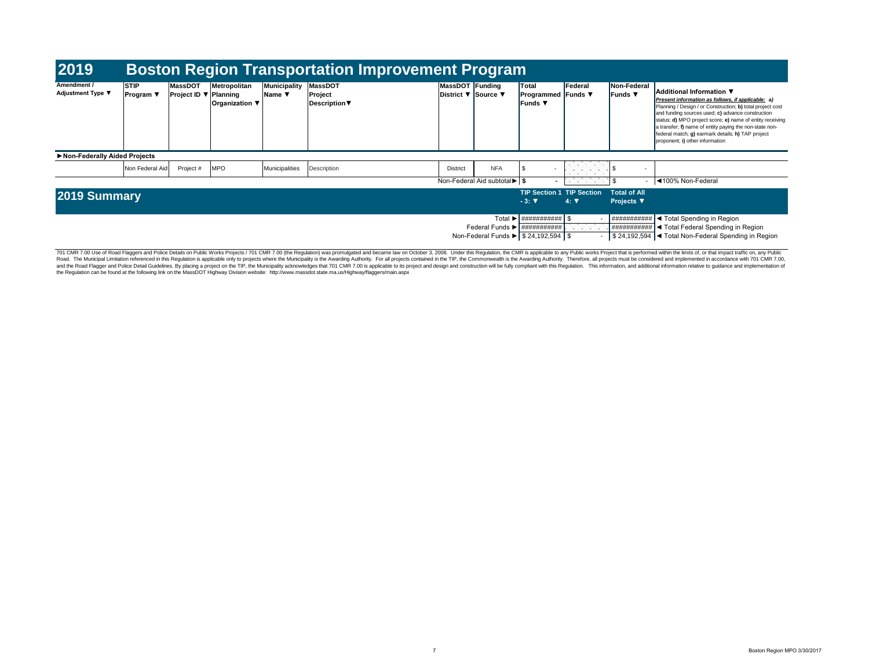| 2019                                    |                                                    |                                |                                                   |                                                  |                                            | <b>Boston Region Transportation Improvement Program</b> |                                 |                                                                                                                                                                       |                                                                                                                                                                                                                                                                                                                     |                                          |                                                                                                                                                                                                                                                                                                                                                                                                                  |
|-----------------------------------------|----------------------------------------------------|--------------------------------|---------------------------------------------------|--------------------------------------------------|--------------------------------------------|---------------------------------------------------------|---------------------------------|-----------------------------------------------------------------------------------------------------------------------------------------------------------------------|---------------------------------------------------------------------------------------------------------------------------------------------------------------------------------------------------------------------------------------------------------------------------------------------------------------------|------------------------------------------|------------------------------------------------------------------------------------------------------------------------------------------------------------------------------------------------------------------------------------------------------------------------------------------------------------------------------------------------------------------------------------------------------------------|
| Amendment /<br><b>Adjustment Type ▼</b> | <b>STIP</b><br><b>Program</b> $\blacktriangledown$ | <b>MassDOT</b><br>Project ID ▼ | Metropolitan<br>/ Planning<br>Organization $\Psi$ | <b>Municipality</b><br>Name $\blacktriangledown$ | MassDOT<br>Project<br><b>Description</b> ▼ | MassDOT Funding<br>District <b>▼</b> Source ▼           |                                 | Total<br><b>Programmed Funds</b> ▼<br><b>Funds</b> ▼                                                                                                                  | <b>Federal</b>                                                                                                                                                                                                                                                                                                      | Non-Federal<br>Funds ▼                   | Additional Information ▼<br>Present information as follows, if applicable: a)<br>Planning / Design / or Construction; b) total project cost<br>and funding sources used; c) advance construction<br>status; d) MPO project score; e) name of entity receiving<br>a transfer; f) name of entity paying the non-state non-<br>federal match; g) earmark details; h) TAP project<br>proponent; i) other information |
| Non-Federally Aided Projects            |                                                    |                                |                                                   |                                                  |                                            |                                                         |                                 |                                                                                                                                                                       |                                                                                                                                                                                                                                                                                                                     |                                          |                                                                                                                                                                                                                                                                                                                                                                                                                  |
|                                         | Non Federal Aid                                    | Project #                      | <b>MPO</b>                                        | Municipalities                                   | Description                                | <b>District</b>                                         | <b>NFA</b>                      |                                                                                                                                                                       | the company of the company<br><b>A REPORT OF STREET</b>                                                                                                                                                                                                                                                             | ା \$                                     |                                                                                                                                                                                                                                                                                                                                                                                                                  |
|                                         |                                                    |                                |                                                   |                                                  |                                            |                                                         | Non-Federal Aid subtotal ▶   \$ |                                                                                                                                                                       | $\frac{1}{2}$ $\frac{1}{2}$ $\frac{1}{2}$ $\frac{1}{2}$ $\frac{1}{2}$ $\frac{1}{2}$ $\frac{1}{2}$ $\frac{1}{2}$ $\frac{1}{2}$ $\frac{1}{2}$ $\frac{1}{2}$ $\frac{1}{2}$ $\frac{1}{2}$ $\frac{1}{2}$ $\frac{1}{2}$ $\frac{1}{2}$ $\frac{1}{2}$ $\frac{1}{2}$ $\frac{1}{2}$ $\frac{1}{2}$ $\frac{1}{2}$ $\frac{1}{2}$ | $\sim$ 10 $\pm$                          | 100% Non-Federal                                                                                                                                                                                                                                                                                                                                                                                                 |
| 2019 Summary                            |                                                    |                                |                                                   |                                                  |                                            |                                                         |                                 | <b>TIP Section 1 TIP Section</b><br>$-3:$ $\nabla$                                                                                                                    | $4: \nabla$                                                                                                                                                                                                                                                                                                         | <b>Total of All</b><br><b>Projects ▼</b> |                                                                                                                                                                                                                                                                                                                                                                                                                  |
|                                         |                                                    |                                |                                                   |                                                  |                                            |                                                         |                                 | Total $\blacktriangleright$   ###########   \$<br>Federal Funds $\blacktriangleright$   ###########  <br>Non-Federal Funds $\blacktriangleright$   \$ 24,192,594   \$ | 1999 B.D. P. L                                                                                                                                                                                                                                                                                                      | ###########                              | $\blacktriangleleft$ Total Spending in Region<br>$\# \# \# \# \# \# \# \# \Leftrightarrow$ Total Federal Spending in Region<br>\$24,192,594  ◀ Total Non-Federal Spending in Region                                                                                                                                                                                                                              |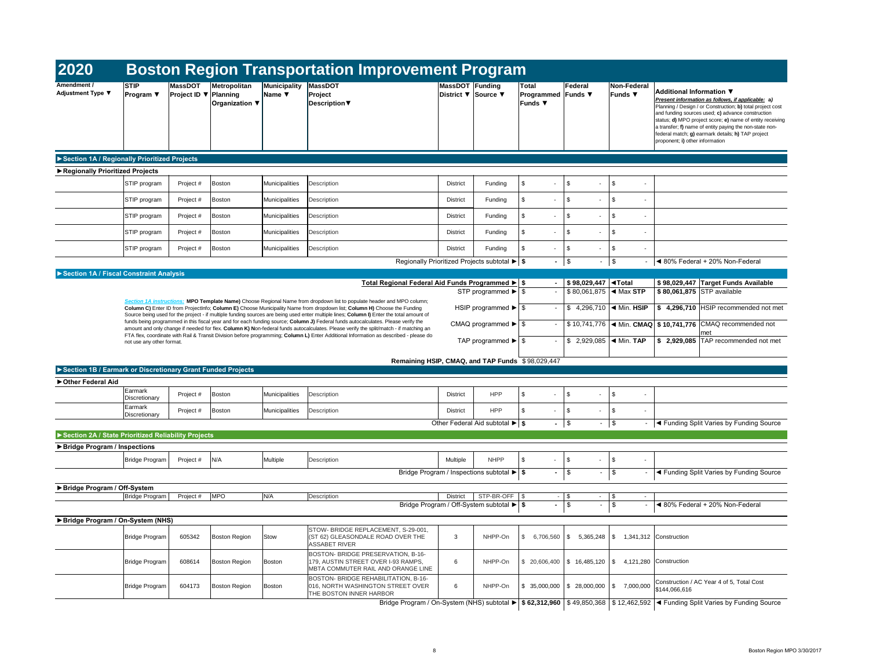| 2020                                                        |                               |                                                |                                       |                                           | <b>Boston Region Transportation Improvement Program</b>                                                                                                                                                                                                                                                                                                                                                                                                                                                                             |                                        |                                                                               |                                               |                                              |                                           |                                                                                                                                                                                                                                                                                                                                                                                                                         |
|-------------------------------------------------------------|-------------------------------|------------------------------------------------|---------------------------------------|-------------------------------------------|-------------------------------------------------------------------------------------------------------------------------------------------------------------------------------------------------------------------------------------------------------------------------------------------------------------------------------------------------------------------------------------------------------------------------------------------------------------------------------------------------------------------------------------|----------------------------------------|-------------------------------------------------------------------------------|-----------------------------------------------|----------------------------------------------|-------------------------------------------|-------------------------------------------------------------------------------------------------------------------------------------------------------------------------------------------------------------------------------------------------------------------------------------------------------------------------------------------------------------------------------------------------------------------------|
| Amendment /<br><b>Adjustment Type ▼</b>                     | <b>STIP</b><br>Program $\Psi$ | <b>MassDOT</b><br>Project ID $\nabla$ Planning | Metropolitan<br><b>Organization</b> ▼ | Municipality<br>Name $\blacktriangledown$ | MassDOT<br>Project<br>Description $\blacktriangledown$                                                                                                                                                                                                                                                                                                                                                                                                                                                                              | MassDOT Funding<br>District ▼ Source ▼ |                                                                               | Total<br>Programmed Funds ▼<br><b>Funds ▼</b> | Federal                                      | Non-Federal<br><b>Funds</b> ▼             | <b>Additional Information ▼</b><br>Present information as follows, if applicable: a)<br>Planning / Design / or Construction; b) total project cost<br>and funding sources used; c) advance construction<br>status; d) MPO project score; e) name of entity receiving<br>a transfer; f) name of entity paying the non-state non-<br>federal match; g) earmark details; h) TAP project<br>proponent; i) other information |
| Section 1A / Regionally Prioritized Projects                |                               |                                                |                                       |                                           |                                                                                                                                                                                                                                                                                                                                                                                                                                                                                                                                     |                                        |                                                                               |                                               |                                              |                                           |                                                                                                                                                                                                                                                                                                                                                                                                                         |
| Regionally Prioritized Projects                             |                               |                                                |                                       |                                           |                                                                                                                                                                                                                                                                                                                                                                                                                                                                                                                                     |                                        |                                                                               |                                               |                                              |                                           |                                                                                                                                                                                                                                                                                                                                                                                                                         |
|                                                             | STIP program                  | Project #                                      | Boston                                | Municipalities                            | Description                                                                                                                                                                                                                                                                                                                                                                                                                                                                                                                         | <b>District</b>                        | Funding                                                                       | S.                                            | \$                                           | \$<br>$\sim$                              |                                                                                                                                                                                                                                                                                                                                                                                                                         |
|                                                             | STIP program                  | Project #                                      | Boston                                | Municipalities                            | Description                                                                                                                                                                                                                                                                                                                                                                                                                                                                                                                         | <b>District</b>                        | Funding                                                                       | S                                             | \$<br>$\overline{\phantom{a}}$               | \$<br>$\overline{\phantom{a}}$            |                                                                                                                                                                                                                                                                                                                                                                                                                         |
|                                                             | STIP program                  | Project #                                      | Boston                                | Municipalities                            | Description                                                                                                                                                                                                                                                                                                                                                                                                                                                                                                                         | <b>District</b>                        | Funding                                                                       | \$                                            | -\$                                          | \$<br>$\sim$                              |                                                                                                                                                                                                                                                                                                                                                                                                                         |
|                                                             | STIP program                  | Project #                                      | Boston                                | <b>Municipalities</b>                     | Description                                                                                                                                                                                                                                                                                                                                                                                                                                                                                                                         | <b>District</b>                        | Funding                                                                       | - \$                                          | -\$<br>$\overline{\phantom{a}}$              | \$<br>$\sim$                              |                                                                                                                                                                                                                                                                                                                                                                                                                         |
|                                                             | STIP program                  | Project #                                      | Boston                                | Municipalities                            | Description                                                                                                                                                                                                                                                                                                                                                                                                                                                                                                                         | <b>District</b>                        | Funding                                                                       | - \$                                          | -\$<br>۰                                     | \$<br>$\sim$                              |                                                                                                                                                                                                                                                                                                                                                                                                                         |
|                                                             |                               |                                                |                                       |                                           |                                                                                                                                                                                                                                                                                                                                                                                                                                                                                                                                     |                                        | Regionally Prioritized Projects subtotal ▶ \$                                 | $\sim 100$                                    | \$<br>$\sim$                                 | $\boldsymbol{\mathsf{S}}$<br>$\sim$       | ◀ 80% Federal + 20% Non-Federal                                                                                                                                                                                                                                                                                                                                                                                         |
| Section 1A / Fiscal Constraint Analysis                     |                               |                                                |                                       |                                           | Total Regional Federal Aid Funds Programmed ▶ \$                                                                                                                                                                                                                                                                                                                                                                                                                                                                                    |                                        |                                                                               |                                               | $$98,029,447$ $\blacktriangleleft$ Total     |                                           | \$98,029,447 Target Funds Available                                                                                                                                                                                                                                                                                                                                                                                     |
|                                                             |                               |                                                |                                       |                                           |                                                                                                                                                                                                                                                                                                                                                                                                                                                                                                                                     |                                        |                                                                               |                                               | $$80,061,875$ $\blacktriangleleft$ Max STP   |                                           | \$80,061,875 STP available                                                                                                                                                                                                                                                                                                                                                                                              |
|                                                             |                               |                                                |                                       |                                           | Section 1A instructions: MPO Template Name) Choose Regional Name from dropdown list to populate header and MPO column;<br>Column C) Enter ID from ProjectInfo; Column E) Choose Municipality Name from dropdown list; Column H) Choose the Funding<br>Source being used for the project - if multiple funding sources are being used enter multiple lines; Column I) Enter the total amount of<br>funds being programmed in this fiscal year and for each funding source; Column J) Federal funds autocalculates. Please verify the |                                        |                                                                               |                                               | \$ 4,296,710 $\blacktriangleleft$ Min. HSIP  |                                           | $$4,296,710$ HSIP recommended not met                                                                                                                                                                                                                                                                                                                                                                                   |
|                                                             | not use any other format.     |                                                |                                       |                                           | amount and only change if needed for flex. Column K) Non-federal funds autocalculates. Please verify the split/match - if matching an<br>FTA flex, coordinate with Rail & Transit Division before programming; Column L) Enter Additional Information as described - please do                                                                                                                                                                                                                                                      |                                        | TAP programmed $\blacktriangleright$ \ \$                                     |                                               | \$ 2,929,085   $\blacktriangleleft$ Min. TAP |                                           | \$ 10,741,776   ◀ Min. CMAQ   \$ 10,741,776 CMAQ recommended not<br>met<br>$\frac{1}{2}$ ,929,085 TAP recommended not met                                                                                                                                                                                                                                                                                               |
| Section 1B / Earmark or Discretionary Grant Funded Projects |                               |                                                |                                       |                                           | Remaining HSIP, CMAQ, and TAP Funds \$98,029,447                                                                                                                                                                                                                                                                                                                                                                                                                                                                                    |                                        |                                                                               |                                               |                                              |                                           |                                                                                                                                                                                                                                                                                                                                                                                                                         |
| ▶ Other Federal Aid                                         |                               |                                                |                                       |                                           |                                                                                                                                                                                                                                                                                                                                                                                                                                                                                                                                     |                                        |                                                                               |                                               |                                              |                                           |                                                                                                                                                                                                                                                                                                                                                                                                                         |
|                                                             | Earmark<br>Discretionary      | Project #                                      | Boston                                | Municipalities                            | Description                                                                                                                                                                                                                                                                                                                                                                                                                                                                                                                         | <b>District</b>                        | <b>HPP</b>                                                                    | \$                                            | $\sqrt[6]{3}$<br>$\overline{\phantom{a}}$    | $\sqrt[6]{2}$<br>$\overline{\phantom{a}}$ |                                                                                                                                                                                                                                                                                                                                                                                                                         |
|                                                             | Earmark<br>Discretionary      | Project #                                      | Boston                                | Municipalities                            | Description                                                                                                                                                                                                                                                                                                                                                                                                                                                                                                                         | <b>District</b>                        | <b>HPP</b>                                                                    | \$                                            | \$                                           | \$<br>$\overline{\phantom{a}}$            |                                                                                                                                                                                                                                                                                                                                                                                                                         |
|                                                             |                               |                                                |                                       |                                           |                                                                                                                                                                                                                                                                                                                                                                                                                                                                                                                                     |                                        | Other Federal Aid subtotal $\blacktriangleright$ \$                           | $\sim$ 100 $\mu$                              | $\sqrt{3}$<br>$\sim$                         | $\frac{1}{2}$<br>$\sim$                   | ◀ Funding Split Varies by Funding Source                                                                                                                                                                                                                                                                                                                                                                                |
| Section 2A / State Prioritized Reliability Projects         |                               |                                                |                                       |                                           |                                                                                                                                                                                                                                                                                                                                                                                                                                                                                                                                     |                                        |                                                                               |                                               |                                              |                                           |                                                                                                                                                                                                                                                                                                                                                                                                                         |
| ▶ Bridge Program / Inspections                              |                               |                                                |                                       |                                           |                                                                                                                                                                                                                                                                                                                                                                                                                                                                                                                                     |                                        |                                                                               |                                               |                                              |                                           |                                                                                                                                                                                                                                                                                                                                                                                                                         |
|                                                             | <b>Bridge Program</b>         | Project #                                      | N/A                                   | Multiple                                  | Description                                                                                                                                                                                                                                                                                                                                                                                                                                                                                                                         | Multiple                               | <b>NHPP</b><br>Bridge Program / Inspections subtotal $\blacktriangleright$ \$ | \$<br>$\sim$ 10 $\pm$                         | -\$<br>$\overline{\phantom{a}}$<br>\$        | \$<br>$\sim$<br>$\mathfrak{F}$<br>$\sim$  | ◀ Funding Split Varies by Funding Source                                                                                                                                                                                                                                                                                                                                                                                |
|                                                             |                               |                                                |                                       |                                           |                                                                                                                                                                                                                                                                                                                                                                                                                                                                                                                                     |                                        |                                                                               |                                               |                                              |                                           |                                                                                                                                                                                                                                                                                                                                                                                                                         |
| ▶ Bridge Program / Off-System                               | <b>Bridge Program</b>         | Project #                                      | <b>MPO</b>                            | N/A                                       | Description                                                                                                                                                                                                                                                                                                                                                                                                                                                                                                                         | <b>District</b>                        | $STP-BR-OFF$ \$                                                               |                                               | $-$ \$                                       | \$<br>$\sim$                              |                                                                                                                                                                                                                                                                                                                                                                                                                         |
|                                                             |                               |                                                |                                       |                                           |                                                                                                                                                                                                                                                                                                                                                                                                                                                                                                                                     |                                        | Bridge Program / Off-System subtotal $\blacktriangleright$ \$                 |                                               | $\boldsymbol{\mathsf{S}}$                    | $\mathfrak{S}$<br>$\sim$                  | ◀ 80% Federal + 20% Non-Federal                                                                                                                                                                                                                                                                                                                                                                                         |
| ▶ Bridge Program / On-System (NHS)                          |                               |                                                |                                       |                                           |                                                                                                                                                                                                                                                                                                                                                                                                                                                                                                                                     |                                        |                                                                               |                                               |                                              |                                           |                                                                                                                                                                                                                                                                                                                                                                                                                         |
|                                                             | <b>Bridge Program</b>         | 605342                                         | <b>Boston Region</b>                  | Stow                                      | STOW- BRIDGE REPLACEMENT, S-29-001,<br>(ST 62) GLEASONDALE ROAD OVER THE<br><b>ASSABET RIVER</b>                                                                                                                                                                                                                                                                                                                                                                                                                                    | 3                                      | NHPP-On                                                                       | 6,706,560                                     | $5,365,248$ \ \ \$<br>l \$                   |                                           | 1,341,312 Construction                                                                                                                                                                                                                                                                                                                                                                                                  |
|                                                             | <b>Bridge Program</b>         | 608614                                         | <b>Boston Region</b>                  | Boston                                    | BOSTON- BRIDGE PRESERVATION, B-16-<br>179, AUSTIN STREET OVER I-93 RAMPS,<br>MBTA COMMUTER RAIL AND ORANGE LINE                                                                                                                                                                                                                                                                                                                                                                                                                     | 6                                      | NHPP-On                                                                       |                                               | $$20,606,400$ $$16,485,120$                  | - S                                       | 4,121,280 Construction                                                                                                                                                                                                                                                                                                                                                                                                  |
|                                                             | <b>Bridge Program</b>         | 604173                                         | <b>Boston Region</b>                  | Boston                                    | BOSTON- BRIDGE REHABILITATION, B-16-<br>016, NORTH WASHINGTON STREET OVER<br><b>THE BOSTON INNER HARBOR</b>                                                                                                                                                                                                                                                                                                                                                                                                                         | 6                                      | NHPP-On                                                                       |                                               | $$35,000,000$ $$28,000,000$ $$7,000,000$     |                                           | Construction / AC Year 4 of 5, Total Cost<br>\$144,066,616                                                                                                                                                                                                                                                                                                                                                              |
|                                                             |                               |                                                |                                       |                                           |                                                                                                                                                                                                                                                                                                                                                                                                                                                                                                                                     |                                        |                                                                               |                                               |                                              |                                           | Bridge Program / On-System (NHS) subtotal $\blacktriangleright$ \$ 62,312,960   \$ 49,850,368   \$ 12,462,592   < Funding Split Varies by Funding Source                                                                                                                                                                                                                                                                |

| Non-Federal<br>Funds $\blacktriangledown$ | Additional Information ▼<br>Present information as follows, if applicable: a)<br>Planning / Design / or Construction; b) total project cost<br>and funding sources used; c) advance construction<br>status; d) MPO project score; e) name of entity receiving<br>a transfer; f) name of entity paying the non-state non-<br>federal match; g) earmark details; h) TAP project<br>proponent; i) other information |
|-------------------------------------------|------------------------------------------------------------------------------------------------------------------------------------------------------------------------------------------------------------------------------------------------------------------------------------------------------------------------------------------------------------------------------------------------------------------|
|-------------------------------------------|------------------------------------------------------------------------------------------------------------------------------------------------------------------------------------------------------------------------------------------------------------------------------------------------------------------------------------------------------------------------------------------------------------------|

|       | \$              |                                          |
|-------|-----------------|------------------------------------------|
|       | \$              | ◀ Funding Split Varies by Funding Source |
|       |                 |                                          |
|       | \$              |                                          |
|       | \$              | ◀ 80% Federal + 20% Non-Federal          |
|       |                 |                                          |
| 5,248 | \$              | 1,341,312 Construction                   |
| 5,120 | \$<br>4,121,280 | Construction                             |
|       |                 |                                          |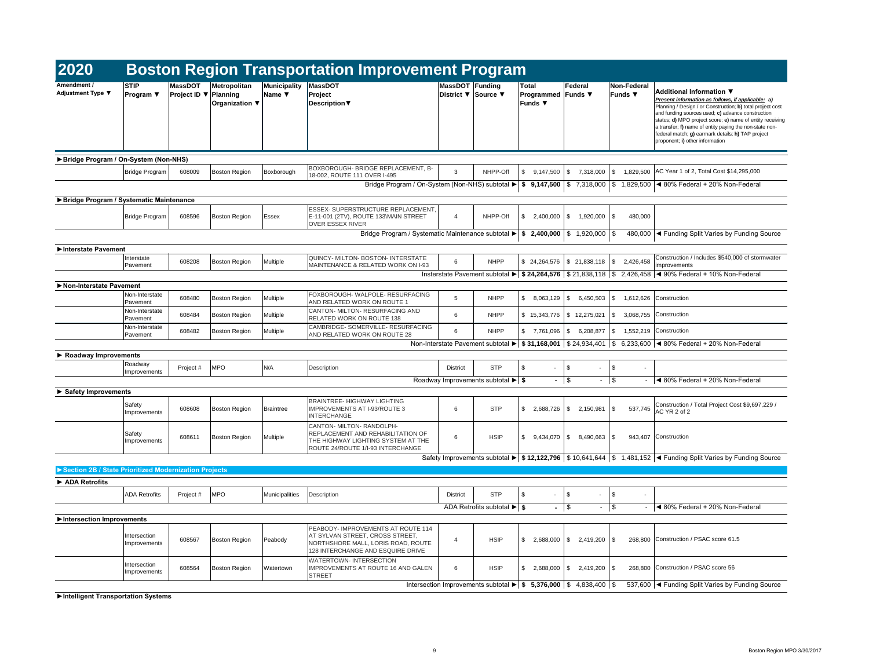| 2020                                                  |                                 |                                                |                                       |                             | <b>Boston Region Transportation Improvement Program</b>                                                                                                                                                                    |                                               |                                                          |                                                                                             |                          |                                           |                                                                                                                                                                                                                                                                                                                                                                                                                         |
|-------------------------------------------------------|---------------------------------|------------------------------------------------|---------------------------------------|-----------------------------|----------------------------------------------------------------------------------------------------------------------------------------------------------------------------------------------------------------------------|-----------------------------------------------|----------------------------------------------------------|---------------------------------------------------------------------------------------------|--------------------------|-------------------------------------------|-------------------------------------------------------------------------------------------------------------------------------------------------------------------------------------------------------------------------------------------------------------------------------------------------------------------------------------------------------------------------------------------------------------------------|
| Amendment /<br><b>Adjustment Type ▼</b>               | <b>STIP</b><br><b>Program</b> ▼ | <b>MassDOT</b><br>Project ID $\nabla$ Planning | <b>Metropolitan</b><br>Organization ▼ | Municipality<br>Name $\Psi$ | <b>MassDOT</b><br>Project<br><b>Description</b> ▼                                                                                                                                                                          | <b>MassDOT Funding</b><br>District ▼ Source ▼ |                                                          | Total<br><b>Programmed Funds</b> ▼<br>Funds ▼                                               | <b>Federal</b>           | Non-Federal<br>Funds ▼                    | <b>Additional Information ▼</b><br>Present information as follows, if applicable: a)<br>Planning / Design / or Construction; b) total project cost<br>and funding sources used; c) advance construction<br>status; d) MPO project score; e) name of entity receiving<br>a transfer; f) name of entity paying the non-state non-<br>federal match; g) earmark details; h) TAP project<br>proponent; i) other information |
| ▶ Bridge Program / On-System (Non-NHS)                |                                 |                                                |                                       |                             |                                                                                                                                                                                                                            |                                               |                                                          |                                                                                             |                          |                                           |                                                                                                                                                                                                                                                                                                                                                                                                                         |
|                                                       | Bridge Program                  | 608009                                         | <b>Boston Region</b>                  | Boxborough                  | BOXBOROUGH- BRIDGE REPLACEMENT, B-<br>18-002, ROUTE 111 OVER I-495                                                                                                                                                         | 3                                             | NHPP-Off                                                 | \$<br>$9,147,500$ \$                                                                        | 7,318,000                | <b>S</b><br>1,829,500                     | AC Year 1 of 2, Total Cost \$14,295,000                                                                                                                                                                                                                                                                                                                                                                                 |
|                                                       |                                 |                                                |                                       |                             |                                                                                                                                                                                                                            |                                               |                                                          |                                                                                             |                          |                                           | Bridge Program / On-System (Non-NHS) subtotal $\blacktriangleright$ \$ 9,147,500 \ \$ 7,318,000 \ \$ 1,829,500 \ 480% Federal + 20% Non-Federal                                                                                                                                                                                                                                                                         |
| Bridge Program / Systematic Maintenance               |                                 |                                                |                                       |                             |                                                                                                                                                                                                                            |                                               |                                                          |                                                                                             |                          |                                           |                                                                                                                                                                                                                                                                                                                                                                                                                         |
|                                                       | Bridge Program                  | 608596                                         | <b>Boston Region</b>                  | Essex                       | <b>ESSEX- SUPERSTRUCTURE REPLACEMENT.</b><br>E-11-001 (2TV), ROUTE 133\MAIN STREET<br><b>OVER ESSEX RIVER</b><br>Bridge Program / Systematic Maintenance subtotal $\blacktriangleright$   \$ 2,400,000   \$ 1,920,000   \$ | 4                                             | NHPP-Off                                                 | \$<br>2,400,000                                                                             | - \$<br>1,920,000        | l \$<br>480,000                           | 480,000  ◀ Funding Split Varies by Funding Source                                                                                                                                                                                                                                                                                                                                                                       |
| Interstate Pavement                                   |                                 |                                                |                                       |                             |                                                                                                                                                                                                                            |                                               |                                                          |                                                                                             |                          |                                           |                                                                                                                                                                                                                                                                                                                                                                                                                         |
|                                                       | Interstate                      | 608208                                         | <b>Boston Region</b>                  | Multiple                    | QUINCY- MILTON- BOSTON- INTERSTATE                                                                                                                                                                                         | 6                                             | <b>NHPP</b>                                              |                                                                                             |                          | $$24,264,576$ $$21,838,118$ $$2,426,458$  | Construction / Includes \$540,000 of stormwater                                                                                                                                                                                                                                                                                                                                                                         |
|                                                       | <b>Pavement</b>                 |                                                |                                       |                             | MAINTENANCE & RELATED WORK ON I-93                                                                                                                                                                                         |                                               |                                                          |                                                                                             |                          |                                           | improvements<br>Insterstate Pavement subtotal ► \$ 24,264,576 \$ 21,838,118 \$ 2,426,458 < 90% Federal + 10% Non-Federal                                                                                                                                                                                                                                                                                                |
| Non-Interstate Pavement                               |                                 |                                                |                                       |                             |                                                                                                                                                                                                                            |                                               |                                                          |                                                                                             |                          |                                           |                                                                                                                                                                                                                                                                                                                                                                                                                         |
|                                                       | Non-Interstate<br>Pavement      | 608480                                         | <b>Boston Region</b>                  | Multiple                    | FOXBOROUGH-WALPOLE-RESURFACING<br>AND RELATED WORK ON ROUTE 1                                                                                                                                                              | $5^{\circ}$                                   | <b>NHPP</b>                                              | \$<br>$8,063,129$ \$                                                                        | 6,450,503                | $\frac{1}{3}$ 1,612,626 Construction      |                                                                                                                                                                                                                                                                                                                                                                                                                         |
|                                                       | Non-Interstate<br>Pavement      | 608484                                         | <b>Boston Region</b>                  | Multiple                    | CANTON- MILTON- RESURFACING AND<br><b>RELATED WORK ON ROUTE 138</b>                                                                                                                                                        | 6                                             | <b>NHPP</b>                                              | \$15,343,776                                                                                | $\frac{1}{2}$ 12,275,021 | $\mathsf{S}$                              | 3,068,755 Construction                                                                                                                                                                                                                                                                                                                                                                                                  |
|                                                       | Non-Interstate<br>Pavement      | 608482                                         | <b>Boston Region</b>                  | Multiple                    | CAMBRIDGE- SOMERVILLE- RESURFACING<br>AND RELATED WORK ON ROUTE 28                                                                                                                                                         | 6                                             | <b>NHPP</b>                                              | \$<br>7,761,096                                                                             | - SS                     | 6,208,877   \$ 1,552,219   Construction   |                                                                                                                                                                                                                                                                                                                                                                                                                         |
|                                                       |                                 |                                                |                                       |                             |                                                                                                                                                                                                                            |                                               |                                                          |                                                                                             |                          |                                           | Non-Interstate Pavement subtotal $\blacktriangleright$   \$ 31,168,001   \$ 24,934,401   \$ 6,233,600   < 80% Federal + 20% Non-Federal                                                                                                                                                                                                                                                                                 |
| $\triangleright$ Roadway Improvements                 |                                 |                                                |                                       |                             |                                                                                                                                                                                                                            |                                               |                                                          |                                                                                             |                          |                                           |                                                                                                                                                                                                                                                                                                                                                                                                                         |
|                                                       | Roadway<br><b>Improvements</b>  | Project #                                      | <b>MPO</b>                            | N/A                         | Description                                                                                                                                                                                                                | <b>District</b>                               | <b>STP</b>                                               | \$<br>$\blacksquare$                                                                        | -\$<br>$\sim$            | $\sqrt[6]{\frac{1}{2}}$<br>$\blacksquare$ |                                                                                                                                                                                                                                                                                                                                                                                                                         |
|                                                       |                                 |                                                |                                       |                             |                                                                                                                                                                                                                            |                                               | Roadway Improvements subtotal $\blacktriangleright$   \$ | $-1$ \$                                                                                     | $\blacksquare$           | $\vert$ \$                                | $\blacktriangleleft$ 80% Federal + 20% Non-Federal                                                                                                                                                                                                                                                                                                                                                                      |
| $\triangleright$ Safety Improvements                  |                                 |                                                |                                       |                             |                                                                                                                                                                                                                            |                                               |                                                          |                                                                                             |                          |                                           |                                                                                                                                                                                                                                                                                                                                                                                                                         |
|                                                       | Safety<br>Improvements          | 608608                                         | <b>Boston Region</b>                  | <b>Braintree</b>            | <b>BRAINTREE- HIGHWAY LIGHTING</b><br><b>IMPROVEMENTS AT I-93/ROUTE 3</b><br><b>INTERCHANGE</b>                                                                                                                            | 6                                             | <b>STP</b>                                               | 2,688,726<br>\$                                                                             | 2,150,981<br>- \$        | 537,745<br>$\sqrt{S}$                     | Construction / Total Project Cost \$9,697,229 /<br>AC YR 2 of 2                                                                                                                                                                                                                                                                                                                                                         |
|                                                       | Safety<br>Improvements          | 608611                                         | <b>Boston Region</b>                  | Multiple                    | CANTON- MILTON- RANDOLPH-<br>REPLACEMENT AND REHABILITATION OF<br>THE HIGHWAY LIGHTING SYSTEM AT THE<br>ROUTE 24/ROUTE 1/I-93 INTERCHANGE                                                                                  | 6                                             | <b>HSIP</b>                                              | $9,434,070$ \$<br>\$                                                                        | $8,490,663$ \$           |                                           | 943,407 Construction                                                                                                                                                                                                                                                                                                                                                                                                    |
|                                                       |                                 |                                                |                                       |                             |                                                                                                                                                                                                                            |                                               |                                                          |                                                                                             |                          |                                           | Safety Improvements subtotal ► \$12,122,796   \$10,641,644   \$1,481,152   < Funding Split Varies by Funding Source                                                                                                                                                                                                                                                                                                     |
| Section 2B / State Prioritized Modernization Projects |                                 |                                                |                                       |                             |                                                                                                                                                                                                                            |                                               |                                                          |                                                                                             |                          |                                           |                                                                                                                                                                                                                                                                                                                                                                                                                         |
| ADA Retrofits                                         |                                 |                                                |                                       |                             |                                                                                                                                                                                                                            |                                               |                                                          |                                                                                             |                          |                                           |                                                                                                                                                                                                                                                                                                                                                                                                                         |
|                                                       | <b>ADA Retrofits</b>            | Project #                                      | <b>MPO</b>                            | Municipalities              | Description                                                                                                                                                                                                                | <b>District</b>                               | <b>STP</b>                                               | \$<br>$\blacksquare$                                                                        | \$<br>$\sim$             | $\sqrt{3}$<br>$\sim$                      |                                                                                                                                                                                                                                                                                                                                                                                                                         |
|                                                       |                                 |                                                |                                       |                             |                                                                                                                                                                                                                            |                                               | ADA Retrofits subtotal $\blacktriangleright$ \$          | $-1$ \$                                                                                     | $\blacksquare$           | $\vert$ \$                                | $\blacktriangleleft$ 80% Federal + 20% Non-Federal                                                                                                                                                                                                                                                                                                                                                                      |
| Intersection Improvements                             |                                 |                                                |                                       |                             |                                                                                                                                                                                                                            |                                               |                                                          |                                                                                             |                          |                                           |                                                                                                                                                                                                                                                                                                                                                                                                                         |
|                                                       | Intersection<br>Improvements    | 608567                                         | <b>Boston Region</b>                  | Peabody                     | PEABODY- IMPROVEMENTS AT ROUTE 114<br>AT SYLVAN STREET, CROSS STREET,<br>NORTHSHORE MALL, LORIS ROAD, ROUTE<br>128 INTERCHANGE AND ESQUIRE DRIVE                                                                           | -4                                            | <b>HSIP</b>                                              | \$<br>$2,688,000$ \$                                                                        | $2,419,200$ \$           |                                           | 268,800 Construction / PSAC score 61.5                                                                                                                                                                                                                                                                                                                                                                                  |
|                                                       | Intersection<br>Improvements    | 608564                                         | <b>Boston Region</b>                  | Watertown                   | WATERTOWN-INTERSECTION<br>IMPROVEMENTS AT ROUTE 16 AND GALEN<br><b>STREET</b>                                                                                                                                              | 6                                             | <b>HSIP</b>                                              | \$<br>2,688,000                                                                             | $2,419,200$ \\$<br>- \$  | 268,800                                   | Construction / PSAC score 56                                                                                                                                                                                                                                                                                                                                                                                            |
|                                                       |                                 |                                                |                                       |                             |                                                                                                                                                                                                                            |                                               |                                                          | Intersection Improvements subtotal $\blacktriangleright$   \$ 5,376,000   \$ 4,838,400   \$ |                          |                                           | 537,600  ◀ Funding Split Varies by Funding Source                                                                                                                                                                                                                                                                                                                                                                       |

**►Intelligent Transportation Systems**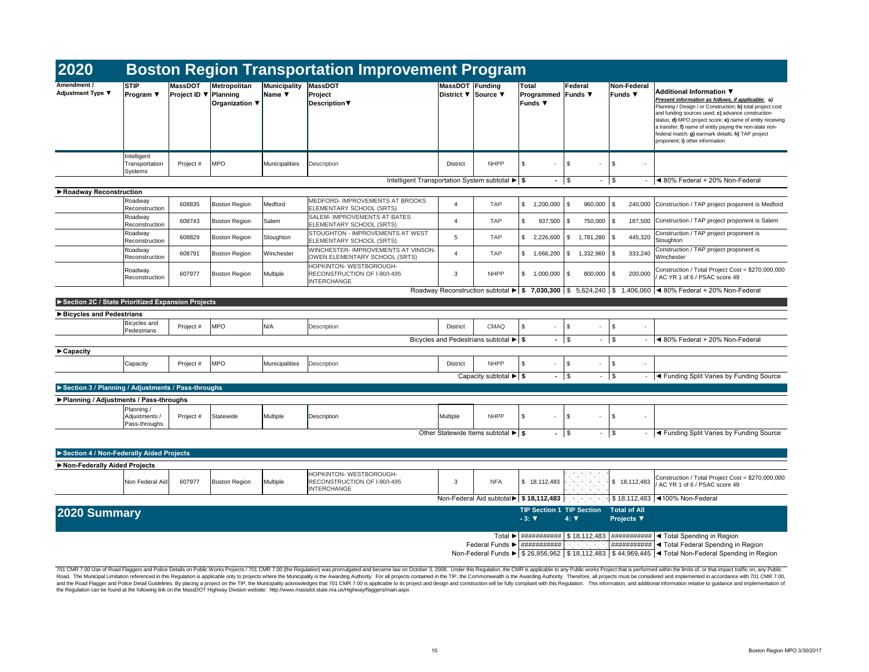| 2020                                               |                                              |                                                |                                       |                                                  | <b>Boston Region Transportation Improvement Program</b>                       |                                               |                                                                |                                                             |                        |                                           |                                                                                                                                                                                                                                                                                                                                                                                                                         |
|----------------------------------------------------|----------------------------------------------|------------------------------------------------|---------------------------------------|--------------------------------------------------|-------------------------------------------------------------------------------|-----------------------------------------------|----------------------------------------------------------------|-------------------------------------------------------------|------------------------|-------------------------------------------|-------------------------------------------------------------------------------------------------------------------------------------------------------------------------------------------------------------------------------------------------------------------------------------------------------------------------------------------------------------------------------------------------------------------------|
| Amendment /<br><b>Adjustment Type ▼</b>            | <b>STIP</b><br><b>Program</b> ▼              | <b>MassDOT</b><br>Project ID $\nabla$ Planning | <b>Metropolitan</b><br>Organization ▼ | <b>Municipality</b><br>Name $\blacktriangledown$ | <b>MassDOT</b><br>Project<br><b>Description</b> ▼                             | <b>MassDOT Funding</b><br>District ▼ Source ▼ |                                                                | <b>Total</b><br><b>Programmed Funds</b> ▼<br><b>Funds</b> ▼ | Federal                | Non-Federal<br>Funds $\blacktriangledown$ | <b>Additional Information ▼</b><br>Present information as follows, if applicable: a)<br>Planning / Design / or Construction; b) total project cost<br>and funding sources used; c) advance construction<br>status; d) MPO project score; e) name of entity receiving<br>a transfer; f) name of entity paying the non-state non-<br>federal match; g) earmark details; h) TAP project<br>proponent; i) other information |
|                                                    | Intelligent<br>Transportation<br>Systems     | Project #                                      | <b>MPO</b>                            | Municipalities                                   | Description                                                                   | <b>District</b>                               | <b>NHPP</b>                                                    | \$                                                          |                        | \$<br>۰.                                  |                                                                                                                                                                                                                                                                                                                                                                                                                         |
|                                                    |                                              |                                                |                                       |                                                  | Intelligent Transportation System subtotal $\blacktriangleright$ \$           |                                               |                                                                | $-1$ \$                                                     |                        | $-$ \$                                    | $ \blacktriangleleft$ 80% Federal + 20% Non-Federal                                                                                                                                                                                                                                                                                                                                                                     |
| ▶ Roadway Reconstruction                           | Roadway<br>Reconstruction                    | 608835                                         | <b>Boston Region</b>                  | Medford                                          | MEDFORD- IMPROVEMENTS AT BROOKS<br>ELEMENTARY SCHOOL (SRTS)                   |                                               | <b>TAP</b>                                                     | \$<br>1,200,000                                             | $960,000$ \\$          |                                           | 240,000 Construction / TAP project proponent is Medford                                                                                                                                                                                                                                                                                                                                                                 |
|                                                    | Roadway<br>Reconstruction                    | 608743                                         | <b>Boston Region</b>                  | Salem                                            | <b>SALEM-IMPROVEMENTS AT BATES</b><br>ELEMENTARY SCHOOL (SRTS)                | 4                                             | <b>TAP</b>                                                     | \$<br>937,500                                               | 750,000 \$<br>- \$     |                                           | 187,500 Construction / TAP project proponent is Salem                                                                                                                                                                                                                                                                                                                                                                   |
|                                                    | Roadway<br>Reconstruction                    | 608829                                         | <b>Boston Region</b>                  | Stoughton                                        | <b>STOUGHTON - IMPROVEMENTS AT WEST</b><br>ELEMENTARY SCHOOL (SRTS)           | 5                                             | <b>TAP</b>                                                     | \$<br>2,226,600                                             | $1,781,280$ \ \$<br>S. | 445,320                                   | Construction / TAP project proponent is<br>Stoughton                                                                                                                                                                                                                                                                                                                                                                    |
|                                                    | Roadway<br>Reconstruction                    | 608791                                         | <b>Boston Region</b>                  | Winchester                                       | WINCHESTER- IMPROVEMENTS AT VINSON-<br>OWEN ELEMENTARY SCHOOL (SRTS)          |                                               | <b>TAP</b>                                                     | 1,666,200<br>\$                                             | $1,332,960$ \$<br>S.   | 333,240                                   | Construction / TAP project proponent is<br>Winchester                                                                                                                                                                                                                                                                                                                                                                   |
|                                                    | Roadway<br>Reconstruction                    | 607977                                         | <b>Boston Region</b>                  | Multiple                                         | HOPKINTON-WESTBOROUGH-<br>RECONSTRUCTION OF I-90/I-495<br><b>INTERCHANGE</b>  | 3                                             | <b>NHPP</b>                                                    | \$<br>1,000,000                                             | $800,000$ \$<br>- \$   | 200,000                                   | Construction / Total Project Cost = \$270,000,000<br>AC YR 1 of 6 / PSAC score 49                                                                                                                                                                                                                                                                                                                                       |
|                                                    |                                              |                                                |                                       |                                                  |                                                                               |                                               |                                                                |                                                             |                        |                                           | Roadway Reconstruction subtotal $\blacktriangleright$   \$ 7,030,300   \$ 5,624,240   \$ 1,406,060   $\blacktriangleleft$ 80% Federal + 20% Non-Federal                                                                                                                                                                                                                                                                 |
| Section 2C / State Prioritized Expansion Projects  |                                              |                                                |                                       |                                                  |                                                                               |                                               |                                                                |                                                             |                        |                                           |                                                                                                                                                                                                                                                                                                                                                                                                                         |
| ▶ Bicycles and Pedestrians                         |                                              |                                                |                                       |                                                  |                                                                               |                                               |                                                                |                                                             |                        |                                           |                                                                                                                                                                                                                                                                                                                                                                                                                         |
|                                                    | Bicycles and<br>Pedestrians                  | Project #                                      | <b>MPO</b>                            | N/A                                              | Description                                                                   | <b>District</b>                               | <b>CMAQ</b>                                                    | \$<br>$\sim$                                                | - \$                   | -\$<br>$\overline{\phantom{a}}$           |                                                                                                                                                                                                                                                                                                                                                                                                                         |
|                                                    |                                              |                                                |                                       |                                                  |                                                                               |                                               | Bicycles and Pedestrians subtotal $\blacktriangleright$ \$     | $-1$ \$                                                     |                        | $-1$ \$                                   | $-$ 4 80% Federal + 20% Non-Federal                                                                                                                                                                                                                                                                                                                                                                                     |
| $\blacktriangleright$ Capacity                     |                                              |                                                |                                       |                                                  |                                                                               |                                               |                                                                |                                                             |                        |                                           |                                                                                                                                                                                                                                                                                                                                                                                                                         |
|                                                    | Capacity                                     | Project #                                      | <b>MPO</b>                            | Municipalities                                   | Description                                                                   | District                                      | <b>NHPP</b>                                                    | \$<br>$\sim$                                                | \$<br>$\sim$           | $\sqrt[6]{3}$<br>$\overline{\phantom{a}}$ |                                                                                                                                                                                                                                                                                                                                                                                                                         |
|                                                    |                                              |                                                |                                       |                                                  |                                                                               |                                               | Capacity subtotal $\blacktriangleright$ \$                     |                                                             | $-$   \$<br>۰.         | $\sqrt{3}$                                | - <a> - <a> I<br/> <a> I<br/> <a> I<br/> <a> I<br/> <a> I<br/> <a> I<br/> <a> I<br/> <a> I<br/><s<></s<> I<br/><s<></s<> I<br/></a> I<br/>Source<br/> I<br/>Source<br/> I<br/>Source<br/> I<br/>Source<br/> I<br/>Source<br/> I<br/>So</a></a></a></a></a></a></a></a>                                                                                                                                                  |
| Section 3 / Planning / Adjustments / Pass-throughs |                                              |                                                |                                       |                                                  |                                                                               |                                               |                                                                |                                                             |                        |                                           |                                                                                                                                                                                                                                                                                                                                                                                                                         |
| ▶ Planning / Adjustments / Pass-throughs           | Planning /<br>Adjustments /<br>Pass-throughs | Project #                                      | Statewide                             | Multiple                                         | Description                                                                   | Multiple                                      | <b>NHPP</b>                                                    | \$<br>$\sim$                                                | \$<br>$\sim$           | \$<br>۰.                                  |                                                                                                                                                                                                                                                                                                                                                                                                                         |
|                                                    |                                              |                                                |                                       |                                                  |                                                                               |                                               | Other Statewide Items subtotal $\blacktriangleright$   \$      | $-1$ \$                                                     | ۰                      | $\vert \mathsf{s}$                        | - <a> - <a> I<br/> <a> I<br/> <a> I<br/> <a> I<br/> <a> I<br/> <a> I<br/> <a> I<br/> <a> I<br/><s<></s<> I<br/><s<></s<> I<br/></a> I<br/>Source<br/> I<br/>Source<br/> I<br/>Source<br/> I<br/>Source<br/> I<br/>Source<br/> I<br/>So</a></a></a></a></a></a></a></a>                                                                                                                                                  |
| Section 4 / Non-Federally Aided Projects           |                                              |                                                |                                       |                                                  |                                                                               |                                               |                                                                |                                                             |                        |                                           |                                                                                                                                                                                                                                                                                                                                                                                                                         |
| Non-Federally Aided Projects                       |                                              |                                                |                                       |                                                  |                                                                               |                                               |                                                                |                                                             |                        |                                           |                                                                                                                                                                                                                                                                                                                                                                                                                         |
|                                                    | Non Federal Aid                              | 607977                                         | <b>Boston Region</b>                  | Multiple                                         | HOPKINTON- WESTBOROUGH-<br>RECONSTRUCTION OF I-90/I-495<br><b>INTERCHANGE</b> | 3                                             | <b>NFA</b>                                                     | \$18,112,483                                                | <b>A CONTRACTOR</b>    | \$18,112,483                              | Construction / Total Project Cost = \$270,000,000<br>/ AC YR 1 of 6 / PSAC score 49                                                                                                                                                                                                                                                                                                                                     |
|                                                    |                                              |                                                |                                       |                                                  |                                                                               |                                               | Non-Federal Aid subtotal $\blacktriangleright$   \$ 18,112,483 |                                                             |                        |                                           | \$18,112,483   100% Non-Federal                                                                                                                                                                                                                                                                                                                                                                                         |
| 2020 Summary                                       |                                              |                                                |                                       |                                                  |                                                                               |                                               |                                                                | <b>TIP Section 1 TIP Section</b><br>$-3: \nabla$            | $4: \nabla$            | <b>Total of All</b><br><b>Projects</b> ▼  |                                                                                                                                                                                                                                                                                                                                                                                                                         |
|                                                    |                                              |                                                |                                       |                                                  |                                                                               |                                               | Federal Funds $\blacktriangleright$   ###########              |                                                             |                        |                                           | Total $\blacktriangleright$   ###########   \$ 18,112,483   ############   < Total Spending in Region<br>$\vert$ ########### < Total Federal Spending in Region<br>Non-Federal Funds $\blacktriangleright$ \$ 26,856,962   \$ 18,112,483   \$ 44,969,445   $\blacktriangleleft$ Total Non-Federal Spending in Region                                                                                                    |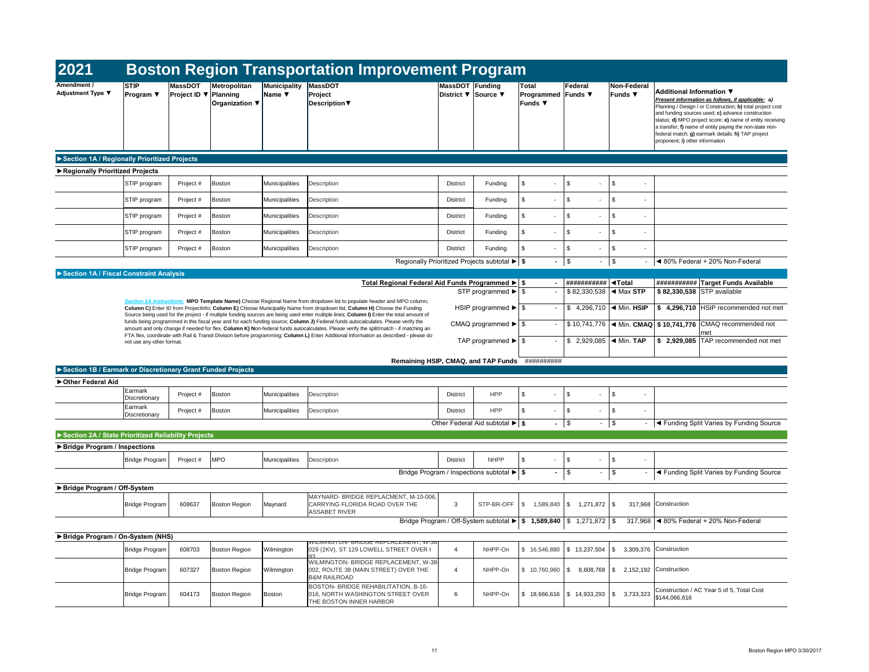| 2021                                                        |                               |                                                |                                       |                                           | <b>Boston Region Transportation Improvement Program</b>                                                                                                                                                                                                                        |                                        |                                                                                               |                                                      |                                                                           |                                            |                                                                                                                                                                                                                                                                                                                                                                                                                         |
|-------------------------------------------------------------|-------------------------------|------------------------------------------------|---------------------------------------|-------------------------------------------|--------------------------------------------------------------------------------------------------------------------------------------------------------------------------------------------------------------------------------------------------------------------------------|----------------------------------------|-----------------------------------------------------------------------------------------------|------------------------------------------------------|---------------------------------------------------------------------------|--------------------------------------------|-------------------------------------------------------------------------------------------------------------------------------------------------------------------------------------------------------------------------------------------------------------------------------------------------------------------------------------------------------------------------------------------------------------------------|
| Amendment /<br><b>Adjustment Type ▼</b>                     | <b>STIP</b><br>Program $\Psi$ | <b>MassDOT</b><br>Project ID $\nabla$ Planning | Metropolitan<br><b>Organization ▼</b> | Municipality<br>Name $\blacktriangledown$ | MassDOT<br>Project<br><b>Description</b> ▼                                                                                                                                                                                                                                     | MassDOT Funding<br>District ▼ Source ▼ |                                                                                               | <b>Total</b><br>Programmed Funds ▼<br><b>Funds ▼</b> | Federal                                                                   | <b>Non-Federal</b><br>Funds ▼              | <b>Additional Information ▼</b><br>Present information as follows, if applicable: a)<br>Planning / Design / or Construction; b) total project cost<br>and funding sources used; c) advance construction<br>status; d) MPO project score; e) name of entity receiving<br>a transfer; f) name of entity paying the non-state non-<br>federal match; g) earmark details; h) TAP project<br>proponent; i) other information |
| Section 1A / Regionally Prioritized Projects                |                               |                                                |                                       |                                           |                                                                                                                                                                                                                                                                                |                                        |                                                                                               |                                                      |                                                                           |                                            |                                                                                                                                                                                                                                                                                                                                                                                                                         |
| Regionally Prioritized Projects                             |                               |                                                |                                       |                                           |                                                                                                                                                                                                                                                                                |                                        |                                                                                               |                                                      |                                                                           |                                            |                                                                                                                                                                                                                                                                                                                                                                                                                         |
|                                                             | STIP program                  | Project #                                      | Boston                                | Municipalities                            | Description                                                                                                                                                                                                                                                                    | <b>District</b>                        | Funding                                                                                       | \$                                                   | \$<br>$\blacksquare$                                                      | \$<br>$\sim$                               |                                                                                                                                                                                                                                                                                                                                                                                                                         |
|                                                             | STIP program                  | Project #                                      | <b>Boston</b>                         | <b>Municipalities</b>                     | Description                                                                                                                                                                                                                                                                    | <b>District</b>                        | Funding                                                                                       | \$                                                   | \$                                                                        | \$<br>$\sim$                               |                                                                                                                                                                                                                                                                                                                                                                                                                         |
|                                                             | STIP program                  | Project #                                      | Boston                                | <b>Municipalities</b>                     | Description                                                                                                                                                                                                                                                                    | <b>District</b>                        | Funding                                                                                       | \$<br>$\sim$                                         | \$<br>$\overline{\phantom{a}}$                                            | \$<br>$\sim$                               |                                                                                                                                                                                                                                                                                                                                                                                                                         |
|                                                             | STIP program                  | Project #                                      | Boston                                | Municipalities                            | Description                                                                                                                                                                                                                                                                    | <b>District</b>                        | Funding                                                                                       | \$                                                   | \$<br>$\overline{\phantom{a}}$                                            | \$<br>$\sim$                               |                                                                                                                                                                                                                                                                                                                                                                                                                         |
|                                                             | STIP program                  | Project #                                      | Boston                                | Municipalities                            | Description                                                                                                                                                                                                                                                                    | <b>District</b>                        | Funding                                                                                       | \$                                                   | \$<br>$\overline{\phantom{a}}$                                            | \$<br>$\sim$                               |                                                                                                                                                                                                                                                                                                                                                                                                                         |
|                                                             |                               |                                                |                                       |                                           |                                                                                                                                                                                                                                                                                |                                        | Regionally Prioritized Projects subtotal $\blacktriangleright$ \$                             | $-1$ \$                                              |                                                                           | $\mathfrak{L}$                             | ◀ 80% Federal + 20% Non-Federal                                                                                                                                                                                                                                                                                                                                                                                         |
| Section 1A / Fiscal Constraint Analysis                     |                               |                                                |                                       |                                           |                                                                                                                                                                                                                                                                                |                                        |                                                                                               |                                                      |                                                                           |                                            |                                                                                                                                                                                                                                                                                                                                                                                                                         |
|                                                             |                               |                                                |                                       |                                           | Total Regional Federal Aid Funds Programmed ▶ \$                                                                                                                                                                                                                               |                                        |                                                                                               |                                                      | ###########   <b>◀Total</b><br>$$82,330,538$ $\blacktriangleleft$ Max STP |                                            | ########### Target Funds Available<br>\$82,330,538 STP available                                                                                                                                                                                                                                                                                                                                                        |
|                                                             |                               |                                                |                                       |                                           | Section 1A instructions: MPO Template Name) Choose Regional Name from dropdown list to populate header and MPO column;<br>Column C) Enter ID from ProjectInfo; Column E) Choose Municipality Name from dropdown list; Column H) Choose the Funding                             |                                        |                                                                                               |                                                      | \$ 4,296,710 $\blacktriangleleft$ Min. HSIP                               |                                            | $$4,296,710$ HSIP recommended not met                                                                                                                                                                                                                                                                                                                                                                                   |
|                                                             |                               |                                                |                                       |                                           | Source being used for the project - if multiple funding sources are being used enter multiple lines; Column I) Enter the total amount of<br>funds being programmed in this fiscal year and for each funding source; Column J) Federal funds autocalculates. Please verify the  |                                        |                                                                                               |                                                      |                                                                           |                                            | $$10,741,776$ < Min. CMAQ $$10,741,776$ CMAQ recommended not                                                                                                                                                                                                                                                                                                                                                            |
|                                                             |                               |                                                |                                       |                                           | amount and only change if needed for flex. Column K) Non-federal funds autocalculates. Please verify the split/match - if matching an<br>FTA flex, coordinate with Rail & Transit Division before programming; Column L) Enter Additional Information as described - please do |                                        |                                                                                               |                                                      |                                                                           |                                            | met                                                                                                                                                                                                                                                                                                                                                                                                                     |
|                                                             | not use any other format.     |                                                |                                       |                                           |                                                                                                                                                                                                                                                                                |                                        | TAP programmed $\blacktriangleright$ \ \$                                                     |                                                      | \$ 2,929,085   $\blacktriangleleft$ Min. TAP                              |                                            | $$2,929,085$ TAP recommended not met                                                                                                                                                                                                                                                                                                                                                                                    |
| Section 1B / Earmark or Discretionary Grant Funded Projects |                               |                                                |                                       |                                           | Remaining HSIP, CMAQ, and TAP Funds ###########                                                                                                                                                                                                                                |                                        |                                                                                               |                                                      |                                                                           |                                            |                                                                                                                                                                                                                                                                                                                                                                                                                         |
| Other Federal Aid                                           |                               |                                                |                                       |                                           |                                                                                                                                                                                                                                                                                |                                        |                                                                                               |                                                      |                                                                           |                                            |                                                                                                                                                                                                                                                                                                                                                                                                                         |
|                                                             | Earmark<br>Discretionary      | Project #                                      | Boston                                | Municipalities                            | Description                                                                                                                                                                                                                                                                    | <b>District</b>                        | <b>HPP</b>                                                                                    | \$                                                   | \$                                                                        | $\mathfrak{S}$<br>$\sim$                   |                                                                                                                                                                                                                                                                                                                                                                                                                         |
|                                                             | Earmark<br>Discretionary      | Project #                                      | Boston                                | Municipalities                            | Description                                                                                                                                                                                                                                                                    | <b>District</b>                        | <b>HPP</b>                                                                                    | \$                                                   | \$                                                                        | \$<br>$\blacksquare$                       |                                                                                                                                                                                                                                                                                                                                                                                                                         |
|                                                             |                               |                                                |                                       |                                           |                                                                                                                                                                                                                                                                                |                                        | Other Federal Aid subtotal $\blacktriangleright$ \$                                           | $-1$ \$                                              | $\sim$                                                                    | $\frac{1}{2}$<br>$\sim 100$                | ◀ Funding Split Varies by Funding Source                                                                                                                                                                                                                                                                                                                                                                                |
| Section 2A / State Prioritized Reliability Projects         |                               |                                                |                                       |                                           |                                                                                                                                                                                                                                                                                |                                        |                                                                                               |                                                      |                                                                           |                                            |                                                                                                                                                                                                                                                                                                                                                                                                                         |
| ▶ Bridge Program / Inspections                              |                               |                                                |                                       |                                           |                                                                                                                                                                                                                                                                                |                                        |                                                                                               |                                                      |                                                                           |                                            |                                                                                                                                                                                                                                                                                                                                                                                                                         |
|                                                             | <b>Bridge Program</b>         | Project #                                      | <b>MPO</b>                            | Municipalities                            | Description                                                                                                                                                                                                                                                                    | <b>District</b>                        | <b>NHPP</b>                                                                                   | -\$                                                  | \$<br>$\blacksquare$                                                      | \$<br>$\sim$                               |                                                                                                                                                                                                                                                                                                                                                                                                                         |
|                                                             |                               |                                                |                                       |                                           |                                                                                                                                                                                                                                                                                |                                        | Bridge Program / Inspections subtotal $\blacktriangleright$ \$                                | $\sim$                                               | \$<br>$\sim$                                                              | \$                                         | ◀ Funding Split Varies by Funding Source                                                                                                                                                                                                                                                                                                                                                                                |
| ▶ Bridge Program / Off-System                               |                               |                                                |                                       |                                           |                                                                                                                                                                                                                                                                                |                                        |                                                                                               |                                                      |                                                                           |                                            |                                                                                                                                                                                                                                                                                                                                                                                                                         |
|                                                             | <b>Bridge Program</b>         | 608637                                         | <b>Boston Region</b>                  | Maynard                                   | MAYNARD- BRIDGE REPLACMENT, M-10-006,<br>CARRYING FLORIDA ROAD OVER THE<br><b>ASSABET RIVER</b>                                                                                                                                                                                | 3                                      | $STP-BR-OFF$ \$                                                                               | 1,589,840                                            | $\frac{1}{2}$ \$ 1,271,872 \\$                                            |                                            | 317,968 Construction                                                                                                                                                                                                                                                                                                                                                                                                    |
|                                                             |                               |                                                |                                       |                                           |                                                                                                                                                                                                                                                                                |                                        | Bridge Program / Off-System subtotal $\blacktriangleright$   \$ 1,589,840   \$ 1,271,872   \$ |                                                      |                                                                           |                                            | 317,968 $\blacktriangleleft$ 80% Federal + 20% Non-Federal                                                                                                                                                                                                                                                                                                                                                              |
| Bridge Program / On-System (NHS)                            |                               |                                                |                                       |                                           | <b>VVILIVIIIVU I UIV- DRILUE REPLAUEIVIEIVI, VV-30-</b>                                                                                                                                                                                                                        |                                        |                                                                                               |                                                      |                                                                           |                                            |                                                                                                                                                                                                                                                                                                                                                                                                                         |
|                                                             | <b>Bridge Program</b>         | 608703                                         | Boston Region                         | Wilmington                                | 029 (2KV), ST 129 LOWELL STREET OVER I<br>ി റെ                                                                                                                                                                                                                                 | 4                                      | NHPP-On                                                                                       | \$16,546,880                                         | \$13,237,504                                                              | \$                                         | 3,309,376 Construction                                                                                                                                                                                                                                                                                                                                                                                                  |
|                                                             | <b>Bridge Program</b>         | 607327                                         | <b>Boston Region</b>                  | Wilmington                                | WILMINGTON- BRIDGE REPLACEMENT, W-38<br>002, ROUTE 38 (MAIN STREET) OVER THE<br><b>B&amp;M RAILROAD</b>                                                                                                                                                                        | Δ                                      | NHPP-On                                                                                       | \$10,760,960                                         |                                                                           | \$ 8,608,768   \$ 2,152,192   Construction |                                                                                                                                                                                                                                                                                                                                                                                                                         |
|                                                             | <b>Bridge Program</b>         | 604173                                         | <b>Boston Region</b>                  | Boston                                    | BOSTON- BRIDGE REHABILITATION, B-16-<br>016, NORTH WASHINGTON STREET OVER<br>THE BOSTON INNER HARBOR                                                                                                                                                                           | 6                                      | NHPP-On                                                                                       |                                                      | $$18,666,616$ $$14,933,293$ $$$                                           | 3,733,323                                  | Construction / AC Year 5 of 5, Total Cost<br>\$144,066,616                                                                                                                                                                                                                                                                                                                                                              |

| Non-Federal<br>Funds $\blacktriangledown$ | <b>Additional Information ▼</b><br>Present information as follows, if applicable: a)<br>Planning / Design / or Construction; b) total project cost<br>and funding sources used; c) advance construction<br>status; d) MPO project score; e) name of entity receiving<br>a transfer; f) name of entity paying the non-state non-<br>federal match; g) earmark details; h) TAP project<br>proponent; i) other information |
|-------------------------------------------|-------------------------------------------------------------------------------------------------------------------------------------------------------------------------------------------------------------------------------------------------------------------------------------------------------------------------------------------------------------------------------------------------------------------------|
|-------------------------------------------|-------------------------------------------------------------------------------------------------------------------------------------------------------------------------------------------------------------------------------------------------------------------------------------------------------------------------------------------------------------------------------------------------------------------------|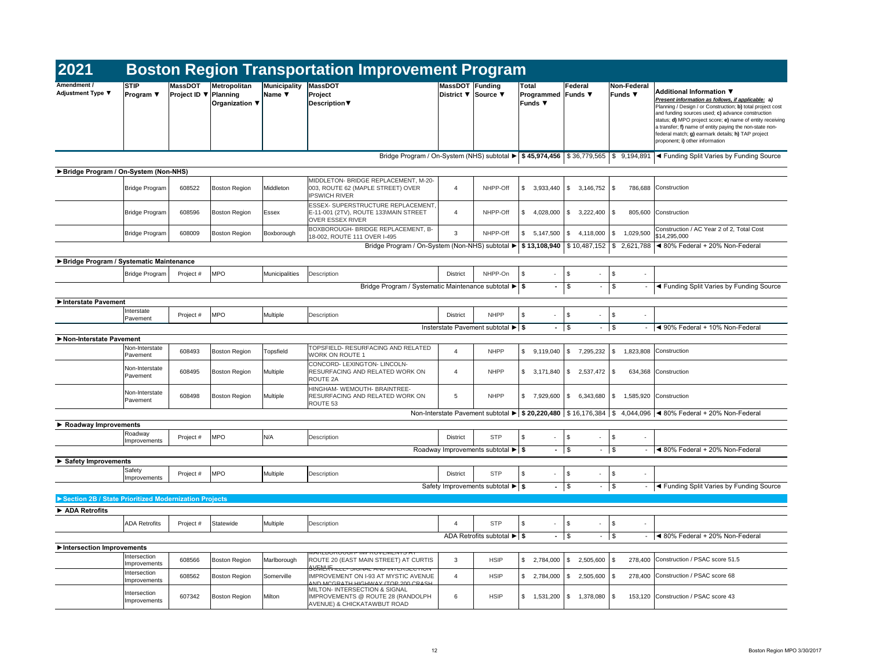| 2021                                                  |                                 |                                                |                                |                        | <b>Boston Region Transportation Improvement Program</b>                                                      |                                        |                                                        |                                               |                                            |                                           |                                                                                                                                                                                                                                                                                                                                                                                                                         |
|-------------------------------------------------------|---------------------------------|------------------------------------------------|--------------------------------|------------------------|--------------------------------------------------------------------------------------------------------------|----------------------------------------|--------------------------------------------------------|-----------------------------------------------|--------------------------------------------|-------------------------------------------|-------------------------------------------------------------------------------------------------------------------------------------------------------------------------------------------------------------------------------------------------------------------------------------------------------------------------------------------------------------------------------------------------------------------------|
| Amendment /<br><b>Adjustment Type ▼</b>               | <b>STIP</b><br><b>Program</b> ▼ | <b>MassDOT</b><br>Project ID $\nabla$ Planning | Metropolitan<br>Organization ▼ | Municipality<br>Name ▼ | MassDOT<br>Project<br>Description ▼                                                                          | MassDOT Funding<br>District ▼ Source ▼ |                                                        | Total<br><b>Programmed Funds ▼</b><br>Funds ▼ | Federal                                    | Non-Federal<br>Funds ▼                    | <b>Additional Information ▼</b><br>Present information as follows, if applicable: a)<br>Planning / Design / or Construction; b) total project cost<br>and funding sources used; c) advance construction<br>status; d) MPO project score; e) name of entity receiving<br>a transfer; f) name of entity paying the non-state non-<br>federal match; g) earmark details; h) TAP project<br>proponent; i) other information |
|                                                       |                                 |                                                |                                |                        | Bridge Program / On-System (NHS) subtotal $\blacktriangleright$   \$45,974,456   \$36,779,565   \$9,194,891  |                                        |                                                        |                                               |                                            |                                           | √ Funding Split Varies by Funding Source                                                                                                                                                                                                                                                                                                                                                                                |
| Bridge Program / On-System (Non-NHS)                  |                                 |                                                |                                |                        |                                                                                                              |                                        |                                                        |                                               |                                            |                                           |                                                                                                                                                                                                                                                                                                                                                                                                                         |
|                                                       | <b>Bridge Program</b>           | 608522                                         | <b>Boston Region</b>           | Middleton              | MIDDLETON- BRIDGE REPLACEMENT, M-20-<br>003, ROUTE 62 (MAPLE STREET) OVER<br><b>IPSWICH RIVER</b>            | 4                                      | NHPP-Off                                               | \$<br>3,933,440                               | <b>S</b><br>$3,146,752$ \\$                |                                           | 786,688 Construction                                                                                                                                                                                                                                                                                                                                                                                                    |
|                                                       | <b>Bridge Program</b>           | 608596                                         | <b>Boston Region</b>           | Essex                  | <b>ESSEX- SUPERSTRUCTURE REPLACEMENT</b><br>E-11-001 (2TV), ROUTE 133\MAIN STREET<br><b>OVER ESSEX RIVER</b> | 4                                      | NHPP-Off                                               | 4,028,000<br>-S                               | 3,222,400<br>8 S                           | 1 S                                       | 805,600 Construction                                                                                                                                                                                                                                                                                                                                                                                                    |
|                                                       | <b>Bridge Program</b>           | 608009                                         | <b>Boston Region</b>           | Boxborough             | BOXBOROUGH- BRIDGE REPLACEMENT, B-<br>18-002, ROUTE 111 OVER I-495                                           | 3                                      | NHPP-Off                                               | \$<br>5,147,500                               | 4,118,000<br>l Si                          | $\sqrt{S}$<br>1,029,500                   | Construction / AC Year 2 of 2, Total Cost<br>\$14,295,000<br>Bridge Program / On-System (Non-NHS) subtotal $\blacktriangleright$ \$ 13,108,940 \ \$ 10,487,152 \ \$ 2,621,788 \ $\blacktriangleleft$ 80% Federal + 20% Non-Federal                                                                                                                                                                                      |
|                                                       |                                 |                                                |                                |                        |                                                                                                              |                                        |                                                        |                                               |                                            |                                           |                                                                                                                                                                                                                                                                                                                                                                                                                         |
| Bridge Program / Systematic Maintenance               |                                 |                                                |                                |                        |                                                                                                              |                                        |                                                        |                                               |                                            |                                           |                                                                                                                                                                                                                                                                                                                                                                                                                         |
|                                                       | Bridge Program                  | Project #                                      | <b>MPO</b>                     | Municipalities         | Description<br>Bridge Program / Systematic Maintenance subtotal ▶ \$                                         | <b>District</b>                        | NHPP-On                                                | -\$<br>$\sim$<br>$\sim$                       | <b>S</b><br>$\sim$<br>$\sqrt[6]{3}$        | \$<br>$\sim$<br>$\boldsymbol{\mathsf{S}}$ | ◀ Funding Split Varies by Funding Source                                                                                                                                                                                                                                                                                                                                                                                |
| Interstate Pavement                                   |                                 |                                                |                                |                        |                                                                                                              |                                        |                                                        |                                               |                                            |                                           |                                                                                                                                                                                                                                                                                                                                                                                                                         |
|                                                       | Interstate<br>Pavement          | Project #                                      | <b>MPO</b>                     | Multiple               | Description                                                                                                  | <b>District</b>                        | <b>NHPP</b>                                            | - \$<br>$\sim$                                | - \$<br>$\overline{\phantom{a}}$           | \$                                        |                                                                                                                                                                                                                                                                                                                                                                                                                         |
|                                                       |                                 |                                                |                                |                        |                                                                                                              |                                        | Insterstate Pavement subtotal $\blacktriangleright$ \$ | $-1$ \$                                       | $\sim$                                     | $\vert$ \$                                | ◀ 90% Federal + 10% Non-Federal                                                                                                                                                                                                                                                                                                                                                                                         |
| Non-Interstate Pavement                               | Non-Interstate<br>Pavement      | 608493                                         | <b>Boston Region</b>           | Topsfield              | TOPSFIELD- RESURFACING AND RELATED<br><b>WORK ON ROUTE 1</b>                                                 |                                        | <b>NHPP</b>                                            | $\mathfrak{L}$<br>9,119,040                   | \$ 7,295,232   \$ 1,823,808   Construction |                                           |                                                                                                                                                                                                                                                                                                                                                                                                                         |
|                                                       | Non-Interstate<br>Pavement      | 608495                                         | <b>Boston Region</b>           | Multiple               | CONCORD- LEXINGTON- LINCOLN-<br>RESURFACING AND RELATED WORK ON<br>ROUTE 2A                                  | 4                                      | <b>NHPP</b>                                            | \$<br>$3,171,840$ \$                          | $2,537,472$ \$                             |                                           | 634,368 Construction                                                                                                                                                                                                                                                                                                                                                                                                    |
|                                                       | Non-Interstate<br>Pavement      | 608498                                         | <b>Boston Region</b>           | Multiple               | HINGHAM- WEMOUTH- BRAINTREE-<br>RESURFACING AND RELATED WORK ON<br>ROUTE 53                                  | -5                                     | <b>NHPP</b>                                            | -\$<br>7,929,600                              | $6,343,680$ \ \$<br><b>S</b>               |                                           | 1,585,920 Construction                                                                                                                                                                                                                                                                                                                                                                                                  |
|                                                       |                                 |                                                |                                |                        |                                                                                                              |                                        |                                                        |                                               |                                            |                                           | Non-Interstate Pavement subtotal $\blacktriangleright$ \$ 20,220,480 \ \$ 16,176,384 \ \$ 4,044,096 \ \ 80% Federal + 20% Non-Federal                                                                                                                                                                                                                                                                                   |
| $\triangleright$ Roadway Improvements                 |                                 |                                                |                                |                        |                                                                                                              |                                        |                                                        |                                               |                                            |                                           |                                                                                                                                                                                                                                                                                                                                                                                                                         |
|                                                       | Roadway<br>Improvements         | Project #                                      | <b>MPO</b>                     | N/A                    | Description                                                                                                  | <b>District</b>                        | <b>STP</b>                                             | -\$<br>$\sim$                                 | $\sqrt{5}$<br>$\sim$                       | \$<br>$\sim$                              |                                                                                                                                                                                                                                                                                                                                                                                                                         |
|                                                       |                                 |                                                |                                |                        |                                                                                                              |                                        |                                                        | $-1$ \$                                       | $\sim$                                     | $\sqrt{3}$                                | $\blacktriangleleft$ 80% Federal + 20% Non-Federal                                                                                                                                                                                                                                                                                                                                                                      |
| $\triangleright$ Safety Improvements                  |                                 |                                                |                                |                        |                                                                                                              |                                        |                                                        |                                               |                                            |                                           |                                                                                                                                                                                                                                                                                                                                                                                                                         |
|                                                       | Safety<br>Improvements          | Project #                                      | <b>MPO</b>                     | Multiple               | Description                                                                                                  | <b>District</b>                        | <b>STP</b>                                             | \$<br>$\sim$                                  | $\sqrt{3}$<br>$\sim$                       | \$<br>$\overline{\phantom{a}}$            |                                                                                                                                                                                                                                                                                                                                                                                                                         |
|                                                       |                                 |                                                |                                |                        |                                                                                                              |                                        | Safety Improvements subtotal $\blacktriangleright$ \$  | $-$ \$                                        | $\sim$                                     | $\sqrt{3}$                                | √ Funding Split Varies by Funding Source                                                                                                                                                                                                                                                                                                                                                                                |
| Section 2B / State Prioritized Modernization Projects |                                 |                                                |                                |                        |                                                                                                              |                                        |                                                        |                                               |                                            |                                           |                                                                                                                                                                                                                                                                                                                                                                                                                         |
| ADA Retrofits                                         |                                 |                                                |                                |                        |                                                                                                              |                                        |                                                        |                                               |                                            |                                           |                                                                                                                                                                                                                                                                                                                                                                                                                         |
|                                                       | <b>ADA Retrofits</b>            | Project #                                      | Statewide                      | Multiple               | Description                                                                                                  | $\boldsymbol{\Lambda}$                 | <b>STP</b>                                             | -\$<br>$\sim$                                 | $\sqrt{5}$<br>$\overline{\phantom{a}}$     | \$                                        |                                                                                                                                                                                                                                                                                                                                                                                                                         |
|                                                       |                                 |                                                |                                |                        |                                                                                                              |                                        | ADA Retrofits subtotal $\blacktriangleright$ \$        | $-1$ \$                                       | $\sim$                                     | $\vert$ \$                                | $\blacktriangleleft$ 80% Federal + 20% Non-Federal                                                                                                                                                                                                                                                                                                                                                                      |
| Intersection Improvements                             |                                 |                                                |                                |                        | <u> MARLDURUUGH- IMPRUVEMENTS AT</u>                                                                         |                                        |                                                        |                                               |                                            |                                           |                                                                                                                                                                                                                                                                                                                                                                                                                         |
|                                                       | Intersection<br>Improvements    | 608566                                         | <b>Boston Region</b>           | Marlborough            | ROUTE 20 (EAST MAIN STREET) AT CURTIS<br><b>SUMERVILLE- SIGNAL AND INTERSECTION</b>                          | 3                                      | <b>HSIP</b>                                            | \$<br>2,784,000                               | $2,505,600$ \\$<br>-\$                     |                                           | 278,400 Construction / PSAC score 51.5                                                                                                                                                                                                                                                                                                                                                                                  |
|                                                       | Intersection<br>Improvements    | 608562                                         | <b>Boston Region</b>           | Somerville             | IMPROVEMENT ON I-93 AT MYSTIC AVENUE<br>AND MCGRATH HIGHWAY (TOP 200 CRASH                                   | $\boldsymbol{\Lambda}$                 | <b>HSIP</b>                                            | \$<br>$2,784,000$ \ \$                        | $2,505,600$ \\$                            |                                           | 278,400 Construction / PSAC score 68                                                                                                                                                                                                                                                                                                                                                                                    |
|                                                       | Intersection<br>Improvements    | 607342                                         | Boston Region                  | Milton                 | MILTON- INTERSECTION & SIGNAL<br>IMPROVEMENTS @ ROUTE 28 (RANDOLPH<br><b>AVENUE) &amp; CHICKATAWBUT ROAD</b> | 6                                      | <b>HSIP</b>                                            | $\sqrt{5}$<br>$1,531,200$ \$                  | $1,378,080$ \$                             |                                           | 153,120 Construction / PSAC score 43                                                                                                                                                                                                                                                                                                                                                                                    |

|      | Non-Federal<br>Funds $\blacktriangledown$ | Additional Information ▼<br>Present information as follows, if applicable: a)<br>Planning / Design / or Construction; b) total project cost<br>and funding sources used; c) advance construction<br>status; d) MPO project score; e) name of entity receiving<br>a transfer; f) name of entity paying the non-state non-<br>federal match; g) earmark details; h) TAP project<br>proponent; i) other information |
|------|-------------------------------------------|------------------------------------------------------------------------------------------------------------------------------------------------------------------------------------------------------------------------------------------------------------------------------------------------------------------------------------------------------------------------------------------------------------------|
| .565 | 9,194,891                                 | ◀ Funding Split Varies by Funding Source                                                                                                                                                                                                                                                                                                                                                                         |

| 6.752 | \$. | 786,688   | Construction                                              |
|-------|-----|-----------|-----------------------------------------------------------|
| 2,400 | \$  | 805,600   | Construction                                              |
| 8.000 | \$  | 1,029,500 | Construction / AC Year 2 of 2, Total Cost<br>\$14.295.000 |
| 152ء, |     |           | $$2,621,788$ < 80% Federal + 20% Non-Federal              |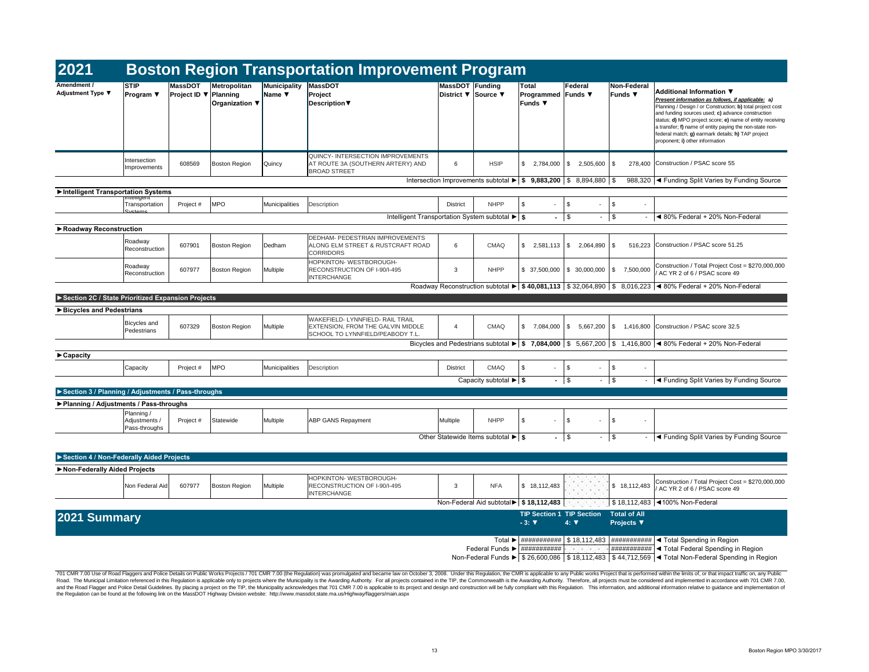|       | Funds $\blacktriangledown$ | Non-Federal | Additional Information ▼<br>Present information as follows, if applicable: a)<br>Planning / Design / or Construction; b) total project cost<br>and funding sources used; c) advance construction<br>status; <b>d)</b> MPO project score; <b>e)</b> name of entity receiving<br>a transfer; f) name of entity paying the non-state non-<br>federal match; <b>g)</b> earmark details; <b>h)</b> TAP project<br>proponent; i) other information |
|-------|----------------------------|-------------|----------------------------------------------------------------------------------------------------------------------------------------------------------------------------------------------------------------------------------------------------------------------------------------------------------------------------------------------------------------------------------------------------------------------------------------------|
| 5.600 | \$                         | 278,400     | Construction / PSAC score 55                                                                                                                                                                                                                                                                                                                                                                                                                 |
| .880  | \$                         | 988.320     | ◀ Funding Split Varies by Funding Source                                                                                                                                                                                                                                                                                                                                                                                                     |

| 2021                                               |                                              |                                                |                                                   |                                           | <b>Boston Region Transportation Improvement Program</b>                                                          |                                               |                                                               |                                                      |                                                                                             |                                          |                                                                                                                                                                                                                                                                                                                                                                                                                      |
|----------------------------------------------------|----------------------------------------------|------------------------------------------------|---------------------------------------------------|-------------------------------------------|------------------------------------------------------------------------------------------------------------------|-----------------------------------------------|---------------------------------------------------------------|------------------------------------------------------|---------------------------------------------------------------------------------------------|------------------------------------------|----------------------------------------------------------------------------------------------------------------------------------------------------------------------------------------------------------------------------------------------------------------------------------------------------------------------------------------------------------------------------------------------------------------------|
| Amendment /<br>Adjustment Type ▼                   | <b>STIP</b><br>Program $\Psi$                | <b>MassDOT</b><br><b>Project ID ▼ Planning</b> | Metropolitan<br>Organization $\blacktriangledown$ | Municipality<br>Name $\blacktriangledown$ | <b>MassDOT</b><br>Project<br><b>Description</b> ▼                                                                | <b>MassDOT Funding</b><br>District ▼ Source ▼ |                                                               | <b>Total</b><br>Programmed Funds ▼<br><b>Funds ▼</b> | Federal                                                                                     | <b>Non-Federal</b><br><b>Funds ▼</b>     | <b>Additional Information ▼</b><br>Present information as follows, if applicable: a)<br>Planning / Design / or Construction; b) total project cos<br>and funding sources used; c) advance construction<br>status; d) MPO project score; e) name of entity receivi<br>a transfer; f) name of entity paying the non-state non-<br>federal match; g) earmark details; h) TAP project<br>proponent; i) other information |
|                                                    | Intersection<br>Improvements                 | 608569                                         | Boston Region                                     | Quincy                                    | QUINCY- INTERSECTION IMPROVEMENTS<br>AT ROUTE 3A (SOUTHERN ARTERY) AND<br><b>BROAD STREET</b>                    | 6                                             | <b>HSIP</b>                                                   | 2,784,000                                            | \$<br>2,505,600                                                                             | 278,400<br><b>S</b>                      | Construction / PSAC score 55                                                                                                                                                                                                                                                                                                                                                                                         |
|                                                    |                                              |                                                |                                                   |                                           |                                                                                                                  |                                               |                                                               |                                                      | Intersection Improvements subtotal $\blacktriangleright$   \$ 9,883,200   \$ 8,894,880   \$ |                                          | 988,320   < Funding Split Varies by Funding Source                                                                                                                                                                                                                                                                                                                                                                   |
| Intelligent Transportation Systems                 | mtemgent                                     |                                                |                                                   |                                           |                                                                                                                  |                                               |                                                               |                                                      |                                                                                             |                                          |                                                                                                                                                                                                                                                                                                                                                                                                                      |
|                                                    | Transportation                               | Project #                                      | <b>MPO</b>                                        | Municipalities                            | Description                                                                                                      | <b>District</b>                               | <b>NHPP</b>                                                   | \$<br>$\sim$                                         | \$<br>$\sim$                                                                                | $\sqrt[6]{3}$<br>$\blacksquare$          |                                                                                                                                                                                                                                                                                                                                                                                                                      |
|                                                    | Systame                                      |                                                |                                                   |                                           | Intelligent Transportation System subtotal $\blacktriangleright$ \$                                              |                                               |                                                               |                                                      | $-1$ \$                                                                                     | $-$ \$                                   | $\blacktriangleleft$ 80% Federal + 20% Non-Federal                                                                                                                                                                                                                                                                                                                                                                   |
| ▶ Roadway Reconstruction                           |                                              |                                                |                                                   |                                           |                                                                                                                  |                                               |                                                               |                                                      |                                                                                             |                                          |                                                                                                                                                                                                                                                                                                                                                                                                                      |
|                                                    | Roadway<br>Reconstruction                    | 607901                                         | Boston Region                                     | Dedham                                    | <b>DEDHAM- PEDESTRIAN IMPROVEMENTS</b><br>ALONG ELM STREET & RUSTCRAFT ROAD<br><b>CORRIDORS</b>                  | 6                                             | <b>CMAQ</b>                                                   | \$<br>2,581,113                                      | $2,064,890$ \\$<br><b>\$</b>                                                                | 516,223                                  | Construction / PSAC score 51.25                                                                                                                                                                                                                                                                                                                                                                                      |
|                                                    | Roadway<br>Reconstruction                    | 607977                                         | <b>Boston Region</b>                              | Multiple                                  | HOPKINTON- WESTBOROUGH-<br>RECONSTRUCTION OF I-90/I-495<br><b>INTERCHANGE</b>                                    | 3                                             | <b>NHPP</b>                                                   | \$37,500,000                                         | $\frac{1}{2}$ 30,000,000                                                                    | <b>S</b><br>7,500,000                    | Construction / Total Project Cost = \$270,000,00<br>AC YR 2 of 6 / PSAC score 49                                                                                                                                                                                                                                                                                                                                     |
|                                                    |                                              |                                                |                                                   |                                           |                                                                                                                  |                                               |                                                               |                                                      |                                                                                             |                                          | Roadway Reconstruction subtotal $\blacktriangleright$   \$ 40,081,113   \$ 32,064,890   \$ 8,016,223   $\blacktriangleleft$ 80% Federal + 20% Non-Federal                                                                                                                                                                                                                                                            |
| Section 2C / State Prioritized Expansion Projects  |                                              |                                                |                                                   |                                           |                                                                                                                  |                                               |                                                               |                                                      |                                                                                             |                                          |                                                                                                                                                                                                                                                                                                                                                                                                                      |
| Bicycles and Pedestrians                           |                                              |                                                |                                                   |                                           |                                                                                                                  |                                               |                                                               |                                                      |                                                                                             |                                          |                                                                                                                                                                                                                                                                                                                                                                                                                      |
|                                                    | Bicycles and<br>Pedestrians                  | 607329                                         | Boston Region                                     | Multiple                                  | WAKEFIELD- LYNNFIELD- RAIL TRAIL<br><b>EXTENSION, FROM THE GALVIN MIDDLE</b><br>SCHOOL TO LYNNFIELD/PEABODY T.L. | $\overline{4}$                                | <b>CMAQ</b>                                                   | \$<br>7,084,000                                      | \$<br>$5,667,200$ \\$                                                                       |                                          | 1,416,800 Construction / PSAC score 32.5                                                                                                                                                                                                                                                                                                                                                                             |
|                                                    |                                              |                                                |                                                   |                                           |                                                                                                                  |                                               |                                                               |                                                      |                                                                                             |                                          | Bicycles and Pedestrians subtotal $\triangleright$   \$ 7,084,000   \$ 5,667,200   \$ 1,416,800   $\triangleleft$ 80% Federal + 20% Non-Federal                                                                                                                                                                                                                                                                      |
| $\blacktriangleright$ Capacity                     |                                              |                                                |                                                   |                                           |                                                                                                                  |                                               |                                                               |                                                      |                                                                                             |                                          |                                                                                                                                                                                                                                                                                                                                                                                                                      |
|                                                    | Capacity                                     | Project #                                      | <b>MPO</b>                                        | Municipalities                            | Description                                                                                                      | <b>District</b>                               | <b>CMAQ</b>                                                   | \$<br>$\sim$                                         | \$<br>$\sim$                                                                                | $\sqrt[6]{3}$                            |                                                                                                                                                                                                                                                                                                                                                                                                                      |
|                                                    |                                              |                                                |                                                   |                                           |                                                                                                                  |                                               | Capacity subtotal $\blacktriangleright$ $\blacktriangleright$ |                                                      | $-1$ \$                                                                                     | $-$ \$                                   | √ Funding Split Varies by Funding Source                                                                                                                                                                                                                                                                                                                                                                             |
| Section 3 / Planning / Adjustments / Pass-throughs |                                              |                                                |                                                   |                                           |                                                                                                                  |                                               |                                                               |                                                      |                                                                                             |                                          |                                                                                                                                                                                                                                                                                                                                                                                                                      |
| ▶ Planning / Adjustments / Pass-throughs           |                                              |                                                |                                                   |                                           |                                                                                                                  |                                               |                                                               |                                                      |                                                                                             |                                          |                                                                                                                                                                                                                                                                                                                                                                                                                      |
|                                                    | Planning /<br>Adjustments /<br>Pass-throughs | Project #                                      | Statewide                                         | Multiple                                  | <b>ABP GANS Repayment</b>                                                                                        | Multiple                                      | <b>NHPP</b>                                                   | \$<br>$\sim$                                         | \$<br>$\sim$                                                                                | \$<br>$\overline{\phantom{0}}$           |                                                                                                                                                                                                                                                                                                                                                                                                                      |
|                                                    |                                              |                                                |                                                   |                                           |                                                                                                                  |                                               | Other Statewide Items subtotal $\blacktriangleright$   \$     |                                                      | $-1$ \$                                                                                     | $-$ \$<br>$\sim$                         | I < Funding Split Varies by Funding Source                                                                                                                                                                                                                                                                                                                                                                           |
| Section 4 / Non-Federally Aided Projects           |                                              |                                                |                                                   |                                           |                                                                                                                  |                                               |                                                               |                                                      |                                                                                             |                                          |                                                                                                                                                                                                                                                                                                                                                                                                                      |
| Non-Federally Aided Projects                       |                                              |                                                |                                                   |                                           |                                                                                                                  |                                               |                                                               |                                                      |                                                                                             |                                          |                                                                                                                                                                                                                                                                                                                                                                                                                      |
|                                                    | Non Federal Aid                              | 607977                                         | Boston Region                                     | Multiple                                  | HOPKINTON- WESTBOROUGH-<br>RECONSTRUCTION OF I-90/I-495<br><b>INTERCHANGE</b>                                    | 3                                             | <b>NFA</b>                                                    | \$18,112,483                                         | <b>All Controllers</b><br>the company of the<br><b>A CONTRACTOR</b>                         | \$18,112,483                             | Construction / Total Project Cost = \$270,000,00<br>/ AC YR 2 of 6 / PSAC score 49                                                                                                                                                                                                                                                                                                                                   |
|                                                    |                                              |                                                |                                                   |                                           |                                                                                                                  |                                               |                                                               | Non-Federal Aid subtotal ▶ \$ 18,112,483             | the company of the                                                                          |                                          | \$18,112,483 4100% Non-Federal                                                                                                                                                                                                                                                                                                                                                                                       |
| 2021 Summary                                       |                                              |                                                |                                                   |                                           |                                                                                                                  |                                               |                                                               | $-3: \nabla$                                         | <b>TIP Section 1 TIP Section</b><br>$4: \nabla$                                             | <b>Total of All</b><br><b>Projects ▼</b> |                                                                                                                                                                                                                                                                                                                                                                                                                      |
|                                                    |                                              |                                                |                                                   |                                           |                                                                                                                  |                                               |                                                               |                                                      |                                                                                             |                                          | Total $\blacktriangleright$   ############   \$ 18,112,483   ############   < Total Spending in Region<br>Federal Funds $\blacktriangleright$   $\#$ ##############   $\#$ Total Federal Spending in Region<br>Non-Federal Funds $\blacktriangleright$ \$ 26,600,086 \ \$ 18,112,483 \ \$ 44,712,569 \ Total Non-Federal Spending in Region                                                                          |

| 7,200 ∣\$ |  | 1,416,800 Construction / PSAC score 32.5               |
|-----------|--|--------------------------------------------------------|
|           |  | 7,200   \$ 1,416,800   ◀ 80% Federal + 20% Non-Federal |
|           |  |                                                        |
|           |  |                                                        |
|           |  | ◀ Funding Split Varies by Funding Source               |

| $\mathbf{3}$ | <b>NFA</b>                  | 18,112,483<br>\$                                   |              | 18,112,483<br>\$                         | Construction / Total Project Cost = \$270,000,000<br>/ AC YR 2 of 6 / PSAC score 49 |
|--------------|-----------------------------|----------------------------------------------------|--------------|------------------------------------------|-------------------------------------------------------------------------------------|
|              | Federal Aid subtotal >      | \$18,112,483                                       | a sa sa sa   |                                          | $$18,112,483$ < 100% Non-Federal                                                    |
|              |                             | <b>TIP Section 1 TIP Section</b><br>$-3:$ $\nabla$ | $4: \nabla$  | <b>Total of All</b><br><b>Projects ▼</b> |                                                                                     |
|              |                             |                                                    |              |                                          |                                                                                     |
|              | Total $\blacktriangleright$ | ###########                                        | \$18,112,483 | ###########                              | ◀ Total Spending in Region                                                          |
|              | Federal Funds ▶             | ###########                                        |              | ###########                              | ◀ Total Federal Spending in Region                                                  |
|              | Non-Federal Funds ▶         | \$26,600,086                                       | \$18,112,483 | \$44,712,569                             | ◀ Total Non-Federal Spending in Region                                              |

|       | \$              |                                                                                     |
|-------|-----------------|-------------------------------------------------------------------------------------|
|       | \$              | ◀ 80% Federal + 20% Non-Federal                                                     |
|       |                 |                                                                                     |
| 4.890 | \$<br>516.223   | Construction / PSAC score 51.25                                                     |
| 0.000 | \$<br>7,500,000 | Construction / Total Project Cost = \$270,000,000<br>/ AC YR 2 of 6 / PSAC score 49 |
| l,890 | \$              | 8,016,223 $\blacktriangleleft$ 80% Federal + 20% Non-Federal                        |

| Multiple | <b>NHPP</b>                                                                   |  |   |     |                                                       |
|----------|-------------------------------------------------------------------------------|--|---|-----|-------------------------------------------------------|
|          | Other Statewide Items subtotal $\blacktriangleright$ $\blacktriangleright$ \$ |  | ъ | - 5 | <sup>1</sup> ◀ Funding Split Varies by Funding Source |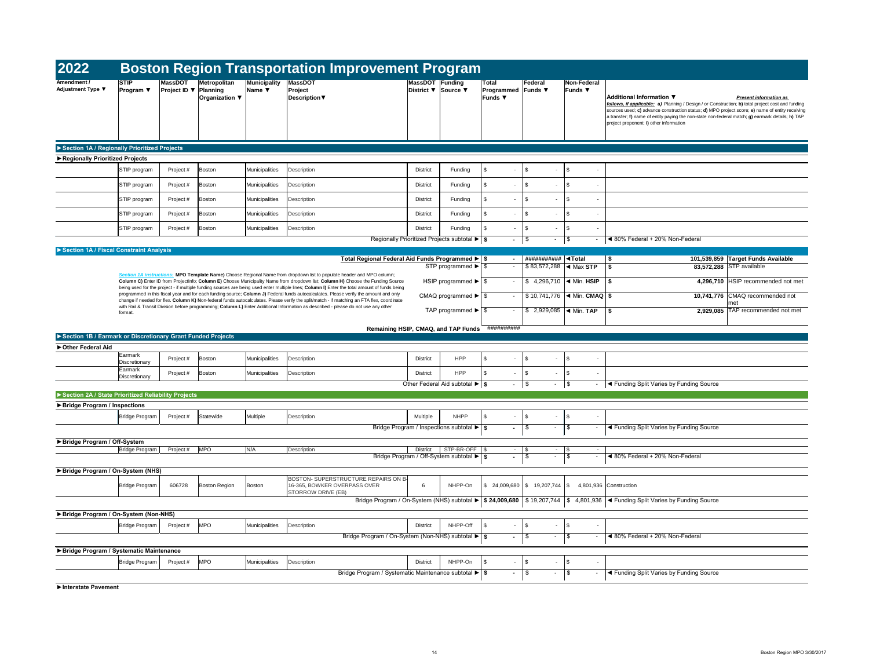| 2022                                                        |                                                    |                                       |                                                          |                                                  |                                                   | <b>Boston Region Transportation Improvement Program</b>                                                                                                                                                                                                                             |                                               |                                                                                      |                                       |                        |                      |                                                                                        |                                                                                                                                                                                                                                                                                                                                                                                                                  |
|-------------------------------------------------------------|----------------------------------------------------|---------------------------------------|----------------------------------------------------------|--------------------------------------------------|---------------------------------------------------|-------------------------------------------------------------------------------------------------------------------------------------------------------------------------------------------------------------------------------------------------------------------------------------|-----------------------------------------------|--------------------------------------------------------------------------------------|---------------------------------------|------------------------|----------------------|----------------------------------------------------------------------------------------|------------------------------------------------------------------------------------------------------------------------------------------------------------------------------------------------------------------------------------------------------------------------------------------------------------------------------------------------------------------------------------------------------------------|
| Amendment /<br><b>Adjustment Type ▼</b>                     | <b>STIP</b><br><b>Program</b> $\blacktriangledown$ | <b>MassDOT</b><br><b>Project ID</b> ▼ | <b>Metropolitan</b><br>Planning<br>Organization $\nabla$ | <b>Municipality</b><br>Name $\blacktriangledown$ | <b>MassDOT</b><br>Project<br><b>Description</b> ▼ |                                                                                                                                                                                                                                                                                     | <b>MassDOT</b> Funding<br>District ▼ Source ▼ |                                                                                      | Total<br>Programmed<br><b>Funds ▼</b> | Federal<br>Funds ▼     |                      | <b>Non-Federal</b><br>Funds ▼                                                          | Additional Information ▼<br><b>Present information as</b><br>follows, if applicable: a) Planning / Design / or Construction; b) total project cost and funding<br>sources used; c) advance construction status; d) MPO project score; e) name of entity receiving<br>a transfer; f) name of entity paying the non-state non-federal match; g) earmark details; h) TAP<br>project proponent; i) other information |
| Section 1A / Regionally Prioritized Projects                |                                                    |                                       |                                                          |                                                  |                                                   |                                                                                                                                                                                                                                                                                     |                                               |                                                                                      |                                       |                        |                      |                                                                                        |                                                                                                                                                                                                                                                                                                                                                                                                                  |
| Regionally Prioritized Projects                             |                                                    |                                       |                                                          |                                                  |                                                   |                                                                                                                                                                                                                                                                                     |                                               |                                                                                      |                                       |                        |                      |                                                                                        |                                                                                                                                                                                                                                                                                                                                                                                                                  |
|                                                             | STIP program                                       | Project #                             | Boston                                                   | Municipalities                                   | Description                                       |                                                                                                                                                                                                                                                                                     | <b>District</b>                               | Funding                                                                              | -\$                                   | $-1$ \$                | $\sim$               | \$<br>$\overline{\phantom{a}}$                                                         |                                                                                                                                                                                                                                                                                                                                                                                                                  |
|                                                             | STIP program                                       | Project #                             | <b>Boston</b>                                            | Municipalities                                   | Description                                       |                                                                                                                                                                                                                                                                                     | <b>District</b>                               | Funding                                                                              | - \$                                  | l \$                   |                      | \$.                                                                                    |                                                                                                                                                                                                                                                                                                                                                                                                                  |
|                                                             | STIP program                                       | Project#                              | <b>Boston</b>                                            | Municipalities                                   | Description                                       |                                                                                                                                                                                                                                                                                     | <b>District</b>                               | Funding                                                                              | \$<br>$\sim$                          | l \$                   |                      | \$                                                                                     |                                                                                                                                                                                                                                                                                                                                                                                                                  |
|                                                             | STIP program                                       | Project#                              | <b>Boston</b>                                            | Municipalities                                   | Description                                       |                                                                                                                                                                                                                                                                                     | <b>District</b>                               | Funding                                                                              | - \$                                  | $-1$ \$                |                      | \$                                                                                     |                                                                                                                                                                                                                                                                                                                                                                                                                  |
|                                                             | STIP program                                       | Project #                             | <b>Boston</b>                                            | Municipalities                                   | Description                                       |                                                                                                                                                                                                                                                                                     | <b>District</b>                               | Funding                                                                              | - \$                                  | $\mathsf{S}$<br>$\sim$ | $\sim$               | \$<br>$\overline{\phantom{a}}$                                                         |                                                                                                                                                                                                                                                                                                                                                                                                                  |
|                                                             |                                                    |                                       |                                                          |                                                  |                                                   |                                                                                                                                                                                                                                                                                     |                                               | Regionally Prioritized Projects subtotal $\blacktriangleright$ $\blacktriangleright$ | $\blacksquare$                        | $\frac{1}{3}$          | $\sim$               | $\boldsymbol{\mathsf{S}}$                                                              | 1 4 80% Federal + 20% Non-Federal                                                                                                                                                                                                                                                                                                                                                                                |
| Section 1A / Fiscal Constraint Analysis                     |                                                    |                                       |                                                          |                                                  |                                                   |                                                                                                                                                                                                                                                                                     |                                               |                                                                                      |                                       |                        |                      |                                                                                        |                                                                                                                                                                                                                                                                                                                                                                                                                  |
|                                                             |                                                    |                                       |                                                          |                                                  |                                                   | Total Regional Federal Aid Funds Programmed ▶   \$                                                                                                                                                                                                                                  |                                               | STP programmed $\blacktriangleright$ $\mid$ \$                                       | $\sim$                                |                        | ###########   ◀Total | $\frac{1}{2}$ \$ 83,572,288 $\blacktriangleleft$ Max STP                               | 101,539,859 Target Funds Available<br>\$<br>\$<br>83,572,288 STP available                                                                                                                                                                                                                                                                                                                                       |
|                                                             |                                                    |                                       |                                                          |                                                  |                                                   | Section 1A instructions: MPO Template Name) Choose Regional Name from dropdown list to populate header and MPO column;                                                                                                                                                              |                                               |                                                                                      |                                       |                        |                      |                                                                                        |                                                                                                                                                                                                                                                                                                                                                                                                                  |
|                                                             |                                                    |                                       |                                                          |                                                  |                                                   | Column C) Enter ID from ProjectInfo; Column E) Choose Municipality Name from dropdown list; Column H) Choose the Funding Source<br>being used for the project - if multiple funding sources are being used enter multiple lines; Column I) Enter the total amount of funds being    |                                               |                                                                                      | $\sim$                                |                        |                      | $\frac{1}{3}$ 4,296,710 $\sim$ Min. HSIP $\frac{1}{3}$                                 | 4,296,710 HSIP recommended not met                                                                                                                                                                                                                                                                                                                                                                               |
|                                                             |                                                    |                                       |                                                          |                                                  |                                                   | programmed in this fiscal year and for each funding source; Column J) Federal funds autocalculates. Please verify the amount and only<br>change if needed for flex. Column K) Non-federal funds autocalculates. Please verify the split/match - if matching an FTA flex, coordinate |                                               | CMAQ programmed $\blacktriangleright$ $\mid$ \$                                      |                                       |                        |                      | $\sqrt{$}10,741,776$ < Min. CMAQ $\sqrt{$}$                                            | 10,741,776 CMAQ recommended not                                                                                                                                                                                                                                                                                                                                                                                  |
|                                                             | format.                                            |                                       |                                                          |                                                  |                                                   | with Rail & Transit Division before programming; Column L) Enter Additional Information as described - please do not use any other                                                                                                                                                  |                                               | TAP programmed $\blacktriangleright$ $\mid$ \$                                       |                                       |                        |                      | $\frac{1}{2}$ , 2,929,085 $\blacktriangleleft$ Min. TAP                                | 2,929,085 TAP recommended not met<br>-\$                                                                                                                                                                                                                                                                                                                                                                         |
|                                                             |                                                    |                                       |                                                          |                                                  |                                                   |                                                                                                                                                                                                                                                                                     |                                               | Remaining HSIP, CMAQ, and TAP Funds ###########                                      |                                       |                        |                      |                                                                                        |                                                                                                                                                                                                                                                                                                                                                                                                                  |
| Section 1B / Earmark or Discretionary Grant Funded Projects |                                                    |                                       |                                                          |                                                  |                                                   |                                                                                                                                                                                                                                                                                     |                                               |                                                                                      |                                       |                        |                      |                                                                                        |                                                                                                                                                                                                                                                                                                                                                                                                                  |
| Other Federal Aid                                           |                                                    |                                       |                                                          |                                                  |                                                   |                                                                                                                                                                                                                                                                                     |                                               |                                                                                      |                                       |                        |                      |                                                                                        |                                                                                                                                                                                                                                                                                                                                                                                                                  |
|                                                             | Earmark<br>Discretionary                           | Project#                              | Boston                                                   | Municipalities                                   | Description                                       |                                                                                                                                                                                                                                                                                     | <b>District</b>                               | <b>HPP</b>                                                                           | \$                                    | $1$ \$<br>$\sim$       | $\sim$               | \$<br>$\overline{\phantom{a}}$                                                         |                                                                                                                                                                                                                                                                                                                                                                                                                  |
|                                                             | Earmark<br>Discretionary                           | Project #                             | <b>Boston</b>                                            | Municipalities                                   | Description                                       |                                                                                                                                                                                                                                                                                     | <b>District</b>                               | <b>HPP</b>                                                                           | \$<br>$\sim$                          | l \$                   |                      | \$<br>$\overline{\phantom{a}}$                                                         |                                                                                                                                                                                                                                                                                                                                                                                                                  |
|                                                             |                                                    |                                       |                                                          |                                                  |                                                   |                                                                                                                                                                                                                                                                                     |                                               | Other Federal Aid subtotal $\blacktriangleright$ $\mid$ \$                           |                                       | $-1$ \$                |                      | $-$ \$<br>$\sim$                                                                       | ↓ Funding Split Varies by Funding Source                                                                                                                                                                                                                                                                                                                                                                         |
| Section 2A / State Prioritized Reliability Projects         |                                                    |                                       |                                                          |                                                  |                                                   |                                                                                                                                                                                                                                                                                     |                                               |                                                                                      |                                       |                        |                      |                                                                                        |                                                                                                                                                                                                                                                                                                                                                                                                                  |
| ▶ Bridge Program / Inspections                              |                                                    |                                       |                                                          |                                                  |                                                   |                                                                                                                                                                                                                                                                                     |                                               |                                                                                      |                                       |                        |                      |                                                                                        |                                                                                                                                                                                                                                                                                                                                                                                                                  |
|                                                             | Bridge Program                                     | Project#                              | Statewide                                                | Multiple                                         | Description                                       |                                                                                                                                                                                                                                                                                     | Multiple                                      | <b>NHPP</b>                                                                          | \$                                    | $-$ \$                 | $\sim$               | \$<br>$\overline{\phantom{a}}$                                                         |                                                                                                                                                                                                                                                                                                                                                                                                                  |
|                                                             |                                                    |                                       |                                                          |                                                  |                                                   |                                                                                                                                                                                                                                                                                     |                                               | Bridge Program / Inspections subtotal $\blacktriangleright$   \$                     | $\blacksquare$                        | $\sqrt{3}$             | $\sim$               | $\mathfrak{S}$                                                                         | $\blacktriangleleft$ Funding Split Varies by Funding Source                                                                                                                                                                                                                                                                                                                                                      |
| ▶ Bridge Program / Off-System                               | Bridge Program                                     | Project#                              | <b>MPO</b>                                               | N/A                                              | Description                                       |                                                                                                                                                                                                                                                                                     | <b>District</b>                               | STP-BR-OFF \$                                                                        |                                       |                        | $\sim$               | \$                                                                                     |                                                                                                                                                                                                                                                                                                                                                                                                                  |
|                                                             |                                                    |                                       |                                                          |                                                  |                                                   |                                                                                                                                                                                                                                                                                     |                                               | Bridge Program / Off-System subtotal > \$                                            | $\blacksquare$                        | $\sqrt{S}$             |                      | $\mathfrak{S}$                                                                         | 1 480% Federal + 20% Non-Federal                                                                                                                                                                                                                                                                                                                                                                                 |
| ▶ Bridge Program / On-System (NHS)                          |                                                    |                                       |                                                          |                                                  |                                                   |                                                                                                                                                                                                                                                                                     |                                               |                                                                                      |                                       |                        |                      |                                                                                        |                                                                                                                                                                                                                                                                                                                                                                                                                  |
|                                                             |                                                    |                                       |                                                          |                                                  |                                                   | BOSTON- SUPERSTRUCTURE REPAIRS ON B-                                                                                                                                                                                                                                                |                                               |                                                                                      |                                       |                        |                      |                                                                                        |                                                                                                                                                                                                                                                                                                                                                                                                                  |
|                                                             | Bridge Program                                     | 606728                                | Boston Region                                            | Boston                                           | STORROW DRIVE (EB)                                | 16-365, BOWKER OVERPASS OVER                                                                                                                                                                                                                                                        | 6                                             | NHPP-On                                                                              |                                       |                        |                      | $\frac{1}{2}$ 24,009,680 $\frac{1}{2}$ 19,207,744 $\frac{1}{2}$ 4,801,936 Construction |                                                                                                                                                                                                                                                                                                                                                                                                                  |
|                                                             |                                                    |                                       |                                                          |                                                  |                                                   |                                                                                                                                                                                                                                                                                     |                                               |                                                                                      |                                       |                        |                      |                                                                                        | Bridge Program / On-System (NHS) subtotal > \$ 24,009,680 \$ 19,207,744 \$ 4,801,936 < Funding Split Varies by Funding Source                                                                                                                                                                                                                                                                                    |
| ▶ Bridge Program / On-System (Non-NHS)                      |                                                    |                                       |                                                          |                                                  |                                                   |                                                                                                                                                                                                                                                                                     |                                               |                                                                                      |                                       |                        |                      |                                                                                        |                                                                                                                                                                                                                                                                                                                                                                                                                  |
|                                                             | Bridge Program                                     | Project #                             | <b>MPO</b>                                               | Municipalities                                   | Description                                       |                                                                                                                                                                                                                                                                                     | <b>District</b>                               | NHPP-Off                                                                             | l \$                                  | $-1$ \$                | $\blacksquare$       | \$<br>$\overline{\phantom{a}}$                                                         |                                                                                                                                                                                                                                                                                                                                                                                                                  |
|                                                             |                                                    |                                       |                                                          |                                                  |                                                   | Bridge Program / On-System (Non-NHS) subtotal ▶   \$                                                                                                                                                                                                                                |                                               |                                                                                      | $\blacksquare$                        | $\sqrt{3}$             |                      | \$                                                                                     | ◀ 80% Federal + 20% Non-Federal                                                                                                                                                                                                                                                                                                                                                                                  |
| ▶ Bridge Program / Systematic Maintenance                   |                                                    |                                       |                                                          |                                                  |                                                   |                                                                                                                                                                                                                                                                                     |                                               |                                                                                      |                                       |                        |                      |                                                                                        |                                                                                                                                                                                                                                                                                                                                                                                                                  |
|                                                             | Bridge Program                                     | Project #                             | <b>MPO</b>                                               | Municipalities                                   | Description                                       |                                                                                                                                                                                                                                                                                     | <b>District</b>                               | NHPP-On                                                                              | <b>S</b>                              | $-1$ \$                | $\sim$               | \$<br>$\overline{\phantom{a}}$                                                         |                                                                                                                                                                                                                                                                                                                                                                                                                  |
|                                                             |                                                    |                                       |                                                          |                                                  |                                                   | Bridge Program / Systematic Maintenance subtotal ▶   \$                                                                                                                                                                                                                             |                                               |                                                                                      | $\sim$                                | $\frac{1}{2}$          | $\sim$               | \$                                                                                     | I < Funding Split Varies by Funding Source                                                                                                                                                                                                                                                                                                                                                                       |

**►Interstate Pavement**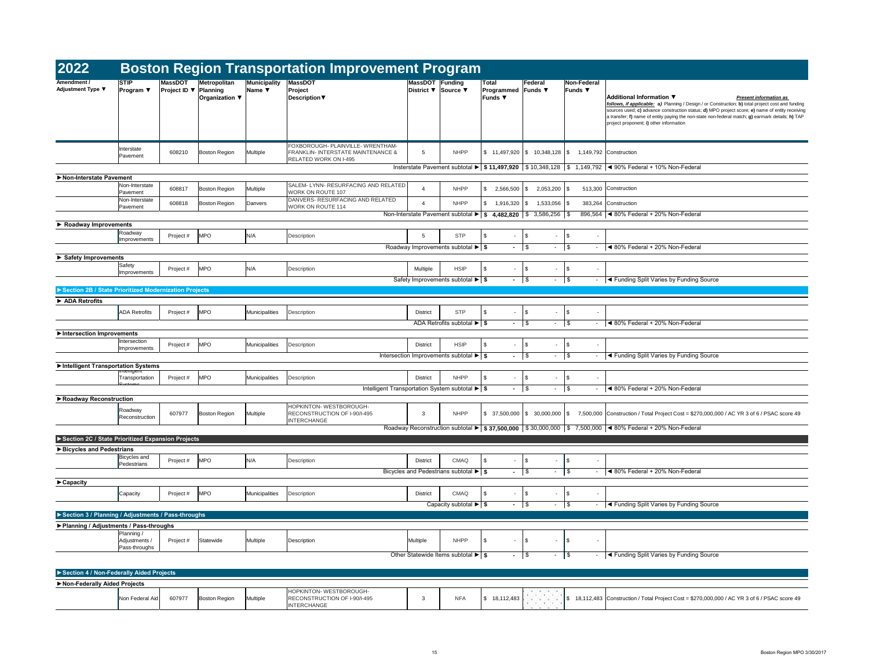|                  |                               | ement Program                                                         |                                |                                           |                            |                                |                                                                                                                                             |
|------------------|-------------------------------|-----------------------------------------------------------------------|--------------------------------|-------------------------------------------|----------------------------|--------------------------------|---------------------------------------------------------------------------------------------------------------------------------------------|
|                  | <b>MassDOT</b> Funding        |                                                                       | <b>Total</b>                   |                                           | Federal                    | <b>Non-Federal</b>             |                                                                                                                                             |
|                  | District $\blacktriangledown$ | Source ▼                                                              | Programmed<br><b>Funds ▼</b>   |                                           | Funds $\blacktriangledown$ | <b>Funds ▼</b>                 | Additional Information ▼<br><b>Present information as</b>                                                                                   |
|                  |                               |                                                                       |                                |                                           |                            |                                | follows, if applicable: a) Planning / Design / or Construction; b) total project cost and funding                                           |
|                  |                               |                                                                       |                                |                                           |                            |                                | sources used; c) advance construction status; d) MPO project score; e) name of entity receiving                                             |
|                  |                               |                                                                       |                                |                                           |                            |                                | a transfer; f) name of entity paying the non-state non-federal match; g) earmark details; h) TAP<br>project proponent; i) other information |
|                  |                               |                                                                       |                                |                                           |                            |                                |                                                                                                                                             |
|                  |                               |                                                                       |                                |                                           |                            |                                |                                                                                                                                             |
| <b>ITHAM-</b>    |                               |                                                                       |                                |                                           |                            |                                |                                                                                                                                             |
| <b>NCE &amp;</b> | 5                             | <b>NHPP</b>                                                           | 11,497,920<br>\$               | \$                                        | 10,348,128                 | \$<br>1,149,792                | Construction                                                                                                                                |
|                  |                               |                                                                       |                                |                                           |                            | \$                             | 1,149,792 $\blacktriangleleft$ 90% Federal + 10% Non-Federal                                                                                |
|                  |                               | Insterstate Pavement subtotal $\blacktriangleright$   \$ 11,497,920   |                                |                                           | $\frac{1}{2}$ 10,348,128   |                                |                                                                                                                                             |
|                  |                               |                                                                       |                                |                                           |                            |                                |                                                                                                                                             |
| <b>RELATED</b>   | 4                             | <b>NHPP</b>                                                           | \$<br>2,566,500                | $\boldsymbol{\mathsf{\$}}$                | 2,053,200                  | \$<br>513,300                  | Construction                                                                                                                                |
| LATED            |                               |                                                                       |                                |                                           |                            |                                |                                                                                                                                             |
|                  | 4                             | <b>NHPP</b>                                                           | \$<br>1,916,320                | $\sqrt[6]{3}$                             | 1,533,056                  | \$                             | 383,264 Construction                                                                                                                        |
|                  |                               | Non-Interstate Pavement subtotal ▶                                    | \$<br>4,482,820                | $\frac{1}{2}$                             | 3,586,256                  | \$                             | 896,564   ◀ 80% Federal + 20% Non-Federal                                                                                                   |
|                  |                               |                                                                       |                                |                                           |                            |                                |                                                                                                                                             |
|                  |                               | <b>STP</b>                                                            |                                |                                           |                            |                                |                                                                                                                                             |
|                  | 5                             |                                                                       | \$                             | \$                                        |                            | \$                             |                                                                                                                                             |
|                  |                               | Roadway Improvements subtotal $\blacktriangleright$   \$              | $\blacksquare$                 | \$                                        | $\overline{\phantom{a}}$   | \$<br>$\overline{\phantom{a}}$ | ◀ 80% Federal + 20% Non-Federal                                                                                                             |
|                  |                               |                                                                       |                                |                                           |                            |                                |                                                                                                                                             |
|                  | Multiple                      | <b>HSIP</b>                                                           | \$<br>$\overline{\phantom{a}}$ | \$                                        | $\overline{\phantom{a}}$   | \$                             |                                                                                                                                             |
|                  |                               |                                                                       |                                |                                           |                            |                                |                                                                                                                                             |
|                  |                               | Safety Improvements subtotal $\blacktriangleright$   \$               | $\blacksquare$                 | \$                                        | $\blacksquare$             | \$<br>$\blacksquare$           | ◀ Funding Split Varies by Funding Source                                                                                                    |
|                  |                               |                                                                       |                                |                                           |                            |                                |                                                                                                                                             |
|                  |                               |                                                                       |                                |                                           |                            |                                |                                                                                                                                             |
|                  | <b>District</b>               | <b>STP</b>                                                            | \$<br>$\blacksquare$           | \$                                        | $\blacksquare$             | \$                             |                                                                                                                                             |
|                  |                               |                                                                       |                                |                                           |                            |                                |                                                                                                                                             |
|                  |                               | ADA Retrofits subtotal $\blacktriangleright$ $\blacktriangleright$ \$ | $\blacksquare$                 | \$                                        | $\blacksquare$             | \$<br>$\blacksquare$           | ◀ 80% Federal + 20% Non-Federal                                                                                                             |
|                  |                               |                                                                       |                                |                                           |                            |                                |                                                                                                                                             |
|                  | <b>District</b>               | <b>HSIP</b>                                                           | \$                             | \$                                        |                            | \$                             |                                                                                                                                             |
|                  |                               |                                                                       |                                |                                           | $\blacksquare$             | \$<br>$\blacksquare$           | ◀ Funding Split Varies by Funding Source                                                                                                    |
|                  |                               | Intersection Improvements subtotal $\blacktriangleright$   \$         | $\blacksquare$                 | \$                                        |                            |                                |                                                                                                                                             |
|                  |                               |                                                                       |                                |                                           |                            |                                |                                                                                                                                             |
|                  | <b>District</b>               | <b>NHPP</b>                                                           | \$<br>$\blacksquare$           | \$                                        |                            | \$                             |                                                                                                                                             |
|                  |                               | ent Transportation System subtotal $\blacktriangleright$ \$           | $\blacksquare$                 | $\, \, \raisebox{12pt}{$\scriptstyle \$}$ | $\overline{\phantom{a}}$   | \$                             | ◀ 80% Federal + 20% Non-Federal                                                                                                             |
|                  |                               |                                                                       |                                |                                           |                            |                                |                                                                                                                                             |
|                  |                               |                                                                       |                                |                                           |                            |                                |                                                                                                                                             |
|                  | 3                             | <b>NHPP</b>                                                           | 37,500,000<br>\$               | \$                                        | 30,000,000                 | \$<br>7,500,000                | Construction / Total Project Cost = \$270,000,000 / AC YR 3 of 6 / PSAC score 49                                                            |
|                  |                               |                                                                       |                                |                                           |                            |                                |                                                                                                                                             |
|                  |                               | Roadway Reconstruction subtotal $\blacktriangleright$   \$ 37,500,000 |                                |                                           | \$30,000,000               | \$                             | 7,500,000 $\blacktriangleleft$ 80% Federal + 20% Non-Federal                                                                                |
|                  |                               |                                                                       |                                |                                           |                            |                                |                                                                                                                                             |
|                  |                               |                                                                       |                                |                                           |                            |                                |                                                                                                                                             |
|                  |                               |                                                                       |                                |                                           |                            |                                |                                                                                                                                             |
|                  | <b>District</b>               | <b>CMAQ</b>                                                           | \$<br>$\overline{\phantom{a}}$ | \$                                        | $\blacksquare$             | \$                             |                                                                                                                                             |
|                  |                               | Bicycles and Pedestrians subtotal $\blacktriangleright$ $\mid$ \$     | $\blacksquare$                 | \$                                        | $\blacksquare$             | \$<br>$\blacksquare$           | ◀ 80% Federal + 20% Non-Federal                                                                                                             |
|                  |                               |                                                                       |                                |                                           |                            |                                |                                                                                                                                             |
|                  |                               |                                                                       |                                |                                           |                            |                                |                                                                                                                                             |
|                  | <b>District</b>               | <b>CMAQ</b>                                                           | \$<br>$\overline{\phantom{a}}$ | \$                                        | $\blacksquare$             | \$                             |                                                                                                                                             |
|                  |                               | Capacity subtotal $\blacktriangleright$ $\mid$ \$                     | $\blacksquare$                 | \$                                        | $\blacksquare$             | \$<br>$\blacksquare$           | ◀ Funding Split Varies by Funding Source                                                                                                    |
|                  |                               |                                                                       |                                |                                           |                            |                                |                                                                                                                                             |
|                  |                               |                                                                       |                                |                                           |                            |                                |                                                                                                                                             |
|                  |                               |                                                                       |                                |                                           |                            |                                |                                                                                                                                             |
|                  | Multiple                      | <b>NHPP</b>                                                           | \$<br>$\blacksquare$           | \$                                        |                            | \$                             |                                                                                                                                             |
|                  |                               |                                                                       |                                |                                           |                            |                                |                                                                                                                                             |
|                  |                               | Other Statewide Items subtotal $\blacktriangleright$   \$             |                                | $\boldsymbol{\mathsf{\$}}$                | $\blacksquare$             | \$<br>$\overline{\phantom{a}}$ | ◀ Funding Split Varies by Funding Source                                                                                                    |
|                  |                               |                                                                       |                                |                                           |                            |                                |                                                                                                                                             |
|                  |                               |                                                                       |                                |                                           |                            |                                |                                                                                                                                             |
|                  |                               |                                                                       |                                |                                           |                            |                                |                                                                                                                                             |
|                  |                               |                                                                       |                                |                                           |                            |                                |                                                                                                                                             |
|                  | 3                             | <b>NFA</b>                                                            | \$<br>18,112,483               |                                           |                            |                                |                                                                                                                                             |
|                  |                               |                                                                       |                                |                                           |                            |                                |                                                                                                                                             |

| 2022                                                  |                                              |                                       |                                                   |                                           | <b>Boston Region Transportation Improvement Program</b>                                          |                                                                                               |                                                   |                                                             |                                                         |                                           |                                                                                                                                                                                                                                |
|-------------------------------------------------------|----------------------------------------------|---------------------------------------|---------------------------------------------------|-------------------------------------------|--------------------------------------------------------------------------------------------------|-----------------------------------------------------------------------------------------------|---------------------------------------------------|-------------------------------------------------------------|---------------------------------------------------------|-------------------------------------------|--------------------------------------------------------------------------------------------------------------------------------------------------------------------------------------------------------------------------------|
| Amendment /<br><b>Adjustment Type ▼</b>               | <b>STIP</b><br><b>Program</b> ▼              | <b>MassDOT</b><br><b>Project ID</b> ▼ | Metropolitan<br>Planning<br><b>Organization ▼</b> | Municipality<br>Name $\blacktriangledown$ | <b>MassDOT</b><br>Project<br><b>Description</b> ▼                                                | MassDOT Funding                                                                               | District ▼ Source ▼                               | <b>Total</b><br><b>Programmed Funds ▼</b><br><b>Funds</b> ▼ | Federal                                                 | Non-Federal<br>Funds ▼                    | <b>Additional Information ▼</b><br>follows, if applicable: a) Planning / Design<br>sources used; c) advance construction status<br>a transfer; f) name of entity paying the non-sta<br>project proponent; i) other information |
|                                                       | Interstate<br>Pavement                       | 608210                                | Boston Region                                     | <b>Multiple</b>                           | FOXBOROUGH- PLAINVILLE- WRENTHAM-<br>FRANKLIN- INTERSTATE MAINTENANCE &<br>RELATED WORK ON I-495 | -5                                                                                            | <b>NHPP</b>                                       |                                                             | $$11,497,920 \;   \; $10,348,128 \;   \; $$             |                                           | 1,149,792 Construction                                                                                                                                                                                                         |
|                                                       |                                              |                                       |                                                   |                                           |                                                                                                  |                                                                                               |                                                   |                                                             |                                                         |                                           | Insterstate Pavement subtotal $\blacktriangleright$   \$ 11,497,920   \$ 10,348,128   \$ 1,149,792   $\blacktriangleleft$ 90% Federal + 10% Non-Federal                                                                        |
| Non-Interstate Pavement                               | Non-Interstate                               | 608817                                | Boston Region                                     | Multiple                                  | SALEM-LYNN-RESURFACING AND RELATED                                                               | $\overline{4}$                                                                                | <b>NHPP</b>                                       | \$.<br>$2,566,500$ \\$                                      | $2,053,200$ \\$                                         |                                           | 513,300 Construction                                                                                                                                                                                                           |
|                                                       | Pavement<br>Non-Interstate                   | 608818                                | Boston Region                                     | Danvers                                   | WORK ON ROUTE 107<br>DANVERS- RESURFACING AND RELATED                                            | 4                                                                                             | <b>NHPP</b>                                       | $1,916,320$ \ \$                                            | $1,533,056$ \$                                          |                                           | 383,264 Construction                                                                                                                                                                                                           |
|                                                       | Pavement                                     |                                       |                                                   |                                           | WORK ON ROUTE 114                                                                                | Non-Interstate Pavement subtotal $\blacktriangleright$   \$ 4,482,820   \$ 3,586,256   \$     |                                                   |                                                             |                                                         |                                           | 896,564   30% Federal + 20% Non-Federal                                                                                                                                                                                        |
| $\triangleright$ Roadway Improvements                 |                                              |                                       |                                                   |                                           |                                                                                                  |                                                                                               |                                                   |                                                             |                                                         |                                           |                                                                                                                                                                                                                                |
|                                                       | Roadway<br>Improvements                      | Project #                             | <b>MPO</b>                                        | N/A                                       | Description                                                                                      | 5                                                                                             | <b>STP</b>                                        | -S<br>$\sim$                                                | $\sqrt{3}$<br>$\sim$                                    | \$<br>$\overline{\phantom{a}}$            |                                                                                                                                                                                                                                |
|                                                       |                                              |                                       |                                                   |                                           |                                                                                                  | Roadway Improvements subtotal $\blacktriangleright$ $\mid$ \$                                 |                                                   |                                                             |                                                         | $-$ \$                                    | ◀ 80% Federal + 20% Non-Federal                                                                                                                                                                                                |
| Safety Improvements                                   | Safety                                       | Project#                              | <b>MPO</b>                                        | N/A                                       | Description                                                                                      | Multiple                                                                                      | <b>HSIP</b>                                       | $\sim$                                                      | $\sqrt{3}$<br>$\sim$                                    | $\sqrt{3}$<br>$\sim$                      |                                                                                                                                                                                                                                |
|                                                       | Improvements                                 |                                       |                                                   |                                           |                                                                                                  | Safety Improvements subtotal $\blacktriangleright$   \$                                       |                                                   | $-1$ \$                                                     | $\sim$                                                  | $\sqrt{3}$                                | ◀ Funding Split Varies by Funding                                                                                                                                                                                              |
| Section 2B / State Prioritized Modernization Projects |                                              |                                       |                                                   |                                           |                                                                                                  |                                                                                               |                                                   |                                                             |                                                         |                                           |                                                                                                                                                                                                                                |
| ADA Retrofits                                         |                                              |                                       |                                                   |                                           |                                                                                                  |                                                                                               |                                                   |                                                             |                                                         |                                           |                                                                                                                                                                                                                                |
|                                                       | <b>ADA Retrofits</b>                         | Project #                             | <b>MPO</b>                                        | Municipalities                            | Description                                                                                      | <b>District</b>                                                                               | <b>STP</b>                                        | $\sim$                                                      | $\sqrt{3}$<br>$\sim$                                    | \$<br>$\blacksquare$                      |                                                                                                                                                                                                                                |
|                                                       |                                              |                                       |                                                   |                                           |                                                                                                  |                                                                                               | ADA Retrofits subtotal $\blacktriangleright$   \$ |                                                             | $\sqrt{ }$                                              | \$                                        | ◀ 80% Federal + 20% Non-Federal                                                                                                                                                                                                |
| Intersection Improvements                             | Intersection                                 |                                       |                                                   |                                           |                                                                                                  |                                                                                               |                                                   |                                                             |                                                         |                                           |                                                                                                                                                                                                                                |
|                                                       | Improvements                                 | Project #                             | <b>MPO</b>                                        | Municipalities                            | Description                                                                                      | <b>District</b>                                                                               | <b>HSIP</b>                                       | \$<br>$\sim$                                                | $\sqrt{3}$<br>$\blacksquare$                            | $\sqrt[6]{3}$<br>$\blacksquare$           |                                                                                                                                                                                                                                |
|                                                       |                                              |                                       |                                                   |                                           |                                                                                                  | Intersection Improvements subtotal $\blacktriangleright$   \$                                 |                                                   | $\sim$ 100 $\mu$                                            | \$<br>$\sim$                                            | $\sqrt{3}$                                | T Funding Split Varies by Funding                                                                                                                                                                                              |
| Intelligent Transportation Systems                    | <del>memgent</del>                           |                                       |                                                   |                                           |                                                                                                  |                                                                                               |                                                   |                                                             |                                                         |                                           |                                                                                                                                                                                                                                |
|                                                       | Transportation                               | Project #                             | <b>MPO</b>                                        | Municipalities                            | Description                                                                                      | <b>District</b><br>Intelligent Transportation System subtotal $\blacktriangleright$ $\mid$ \$ | <b>NHPP</b>                                       | \$<br>$\sim$<br>$\sim$                                      | $\sqrt[6]{3}$<br>$\blacksquare$<br>$\sqrt{3}$<br>$\sim$ | \$<br>$\blacksquare$<br>\$                | ◀ 80% Federal + 20% Non-Federal                                                                                                                                                                                                |
| ▶ Roadway Reconstruction                              |                                              |                                       |                                                   |                                           |                                                                                                  |                                                                                               |                                                   |                                                             |                                                         |                                           |                                                                                                                                                                                                                                |
|                                                       | Roadway<br>Reconstruction                    | 607977                                | Boston Region                                     | Multiple                                  | HOPKINTON- WESTBOROUGH-<br>RECONSTRUCTION OF I-90/I-495<br><b>INTERCHANGE</b>                    | 3                                                                                             | <b>NHPP</b>                                       |                                                             | $$37,500,000$ $$30,000,000$ $$$                         |                                           | 7,500,000 Construction / Total Project Cost = \$270                                                                                                                                                                            |
|                                                       |                                              |                                       |                                                   |                                           |                                                                                                  |                                                                                               |                                                   |                                                             |                                                         |                                           | Roadway Reconstruction subtotal ▶   \$ 37,500,000   \$ 30,000,000   \$ 7,500,000   < 80% Federal + 20% Non-Federal                                                                                                             |
| Section 2C / State Prioritized Expansion Projects     |                                              |                                       |                                                   |                                           |                                                                                                  |                                                                                               |                                                   |                                                             |                                                         |                                           |                                                                                                                                                                                                                                |
| Bicycles and Pedestrians                              | <b>Bicycles</b> and                          |                                       |                                                   |                                           |                                                                                                  |                                                                                               |                                                   |                                                             |                                                         |                                           |                                                                                                                                                                                                                                |
|                                                       | Pedestrians                                  | Project #                             | <b>MPO</b>                                        | N/A                                       | Description                                                                                      | <b>District</b><br>Bicycles and Pedestrians subtotal $\blacktriangleright$ $\mid$ \$          | <b>CMAQ</b>                                       | \$<br>$\sim$                                                | $\sqrt{3}$<br>$\blacksquare$                            | \$<br>$\blacksquare$<br><b>\$</b>         | ◀ 80% Federal + 20% Non-Federal                                                                                                                                                                                                |
|                                                       |                                              |                                       |                                                   |                                           |                                                                                                  |                                                                                               |                                                   | $\sim$                                                      | \$<br>$\sim$                                            |                                           |                                                                                                                                                                                                                                |
| $\blacktriangleright$ Capacity                        | Capacity                                     | Project #                             | <b>MPO</b>                                        | Municipalities                            | <b>Description</b>                                                                               | <b>District</b>                                                                               | <b>CMAQ</b>                                       | \$<br>$\sim$                                                | $\sqrt{3}$<br>$\blacksquare$                            | $\sqrt[6]{2}$<br>$\overline{\phantom{a}}$ |                                                                                                                                                                                                                                |
|                                                       |                                              |                                       |                                                   |                                           |                                                                                                  |                                                                                               | Capacity subtotal $\blacktriangleright$ $\mid$ \$ | $\sim$ 100 $\mu$                                            | \$<br>$\sim$                                            | \$                                        | T Funding Split Varies by Funding                                                                                                                                                                                              |
| Section 3 / Planning / Adjustments / Pass-throughs    |                                              |                                       |                                                   |                                           |                                                                                                  |                                                                                               |                                                   |                                                             |                                                         |                                           |                                                                                                                                                                                                                                |
| ▶ Planning / Adjustments / Pass-throughs              |                                              |                                       |                                                   |                                           |                                                                                                  |                                                                                               |                                                   |                                                             |                                                         |                                           |                                                                                                                                                                                                                                |
|                                                       | Planning /<br>Adjustments /<br>Pass-throughs | Project#                              | Statewide                                         | Multiple                                  | Description                                                                                      | Multiple                                                                                      | <b>NHPP</b>                                       | \$<br>$\sim$                                                | $\sqrt{3}$                                              | $\sqrt[6]{2}$<br>$\blacksquare$           |                                                                                                                                                                                                                                |
|                                                       |                                              |                                       |                                                   |                                           |                                                                                                  | Other Statewide Items subtotal $\blacktriangleright$ $\mid$ \$                                |                                                   | $\sim$ $-$                                                  | \$<br>$\sim$                                            | \$<br>$\sim$                              | Eunding Split Varies by Funding                                                                                                                                                                                                |
| Section 4 / Non-Federally Aided Projects              |                                              |                                       |                                                   |                                           |                                                                                                  |                                                                                               |                                                   |                                                             |                                                         |                                           |                                                                                                                                                                                                                                |
| Non-Federally Aided Projects                          |                                              |                                       |                                                   |                                           |                                                                                                  |                                                                                               |                                                   |                                                             |                                                         |                                           |                                                                                                                                                                                                                                |
|                                                       |                                              |                                       |                                                   |                                           |                                                                                                  |                                                                                               |                                                   |                                                             |                                                         |                                           |                                                                                                                                                                                                                                |

| Non Federal Aid<br><b>Non</b> | 607977 | <b>Boston Region</b> | Multiple | WESTBOROUGH-<br><b>HOPKINTON</b><br>CONSTRUCTION OF I-90/I-495<br>ERCHANGE |  | NFA | 112,483<br>18,112,483 |
|-------------------------------|--------|----------------------|----------|----------------------------------------------------------------------------|--|-----|-----------------------|
|-------------------------------|--------|----------------------|----------|----------------------------------------------------------------------------|--|-----|-----------------------|